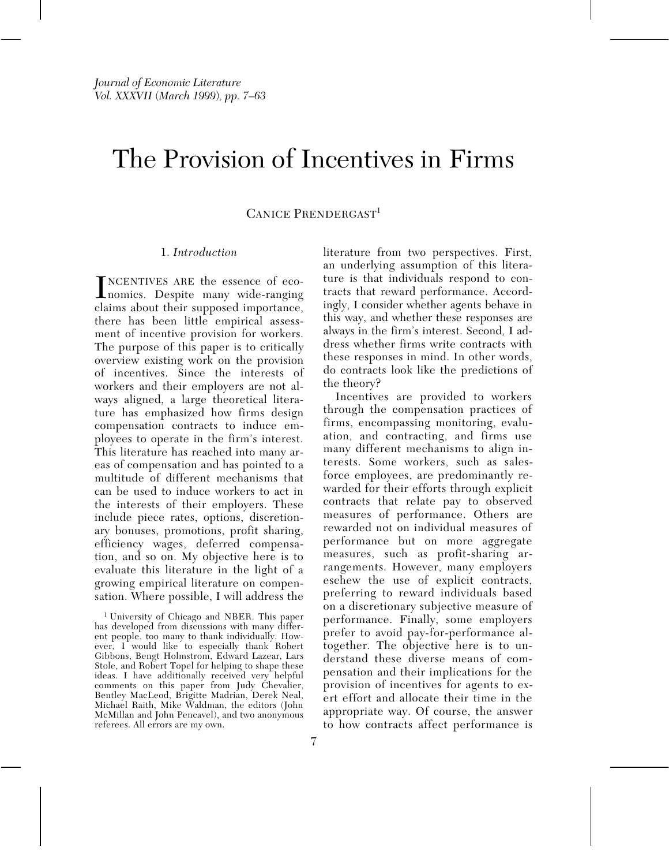# The Provision of Incentives in Firms

## CANICE PRENDERGAST<sup>1</sup>

#### 1. *Introduction*

INCENTIVES ARE the essence of eco-<br>nomics. Despite many wide-ranging<br>elsime.shout their supposed importance. NCENTIVES ARE the essence of ecoclaims about their supposed importance, there has been little empirical assessment of incentive provision for workers. The purpose of this paper is to critically overview existing work on the provision of incentives. Since the interests of workers and their employers are not always aligned, a large theoretical literature has emphasized how firms design compensation contracts to induce employees to operate in the firm's interest. This literature has reached into many areas of compensation and has pointed to a multitude of different mechanisms that can be used to induce workers to act in the interests of their employers. These include piece rates, options, discretionary bonuses, promotions, profit sharing, efficiency wages, deferred compensation, and so on. My objective here is to evaluate this literature in the light of a growing empirical literature on compensation. Where possible, I will address the

literature from two perspectives. First, an underlying assumption of this literature is that individuals respond to contracts that reward performance. Accordingly, I consider whether agents behave in this way, and whether these responses are always in the firm's interest. Second, I address whether firms write contracts with these responses in mind. In other words, do contracts look like the predictions of the theory?

Incentives are provided to workers through the compensation practices of firms, encompassing monitoring, evaluation, and contracting, and firms use many different mechanisms to align interests. Some workers, such as salesforce employees, are predominantly rewarded for their efforts through explicit contracts that relate pay to observed measures of performance. Others are rewarded not on individual measures of performance but on more aggregate measures, such as profit-sharing arrangements. However, many employers eschew the use of explicit contracts, preferring to reward individuals based on a discretionary subjective measure of performance. Finally, some employers prefer to avoid pay-for-performance altogether. The objective here is to understand these diverse means of compensation and their implications for the provision of incentives for agents to exert effort and allocate their time in the appropriate way. Of course, the answer to how contracts affect performance is

<sup>1</sup> University of Chicago and NBER. This paper has developed from discussions with many different people, too many to thank individually. However, I would like to especially thank Robert Gibbons, Bengt Holmstrom, Edward Lazear, Lars Stole, and Robert Topel for helping to shape these ideas. I have additionally received very helpful comments on this paper from Judy Chevalier, Bentley MacLeod, Brigitte Madrian, Derek Neal, Michael Raith, Mike Waldman, the editors (John McMillan and John Pencavel), and two anonymous referees. All errors are my own.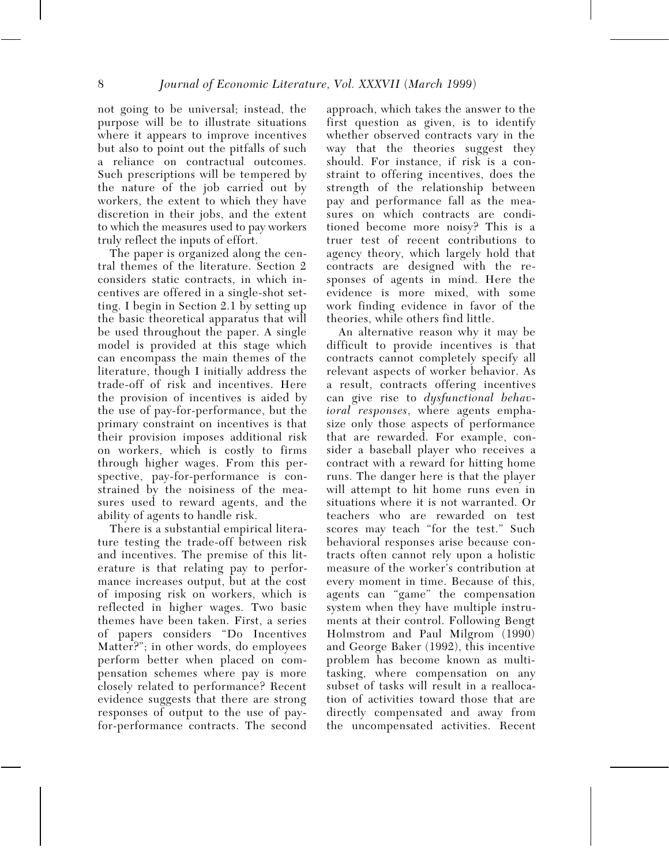not going to be universal; instead, the purpose will be to illustrate situations where it appears to improve incentives but also to point out the pitfalls of such a reliance on contractual outcomes. Such prescriptions will be tempered by the nature of the job carried out by workers, the extent to which they have discretion in their jobs, and the extent to which the measures used to pay workers truly reflect the inputs of effort.

The paper is organized along the central themes of the literature. Section 2 considers static contracts, in which incentives are offered in a single-shot setting. I begin in Section 2.1 by setting up the basic theoretical apparatus that will be used throughout the paper. A single model is provided at this stage which can encompass the main themes of the literature, though I initially address the trade-off of risk and incentives. Here the provision of incentives is aided by the use of pay-for-performance, but the primary constraint on incentives is that their provision imposes additional risk on workers, which is costly to firms through higher wages. From this perspective, pay-for-performance is constrained by the noisiness of the measures used to reward agents, and the ability of agents to handle risk.

There is a substantial empirical literature testing the trade-off between risk and incentives. The premise of this literature is that relating pay to performance increases output, but at the cost of imposing risk on workers, which is reflected in higher wages. Two basic themes have been taken. First, a series of papers considers "Do Incentives Matter?"; in other words, do employees perform better when placed on compensation schemes where pay is more closely related to performance? Recent evidence suggests that there are strong responses of output to the use of payfor-performance contracts. The second

approach, which takes the answer to the first question as given, is to identify whether observed contracts vary in the way that the theories suggest they should. For instance, if risk is a constraint to offering incentives, does the strength of the relationship between pay and performance fall as the measures on which contracts are conditioned become more noisy? This is a truer test of recent contributions to agency theory, which largely hold that contracts are designed with the responses of agents in mind. Here the evidence is more mixed, with some work finding evidence in favor of the theories, while others find little.

An alternative reason why it may be difficult to provide incentives is that contracts cannot completely specify all relevant aspects of worker behavior. As a result, contracts offering incentives can give rise to *dysfunctional behavioral responses*, where agents emphasize only those aspects of performance that are rewarded. For example, consider a baseball player who receives a contract with a reward for hitting home runs. The danger here is that the player will attempt to hit home runs even in situations where it is not warranted. Or teachers who are rewarded on test scores may teach "for the test." Such behavioral responses arise because contracts often cannot rely upon a holistic measure of the worker's contribution at every moment in time. Because of this, agents can "game" the compensation system when they have multiple instruments at their control. Following Bengt Holmstrom and Paul Milgrom (1990) and George Baker (1992), this incentive problem has become known as multitasking, where compensation on any subset of tasks will result in a reallocation of activities toward those that are directly compensated and away from the uncompensated activities. Recent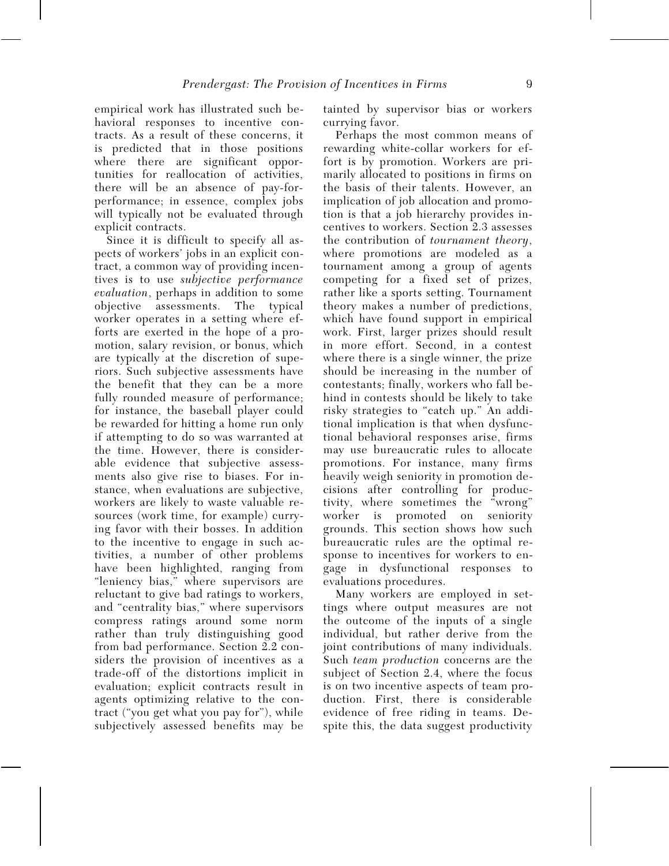empirical work has illustrated such behavioral responses to incentive contracts. As a result of these concerns, it is predicted that in those positions where there are significant opportunities for reallocation of activities, there will be an absence of pay-forperformance; in essence, complex jobs will typically not be evaluated through explicit contracts.

Since it is difficult to specify all aspects of workers' jobs in an explicit contract, a common way of providing incentives is to use *subjective performance evaluation*, perhaps in addition to some objective assessments. The typical worker operates in a setting where efforts are exerted in the hope of a promotion, salary revision, or bonus, which are typically at the discretion of superiors. Such subjective assessments have the benefit that they can be a more fully rounded measure of performance; for instance, the baseball player could be rewarded for hitting a home run only if attempting to do so was warranted at the time. However, there is considerable evidence that subjective assessments also give rise to biases. For instance, when evaluations are subjective, workers are likely to waste valuable resources (work time, for example) currying favor with their bosses. In addition to the incentive to engage in such activities, a number of other problems have been highlighted, ranging from "leniency bias," where supervisors are reluctant to give bad ratings to workers, and "centrality bias," where supervisors compress ratings around some norm rather than truly distinguishing good from bad performance. Section 2.2 considers the provision of incentives as a trade-off of the distortions implicit in evaluation; explicit contracts result in agents optimizing relative to the contract ("you get what you pay for"), while subjectively assessed benefits may be

tainted by supervisor bias or workers currying favor.

Perhaps the most common means of rewarding white-collar workers for effort is by promotion. Workers are primarily allocated to positions in firms on the basis of their talents. However, an implication of job allocation and promotion is that a job hierarchy provides incentives to workers. Section 2.3 assesses the contribution of *tournament theory*, where promotions are modeled as a tournament among a group of agents competing for a fixed set of prizes, rather like a sports setting. Tournament theory makes a number of predictions, which have found support in empirical work. First, larger prizes should result in more effort. Second, in a contest where there is a single winner, the prize should be increasing in the number of contestants; finally, workers who fall behind in contests should be likely to take risky strategies to "catch up." An additional implication is that when dysfunctional behavioral responses arise, firms may use bureaucratic rules to allocate promotions. For instance, many firms heavily weigh seniority in promotion decisions after controlling for productivity, where sometimes the "wrong" worker is promoted on seniority grounds. This section shows how such bureaucratic rules are the optimal response to incentives for workers to engage in dysfunctional responses to evaluations procedures.

Many workers are employed in settings where output measures are not the outcome of the inputs of a single individual, but rather derive from the joint contributions of many individuals. Such *team production* concerns are the subject of Section 2.4, where the focus is on two incentive aspects of team production. First, there is considerable evidence of free riding in teams. Despite this, the data suggest productivity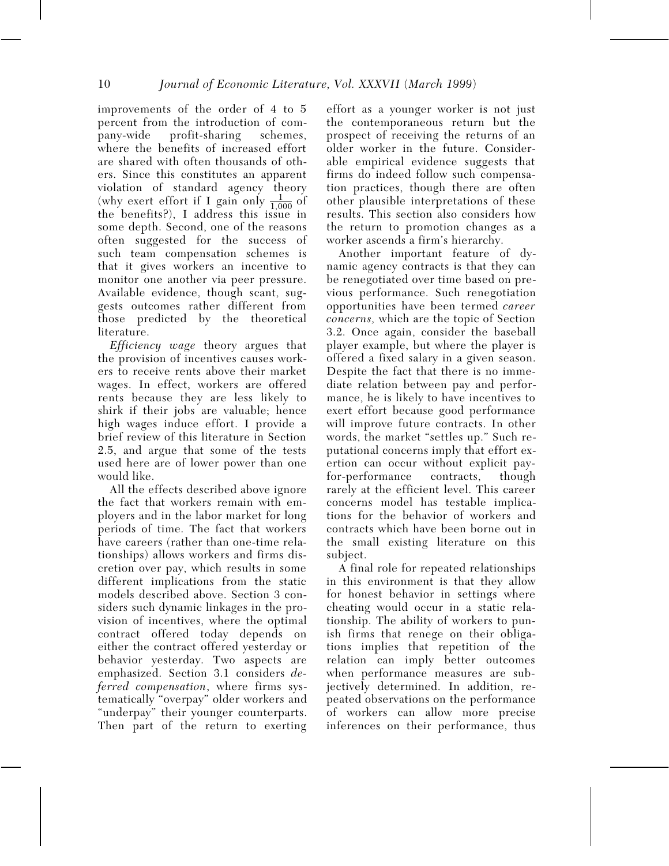improvements of the order of 4 to 5 percent from the introduction of company-wide profit-sharing schemes, where the benefits of increased effort are shared with often thousands of others. Since this constitutes an apparent violation of standard agency theory (why exert effort if I gain only  $\frac{1}{1,000}$  of the benefits?), I address this issue in some depth. Second, one of the reasons often suggested for the success of such team compensation schemes is that it gives workers an incentive to monitor one another via peer pressure. Available evidence, though scant, suggests outcomes rather different from those predicted by the theoretical literature.

*Efficiency wage* theory argues that the provision of incentives causes workers to receive rents above their market wages. In effect, workers are offered rents because they are less likely to shirk if their jobs are valuable; hence high wages induce effort. I provide a brief review of this literature in Section 2.5, and argue that some of the tests used here are of lower power than one would like.

All the effects described above ignore the fact that workers remain with employers and in the labor market for long periods of time. The fact that workers have careers (rather than one-time relationships) allows workers and firms discretion over pay, which results in some different implications from the static models described above. Section 3 considers such dynamic linkages in the provision of incentives, where the optimal contract offered today depends on either the contract offered yesterday or behavior yesterday. Two aspects are emphasized. Section 3.1 considers *deferred compensation*, where firms systematically "overpay" older workers and "underpay" their younger counterparts. Then part of the return to exerting effort as a younger worker is not just the contemporaneous return but the prospect of receiving the returns of an older worker in the future. Considerable empirical evidence suggests that firms do indeed follow such compensation practices, though there are often other plausible interpretations of these results. This section also considers how the return to promotion changes as a worker ascends a firm's hierarchy.

Another important feature of dynamic agency contracts is that they can be renegotiated over time based on previous performance. Such renegotiation opportunities have been termed *career concerns,* which are the topic of Section 3.2. Once again, consider the baseball player example, but where the player is offered a fixed salary in a given season. Despite the fact that there is no immediate relation between pay and performance, he is likely to have incentives to exert effort because good performance will improve future contracts. In other words, the market "settles up." Such reputational concerns imply that effort exertion can occur without explicit payfor-performance contracts, though rarely at the efficient level. This career concerns model has testable implications for the behavior of workers and contracts which have been borne out in the small existing literature on this subject.

A final role for repeated relationships in this environment is that they allow for honest behavior in settings where cheating would occur in a static relationship. The ability of workers to punish firms that renege on their obligations implies that repetition of the relation can imply better outcomes when performance measures are subjectively determined. In addition, repeated observations on the performance of workers can allow more precise inferences on their performance, thus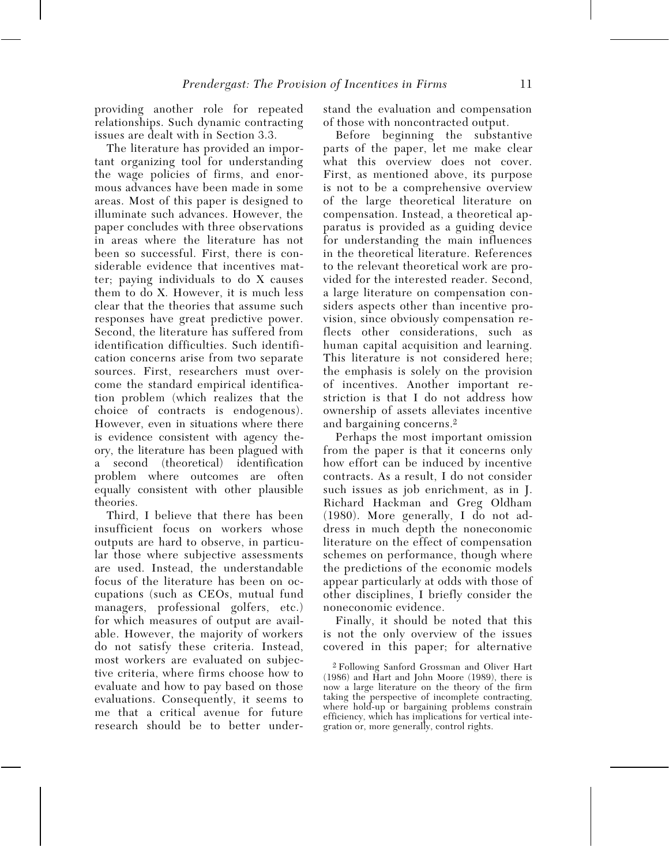providing another role for repeated relationships. Such dynamic contracting issues are dealt with in Section 3.3.

The literature has provided an important organizing tool for understanding the wage policies of firms, and enormous advances have been made in some areas. Most of this paper is designed to illuminate such advances. However, the paper concludes with three observations in areas where the literature has not been so successful. First, there is considerable evidence that incentives matter; paying individuals to do X causes them to do X. However, it is much less clear that the theories that assume such responses have great predictive power. Second, the literature has suffered from identification difficulties. Such identification concerns arise from two separate sources. First, researchers must overcome the standard empirical identification problem (which realizes that the choice of contracts is endogenous). However, even in situations where there is evidence consistent with agency theory, the literature has been plagued with a second (theoretical) identification problem where outcomes are often equally consistent with other plausible theories.

Third, I believe that there has been insufficient focus on workers whose outputs are hard to observe, in particular those where subjective assessments are used. Instead, the understandable focus of the literature has been on occupations (such as CEOs, mutual fund managers, professional golfers, etc.) for which measures of output are available. However, the majority of workers do not satisfy these criteria. Instead, most workers are evaluated on subjective criteria, where firms choose how to evaluate and how to pay based on those evaluations. Consequently, it seems to me that a critical avenue for future research should be to better understand the evaluation and compensation of those with noncontracted output.

Before beginning the substantive parts of the paper, let me make clear what this overview does not cover. First, as mentioned above, its purpose is not to be a comprehensive overview of the large theoretical literature on compensation. Instead, a theoretical apparatus is provided as a guiding device for understanding the main influences in the theoretical literature. References to the relevant theoretical work are provided for the interested reader. Second, a large literature on compensation considers aspects other than incentive provision, since obviously compensation reflects other considerations, such as human capital acquisition and learning. This literature is not considered here; the emphasis is solely on the provision of incentives. Another important restriction is that I do not address how ownership of assets alleviates incentive and bargaining concerns.2

Perhaps the most important omission from the paper is that it concerns only how effort can be induced by incentive contracts. As a result, I do not consider such issues as job enrichment, as in J. Richard Hackman and Greg Oldham (1980). More generally, I do not address in much depth the noneconomic literature on the effect of compensation schemes on performance, though where the predictions of the economic models appear particularly at odds with those of other disciplines, I briefly consider the noneconomic evidence.

Finally, it should be noted that this is not the only overview of the issues covered in this paper; for alternative

<sup>2</sup> Following Sanford Grossman and Oliver Hart (1986) and Hart and John Moore (1989), there is now a large literature on the theory of the firm taking the perspective of incomplete contracting, where hold-up or bargaining problems constrain efficiency, which has implications for vertical integration or, more generally, control rights.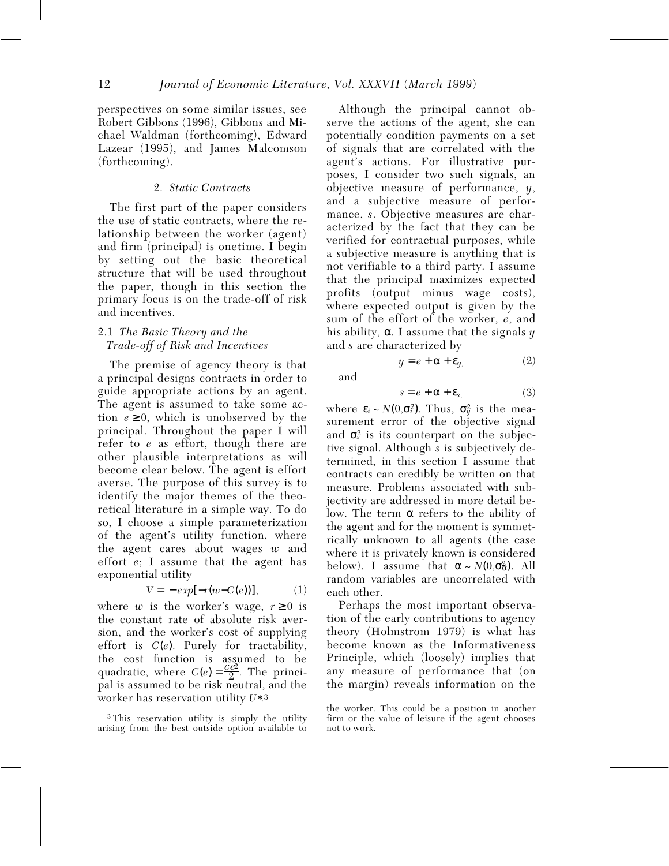perspectives on some similar issues, see Robert Gibbons (1996), Gibbons and Michael Waldman (forthcoming), Edward Lazear (1995), and James Malcomson (forthcoming).

## 2. *Static Contracts*

The first part of the paper considers the use of static contracts, where the relationship between the worker (agent) and firm (principal) is onetime. I begin by setting out the basic theoretical structure that will be used throughout the paper, though in this section the primary focus is on the trade-off of risk and incentives.

## 2.1 *The Basic Theory and the Trade-off of Risk and Incentives*

The premise of agency theory is that a principal designs contracts in order to guide appropriate actions by an agent. The agent is assumed to take some action  $e \geq 0$ , which is unobserved by the principal. Throughout the paper I will refer to *e* as effort, though there are other plausible interpretations as will become clear below. The agent is effort averse. The purpose of this survey is to identify the major themes of the theoretical literature in a simple way. To do so, I choose a simple parameterization of the agent's utility function, where the agent cares about wages *w* and effort *e*; I assume that the agent has exponential utility

$$
V = -\exp[-r(w - C(e))], \tag{1}
$$

where *w* is the worker's wage,  $r \geq 0$  is the constant rate of absolute risk aversion, and the worker's cost of supplying effort is *C*(*e*). Purely for tractability, the cost function is assumed to be quadratic, where  $C(e) = \frac{ce^2}{2}$ . The principal is assumed to be risk neutral, and the worker has reservation utility *U*∗.3

3 This reservation utility is simply the utility arising from the best outside option available to

Although the principal cannot observe the actions of the agent, she can potentially condition payments on a set of signals that are correlated with the agent's actions. For illustrative purposes, I consider two such signals, an objective measure of performance, *y*, and a subjective measure of performance, *s*. Objective measures are characterized by the fact that they can be verified for contractual purposes, while a subjective measure is anything that is not verifiable to a third party. I assume that the principal maximizes expected profits (output minus wage costs), where expected output is given by the sum of the effort of the worker, *e*, and his ability, α. I assume that the signals *y* and *s* are characterized by

and

$$
s = e + \alpha + \varepsilon_s \tag{3}
$$

 $y = e + \alpha + \varepsilon_y$  (2)

where  $\varepsilon_i \sim N(0,\sigma_t^2)$ . Thus,  $\sigma_y^2$  is the measurement error of the objective signal and σ*<sup>s</sup>* 2 is its counterpart on the subjective signal. Although *s* is subjectively determined, in this section I assume that contracts can credibly be written on that measure. Problems associated with subjectivity are addressed in more detail below. The term  $α$  refers to the ability of the agent and for the moment is symmetrically unknown to all agents (the case where it is privately known is considered below). I assume that  $\alpha \sim N(0,\sigma_{\alpha}^2)$ . All random variables are uncorrelated with each other.

Perhaps the most important observation of the early contributions to agency theory (Holmstrom 1979) is what has become known as the Informativeness Principle, which (loosely) implies that any measure of performance that (on the margin) reveals information on the

the worker. This could be a position in another firm or the value of leisure if the agent chooses not to work.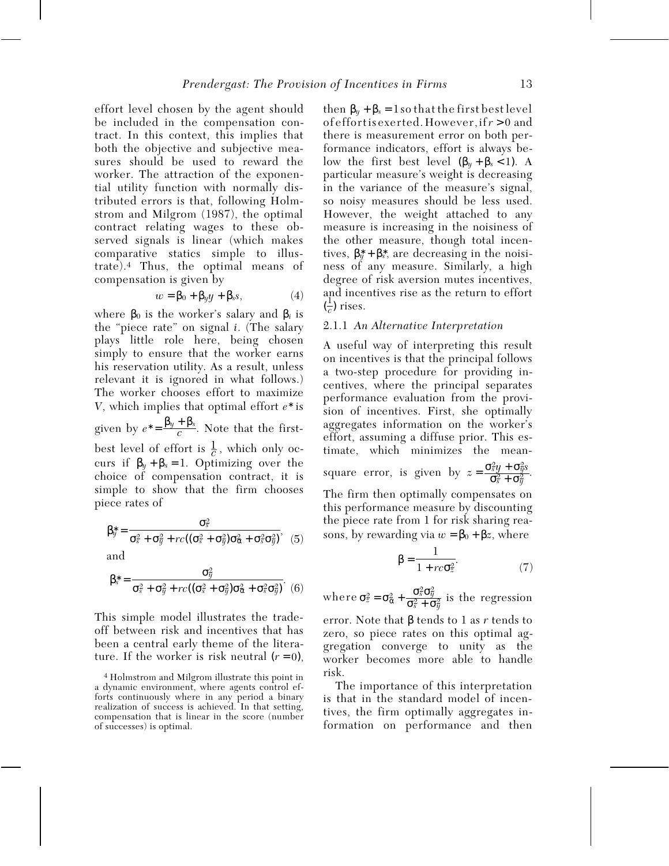effort level chosen by the agent should be included in the compensation contract. In this context, this implies that both the objective and subjective measures should be used to reward the worker. The attraction of the exponential utility function with normally distributed errors is that, following Holmstrom and Milgrom (1987), the optimal contract relating wages to these observed signals is linear (which makes comparative statics simple to illustrate).4 Thus, the optimal means of compensation is given by

$$
w = \beta_0 + \beta_y y + \beta_s s, \qquad (4)
$$

where  $β_0$  is the worker's salary and  $β_i$  is the "piece rate" on signal *i*. (The salary plays little role here, being chosen simply to ensure that the worker earns his reservation utility. As a result, unless relevant it is ignored in what follows.) The worker chooses effort to maximize *V*, which implies that optimal effort *e*<sup>∗</sup> is given by  $e^* = \frac{\beta_y + \beta_s}{c}$ . Note that the firstbest level of effort is  $\frac{1}{c}$ , which only occurs if  $\beta_y + \beta_s = 1$ . Optimizing over the choice of compensation contract, it is simple to show that the firm chooses piece rates of

$$
\beta_{ij}^* = \frac{\sigma_s^2}{\sigma_s^2 + \sigma_{ij}^2 + rc((\sigma_s^2 + \sigma_{ij}^2)\sigma_\alpha^2 + \sigma_s^2\sigma_{ij}^2)},
$$
 (5)

and

$$
\beta_{s}^{*} = \frac{\sigma_{y}^{2}}{\sigma_{s}^{2} + \sigma_{y}^{2} + rc((\sigma_{s}^{2} + \sigma_{y}^{2})\sigma_{\alpha}^{2} + \sigma_{s}^{2}\sigma_{y}^{2})}. \tag{6}
$$

This simple model illustrates the tradeoff between risk and incentives that has been a central early theme of the literature. If the worker is risk neutral  $(r = 0)$ ,

4 Holmstrom and Milgrom illustrate this point in a dynamic environment, where agents control efforts continuously where in any period a binary realization of success is achieved. In that setting, compensation that is linear in the score (number of successes) is optimal.

then  $β_y + β_s = 1$  so that the first best level of effort is exerted. However, if *r* > 0 and there is measurement error on both performance indicators, effort is always below the first best level  $(β<sub>y</sub> + β<sub>s</sub> < 1)$ . A particular measure's weight is decreasing in the variance of the measure's signal, so noisy measures should be less used. However, the weight attached to any measure is increasing in the noisiness of the other measure, though total incentives,  $\beta_{y}^{*} + \beta_{s}^{*}$ , are decreasing in the noisiness of any measure. Similarly, a high degree of risk aversion mutes incentives, and incentives rise as the return to effort  $\left(\frac{1}{c}\right)$  rises.

#### 2.1.1 *An Alternative Interpretation*

A useful way of interpreting this result on incentives is that the principal follows a two-step procedure for providing incentives, where the principal separates performance evaluation from the provision of incentives. First, she optimally aggregates information on the worker's effort, assuming a diffuse prior. This estimate, which minimizes the meansquare error, is given by  $z = \frac{\sigma_s^2 y + \sigma_y^2 s}{\sigma_s^2 + \sigma_z^2}$  $\frac{\sigma_s^2 + \sigma_y^2}{\sigma_s^2 + \sigma_y^2}$ . The firm then optimally compensates on this performance measure by discounting the piece rate from 1 for risk sharing reasons, by rewarding via  $w = \beta_0 + \beta z$ , where

$$
\beta = \frac{1}{1 + rc\sigma_z^2}.\tag{7}
$$

where 
$$
\sigma_z^2 = \sigma_{\alpha}^2 + \frac{\sigma_s^2 \sigma_y^2}{\sigma_s^2 + \sigma_y^2}
$$
 is the regression

error. Note that β tends to 1 as *r* tends to zero, so piece rates on this optimal aggregation converge to unity as the worker becomes more able to handle risk.

The importance of this interpretation is that in the standard model of incentives, the firm optimally aggregates information on performance and then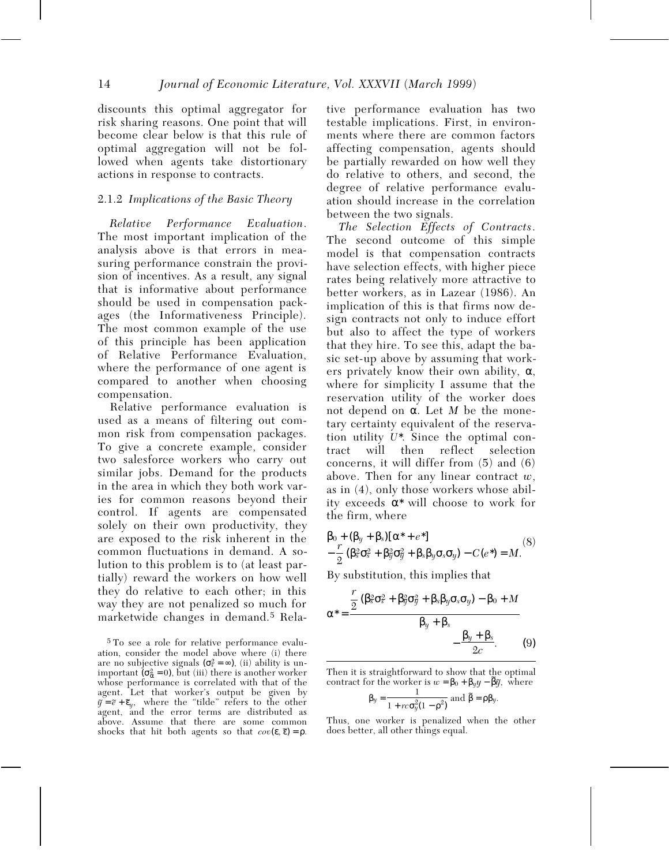discounts this optimal aggregator for risk sharing reasons. One point that will become clear below is that this rule of optimal aggregation will not be followed when agents take distortionary actions in response to contracts.

## 2.1.2 *Implications of the Basic Theory*

*Relative Performance Evaluation*. The most important implication of the analysis above is that errors in measuring performance constrain the provision of incentives. As a result, any signal that is informative about performance should be used in compensation packages (the Informativeness Principle). The most common example of the use of this principle has been application of Relative Performance Evaluation, where the performance of one agent is compared to another when choosing compensation.

Relative performance evaluation is used as a means of filtering out common risk from compensation packages. To give a concrete example, consider two salesforce workers who carry out similar jobs. Demand for the products in the area in which they both work varies for common reasons beyond their control. If agents are compensated solely on their own productivity, they are exposed to the risk inherent in the common fluctuations in demand. A solution to this problem is to (at least partially) reward the workers on how well they do relative to each other; in this way they are not penalized so much for marketwide changes in demand.5 Rela-

<sup>5</sup>To see a role for relative performance evaluation, consider the model above where (i) there are no subjective signals ( $\sigma_s^2 = \infty$ ), (ii) ability is unimportant ( $\sigma_{\alpha}^2 = 0$ ), but (iii) there is another worker whose performance is correlated with that of the agent. Let that worker's output be given by  $\widetilde{y} = \widetilde{e} + \widetilde{\epsilon}_y$ , where the "tilde" refers to the other agent, and the error terms are distributed as above. Assume that there are some common shocks that hit both agents so that  $cov(\varepsilon, \tilde{\varepsilon}) = \rho$ .

tive performance evaluation has two testable implications. First, in environments where there are common factors affecting compensation, agents should be partially rewarded on how well they do relative to others, and second, the degree of relative performance evaluation should increase in the correlation between the two signals.

*The Selection Effects of Contracts*. The second outcome of this simple model is that compensation contracts have selection effects, with higher piece rates being relatively more attractive to better workers, as in Lazear (1986). An implication of this is that firms now design contracts not only to induce effort but also to affect the type of workers that they hire. To see this, adapt the basic set-up above by assuming that workers privately know their own ability,  $\alpha$ , where for simplicity I assume that the reservation utility of the worker does not depend on α. Let *M* be the monetary certainty equivalent of the reservation utility *U*∗. Since the optimal contract will then reflect selection concerns, it will differ from (5) and (6) above. Then for any linear contract *w*, as in (4), only those workers whose ability exceeds  $\alpha^*$  will choose to work for the firm, where

$$
\beta_0 + (\beta_y + \beta_s)[\alpha^* + e^*] -\frac{r}{2} (\beta_s^2 \sigma_s^2 + \beta_{\tilde{y}}^2 \sigma_{\tilde{y}}^2 + \beta_s \beta_y \sigma_s \sigma_y) - C(e^*) = M.
$$
 (8)

By substitution, this implies that

$$
\alpha^* = \frac{\frac{r}{2} \left( \beta_s^2 \sigma_s^2 + \beta_{\tilde{y}}^2 \sigma_{\tilde{y}}^2 + \beta_s \beta_y \sigma_s \sigma_y \right) - \beta_0 + M}{\beta_y + \beta_s} - \frac{\beta_y + \beta_s}{2c}.
$$
 (9)

$$
\beta_y = \frac{1}{1 + r c \sigma_y^2 (1 - \rho^2)} \text{ and } \tilde{\beta} = \rho \beta_y.
$$

Thus, one worker is penalized when the other does better, all other things equal.

Then it is straightforward to show that the optimal contract for the worker is  $w = \beta_0 + \beta_y y - \tilde{\beta} \tilde{y}$ , where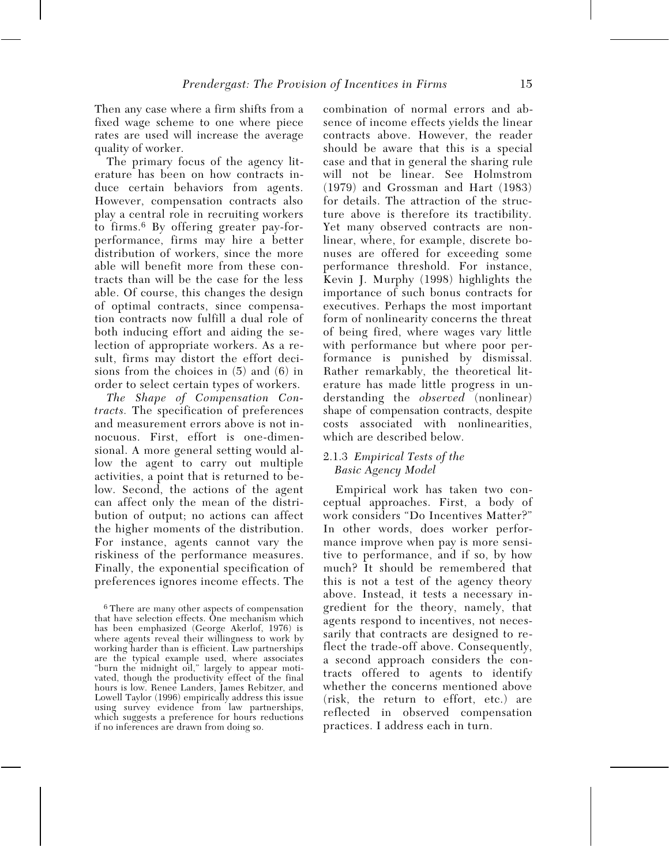Then any case where a firm shifts from a fixed wage scheme to one where piece rates are used will increase the average quality of worker.

The primary focus of the agency literature has been on how contracts induce certain behaviors from agents. However, compensation contracts also play a central role in recruiting workers to firms.6 By offering greater pay-forperformance, firms may hire a better distribution of workers, since the more able will benefit more from these contracts than will be the case for the less able. Of course, this changes the design of optimal contracts, since compensation contracts now fulfill a dual role of both inducing effort and aiding the selection of appropriate workers. As a result, firms may distort the effort decisions from the choices in (5) and (6) in order to select certain types of workers.

*The Shape of Compensation Contracts.* The specification of preferences and measurement errors above is not innocuous. First, effort is one-dimensional. A more general setting would allow the agent to carry out multiple activities, a point that is returned to below. Second, the actions of the agent can affect only the mean of the distribution of output; no actions can affect the higher moments of the distribution. For instance, agents cannot vary the riskiness of the performance measures. Finally, the exponential specification of preferences ignores income effects. The

combination of normal errors and absence of income effects yields the linear contracts above. However, the reader should be aware that this is a special case and that in general the sharing rule will not be linear. See Holmstrom (1979) and Grossman and Hart (1983) for details. The attraction of the structure above is therefore its tractibility. Yet many observed contracts are nonlinear, where, for example, discrete bonuses are offered for exceeding some performance threshold. For instance, Kevin J. Murphy (1998) highlights the importance of such bonus contracts for executives. Perhaps the most important form of nonlinearity concerns the threat of being fired, where wages vary little with performance but where poor performance is punished by dismissal. Rather remarkably, the theoretical literature has made little progress in understanding the *observed* (nonlinear) shape of compensation contracts, despite costs associated with nonlinearities, which are described below.

## 2.1.3 *Empirical Tests of the Basic Agency Model*

Empirical work has taken two conceptual approaches. First, a body of work considers "Do Incentives Matter?" In other words, does worker performance improve when pay is more sensitive to performance, and if so, by how much? It should be remembered that this is not a test of the agency theory above. Instead, it tests a necessary ingredient for the theory, namely, that agents respond to incentives, not necessarily that contracts are designed to reflect the trade-off above. Consequently, a second approach considers the contracts offered to agents to identify whether the concerns mentioned above (risk, the return to effort, etc.) are reflected in observed compensation practices. I address each in turn.

<sup>6</sup> There are many other aspects of compensation that have selection effects. One mechanism which has been emphasized (George Akerlof, 1976) is where agents reveal their willingness to work by working harder than is efficient. Law partnerships are the typical example used, where associates "burn the midnight oil," largely to appear motivated, though the productivity effect of the final hours is low. Renee Landers, James Rebitzer, and Lowell Taylor (1996) empirically address this issue using survey evidence from law partnerships, which suggests a preference for hours reductions if no inferences are drawn from doing so.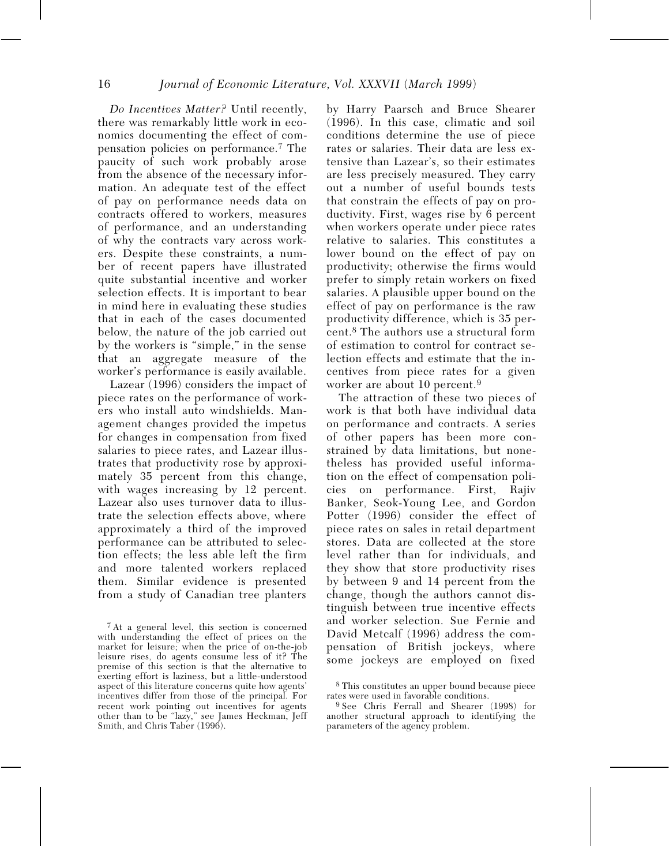*Do Incentives Matter?* Until recently, there was remarkably little work in economics documenting the effect of compensation policies on performance.7 The paucity of such work probably arose from the absence of the necessary information. An adequate test of the effect of pay on performance needs data on contracts offered to workers, measures of performance, and an understanding of why the contracts vary across workers. Despite these constraints, a number of recent papers have illustrated quite substantial incentive and worker selection effects. It is important to bear in mind here in evaluating these studies that in each of the cases documented below, the nature of the job carried out by the workers is "simple," in the sense that an aggregate measure of the worker's performance is easily available.

Lazear (1996) considers the impact of piece rates on the performance of workers who install auto windshields. Management changes provided the impetus for changes in compensation from fixed salaries to piece rates, and Lazear illustrates that productivity rose by approximately 35 percent from this change, with wages increasing by 12 percent. Lazear also uses turnover data to illustrate the selection effects above, where approximately a third of the improved performance can be attributed to selection effects; the less able left the firm and more talented workers replaced them. Similar evidence is presented from a study of Canadian tree planters

by Harry Paarsch and Bruce Shearer (1996). In this case, climatic and soil conditions determine the use of piece rates or salaries. Their data are less extensive than Lazear's, so their estimates are less precisely measured. They carry out a number of useful bounds tests that constrain the effects of pay on productivity. First, wages rise by 6 percent when workers operate under piece rates relative to salaries. This constitutes a lower bound on the effect of pay on productivity; otherwise the firms would prefer to simply retain workers on fixed salaries. A plausible upper bound on the effect of pay on performance is the raw productivity difference, which is 35 percent.8 The authors use a structural form of estimation to control for contract selection effects and estimate that the incentives from piece rates for a given worker are about 10 percent.9

The attraction of these two pieces of work is that both have individual data on performance and contracts. A series of other papers has been more constrained by data limitations, but nonetheless has provided useful information on the effect of compensation policies on performance. First, Rajiv Banker, Seok-Young Lee, and Gordon Potter (1996) consider the effect of piece rates on sales in retail department stores. Data are collected at the store level rather than for individuals, and they show that store productivity rises by between 9 and 14 percent from the change, though the authors cannot distinguish between true incentive effects and worker selection. Sue Fernie and David Metcalf (1996) address the compensation of British jockeys, where some jockeys are employed on fixed

<sup>7</sup> At a general level, this section is concerned with understanding the effect of prices on the market for leisure; when the price of on-the-job leisure rises, do agents consume less of it? The premise of this section is that the alternative to exerting effort is laziness, but a little-understood aspect of this literature concerns quite how agents' incentives differ from those of the principal. For recent work pointing out incentives for agents other than to be "lazy," see James Heckman, Jeff Smith, and Chris Taber (1996).

<sup>8</sup> This constitutes an upper bound because piece rates were used in favorable conditions.

<sup>9</sup> See Chris Ferrall and Shearer (1998) for another structural approach to identifying the parameters of the agency problem.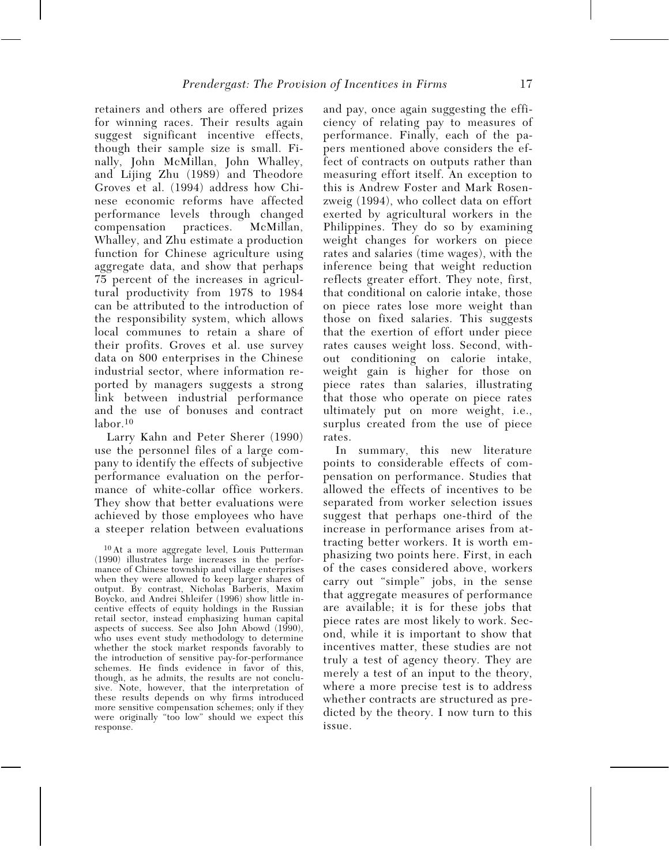retainers and others are offered prizes for winning races. Their results again suggest significant incentive effects, though their sample size is small. Finally, John McMillan, John Whalley, and Lijing Zhu (1989) and Theodore Groves et al. (1994) address how Chinese economic reforms have affected performance levels through changed compensation practices. McMillan, Whalley, and Zhu estimate a production function for Chinese agriculture using aggregate data, and show that perhaps 75 percent of the increases in agricultural productivity from 1978 to 1984 can be attributed to the introduction of the responsibility system, which allows local communes to retain a share of their profits. Groves et al. use survey data on 800 enterprises in the Chinese industrial sector, where information reported by managers suggests a strong link between industrial performance and the use of bonuses and contract labor.10

Larry Kahn and Peter Sherer (1990) use the personnel files of a large company to identify the effects of subjective performance evaluation on the performance of white-collar office workers. They show that better evaluations were achieved by those employees who have a steeper relation between evaluations

and pay, once again suggesting the efficiency of relating pay to measures of performance. Finally, each of the papers mentioned above considers the effect of contracts on outputs rather than measuring effort itself. An exception to this is Andrew Foster and Mark Rosenzweig (1994), who collect data on effort exerted by agricultural workers in the Philippines. They do so by examining weight changes for workers on piece rates and salaries (time wages), with the inference being that weight reduction reflects greater effort. They note, first, that conditional on calorie intake, those on piece rates lose more weight than those on fixed salaries. This suggests that the exertion of effort under piece rates causes weight loss. Second, without conditioning on calorie intake, weight gain is higher for those on piece rates than salaries, illustrating that those who operate on piece rates ultimately put on more weight, i.e., surplus created from the use of piece rates.

In summary, this new literature points to considerable effects of compensation on performance. Studies that allowed the effects of incentives to be separated from worker selection issues suggest that perhaps one-third of the increase in performance arises from attracting better workers. It is worth emphasizing two points here. First, in each of the cases considered above, workers carry out "simple" jobs, in the sense that aggregate measures of performance are available; it is for these jobs that piece rates are most likely to work. Second, while it is important to show that incentives matter, these studies are not truly a test of agency theory. They are merely a test of an input to the theory, where a more precise test is to address whether contracts are structured as predicted by the theory. I now turn to this issue.

<sup>10</sup> At a more aggregate level, Louis Putterman (1990) illustrates large increases in the performance of Chinese township and village enterprises when they were allowed to keep larger shares of output. By contrast, Nicholas Barberis, Maxim Boycko, and Andrei Shleifer (1996) show little incentive effects of equity holdings in the Russian retail sector, instead emphasizing human capital aspects of success. See also John Abowd (1990), who uses event study methodology to determine whether the stock market responds favorably to the introduction of sensitive pay-for-performance schemes. He finds evidence in favor of this, though, as he admits, the results are not conclusive. Note, however, that the interpretation of these results depends on why firms introduced more sensitive compensation schemes; only if they were originally "too low" should we expect this response.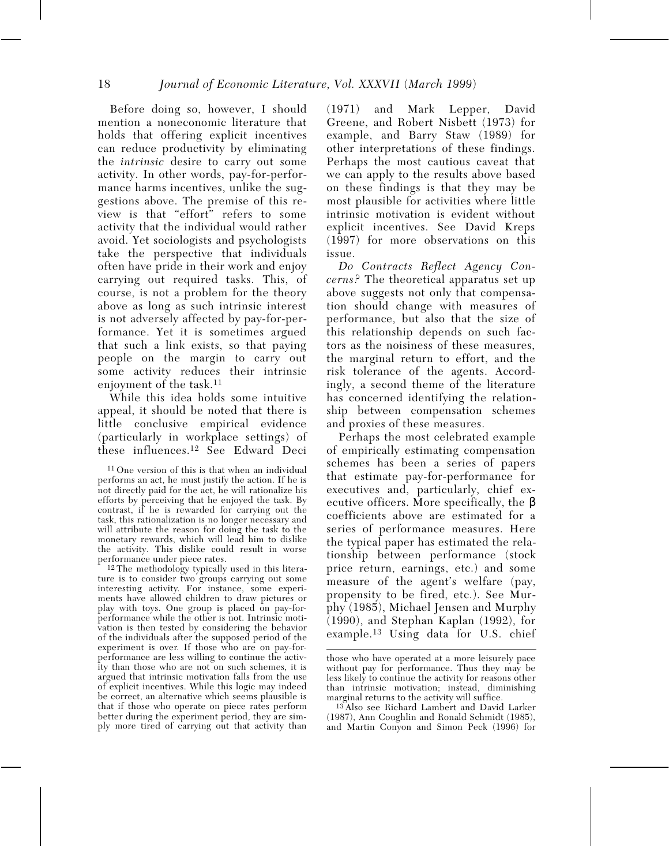Before doing so, however, I should mention a noneconomic literature that holds that offering explicit incentives can reduce productivity by eliminating the *intrinsic* desire to carry out some activity. In other words, pay-for-performance harms incentives, unlike the suggestions above. The premise of this review is that "effort" refers to some activity that the individual would rather avoid. Yet sociologists and psychologists take the perspective that individuals often have pride in their work and enjoy carrying out required tasks. This, of course, is not a problem for the theory above as long as such intrinsic interest is not adversely affected by pay-for-performance. Yet it is sometimes argued that such a link exists, so that paying people on the margin to carry out some activity reduces their intrinsic enjoyment of the task.11

While this idea holds some intuitive appeal, it should be noted that there is little conclusive empirical evidence (particularly in workplace settings) of these influences.12 See Edward Deci

12 The methodology typically used in this literature is to consider two groups carrying out some interesting activity. For instance, some experiments have allowed children to draw pictures or play with toys. One group is placed on pay-forperformance while the other is not. Intrinsic motivation is then tested by considering the behavior of the individuals after the supposed period of the experiment is over. If those who are on pay-forperformance are less willing to continue the activity than those who are not on such schemes, it is argued that intrinsic motivation falls from the use of explicit incentives. While this logic may indeed be correct, an alternative which seems plausible is that if those who operate on piece rates perform better during the experiment period, they are simply more tired of carrying out that activity than (1971) and Mark Lepper, David Greene, and Robert Nisbett (1973) for example, and Barry Staw (1989) for other interpretations of these findings. Perhaps the most cautious caveat that we can apply to the results above based on these findings is that they may be most plausible for activities where little intrinsic motivation is evident without explicit incentives. See David Kreps (1997) for more observations on this issue.

*Do Contracts Reflect Agency Concerns?* The theoretical apparatus set up above suggests not only that compensation should change with measures of performance, but also that the size of this relationship depends on such factors as the noisiness of these measures, the marginal return to effort, and the risk tolerance of the agents. Accordingly, a second theme of the literature has concerned identifying the relationship between compensation schemes and proxies of these measures.

Perhaps the most celebrated example of empirically estimating compensation schemes has been a series of papers that estimate pay-for-performance for executives and, particularly, chief executive officers. More specifically, the  $β$ coefficients above are estimated for a series of performance measures. Here the typical paper has estimated the relationship between performance (stock price return, earnings, etc.) and some measure of the agent's welfare (pay, propensity to be fired, etc.). See Murphy (1985), Michael Jensen and Murphy (1990), and Stephan Kaplan (1992), for example.13 Using data for U.S. chief

13 Also see Richard Lambert and David Larker (1987), Ann Coughlin and Ronald Schmidt (1985), and Martin Conyon and Simon Peck (1996) for

<sup>11</sup> One version of this is that when an individual performs an act, he must justify the action. If he is not directly paid for the act, he will rationalize his efforts by perceiving that he enjoyed the task. By contrast, if he is rewarded for carrying out the task, this rationalization is no longer necessary and will attribute the reason for doing the task to the monetary rewards, which will lead him to dislike the activity. This dislike could result in worse performance under piece rates.

those who have operated at a more leisurely pace without pay for performance. Thus they may be less likely to continue the activity for reasons other than intrinsic motivation; instead, diminishing marginal returns to the activity will suffice.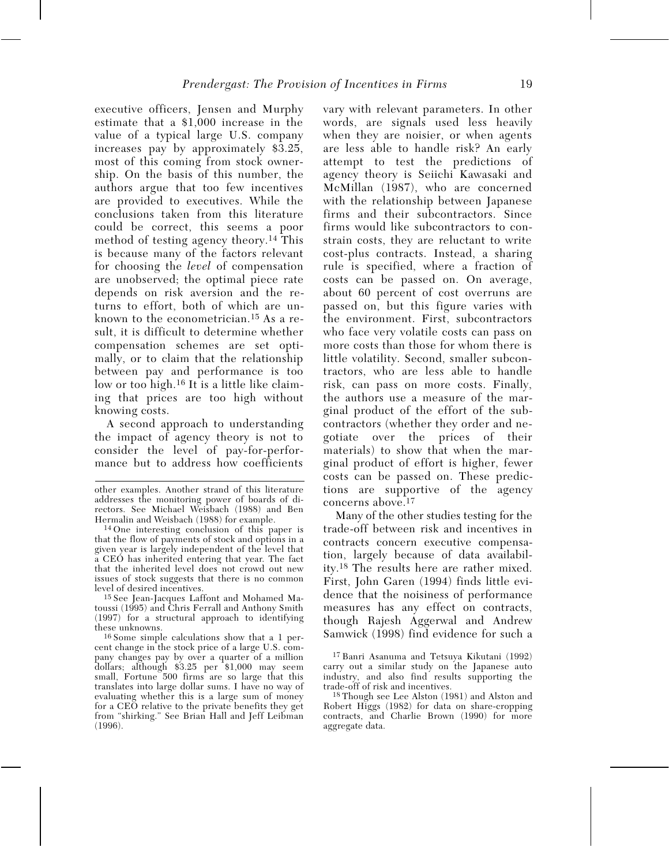executive officers, Jensen and Murphy estimate that a \$1,000 increase in the value of a typical large U.S. company increases pay by approximately \$3.25, most of this coming from stock ownership. On the basis of this number, the authors argue that too few incentives are provided to executives. While the conclusions taken from this literature could be correct, this seems a poor method of testing agency theory.14 This is because many of the factors relevant for choosing the *level* of compensation are unobserved; the optimal piece rate depends on risk aversion and the returns to effort, both of which are unknown to the econometrician.15 As a result, it is difficult to determine whether compensation schemes are set optimally, or to claim that the relationship between pay and performance is too low or too high.16 It is a little like claiming that prices are too high without knowing costs.

A second approach to understanding the impact of agency theory is not to consider the level of pay-for-performance but to address how coefficients

15 See Jean-Jacques Laffont and Mohamed Matoussi (1995) and Chris Ferrall and Anthony Smith (1997) for a structural approach to identifying these unknowns.

16 Some simple calculations show that a 1 percent change in the stock price of a large U.S. company changes pay by over a quarter of a million dollars; although \$3.25 per \$1,000 may seem small, Fortune 500 firms are so large that this translates into large dollar sums. I have no way of evaluating whether this is a large sum of money for a CEO relative to the private benefits they get from "shirking." See Brian Hall and Jeff Leibman (1996).

vary with relevant parameters. In other words, are signals used less heavily when they are noisier, or when agents are less able to handle risk? An early attempt to test the predictions of agency theory is Seiichi Kawasaki and McMillan (1987), who are concerned with the relationship between Japanese firms and their subcontractors. Since firms would like subcontractors to constrain costs, they are reluctant to write cost-plus contracts. Instead, a sharing rule is specified, where a fraction of costs can be passed on. On average, about 60 percent of cost overruns are passed on, but this figure varies with the environment. First, subcontractors who face very volatile costs can pass on more costs than those for whom there is little volatility. Second, smaller subcontractors, who are less able to handle risk, can pass on more costs. Finally, the authors use a measure of the marginal product of the effort of the subcontractors (whether they order and negotiate over the prices of their materials) to show that when the marginal product of effort is higher, fewer costs can be passed on. These predictions are supportive of the agency concerns above.17

 Many of the other studies testing for the trade-off between risk and incentives in contracts concern executive compensation, largely because of data availability.18 The results here are rather mixed. First, John Garen (1994) finds little evidence that the noisiness of performance measures has any effect on contracts, though Rajesh Aggerwal and Andrew Samwick (1998) find evidence for such a

other examples. Another strand of this literature addresses the monitoring power of boards of directors. See Michael Weisbach (1988) and Ben Hermalin and Weisbach (1988) for example.

<sup>14</sup> One interesting conclusion of this paper is that the flow of payments of stock and options in a given year is largely independent of the level that a CEO has inherited entering that year. The fact that the inherited level does not crowd out new issues of stock suggests that there is no common level of desired incentives.

<sup>17</sup> Banri Asanuma and Tetsuya Kikutani (1992) carry out a similar study on the Japanese auto industry, and also find results supporting the trade-off of risk and incentives.

<sup>18</sup> Though see Lee Alston (1981) and Alston and Robert Higgs (1982) for data on share-cropping contracts, and Charlie Brown (1990) for more aggregate data.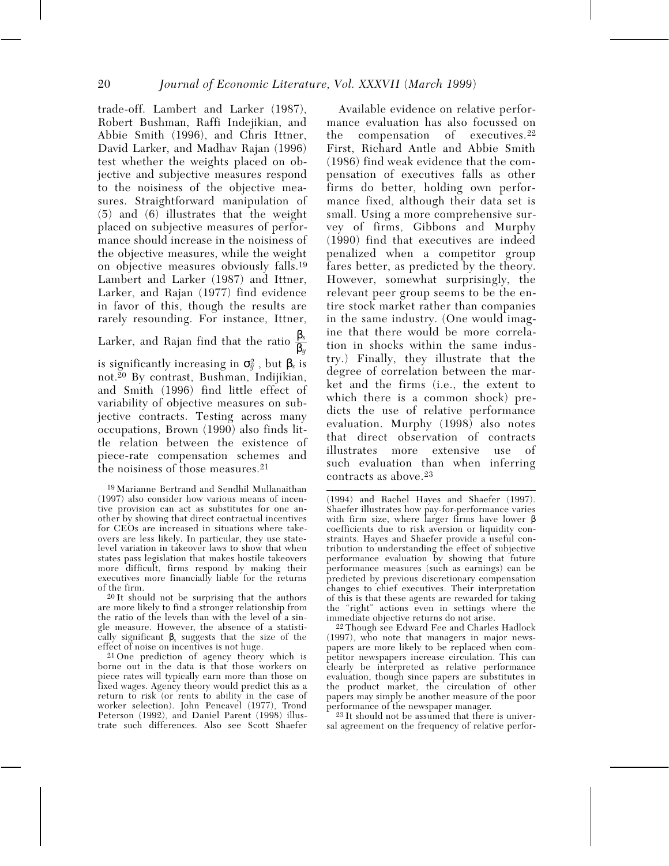trade-off. Lambert and Larker (1987), Robert Bushman, Raffi Indejikian, and Abbie Smith (1996), and Chris Ittner, David Larker, and Madhav Rajan (1996) test whether the weights placed on objective and subjective measures respond to the noisiness of the objective measures. Straightforward manipulation of (5) and (6) illustrates that the weight placed on subjective measures of performance should increase in the noisiness of the objective measures, while the weight on objective measures obviously falls.19 Lambert and Larker (1987) and Ittner, Larker, and Rajan (1977) find evidence in favor of this, though the results are rarely resounding. For instance, Ittner,

Larker, and Rajan find that the ratio  $\frac{\beta_s}{\beta_y}$ 

is significantly increasing in σ*<sup>y</sup>* 2 , but β*s* is not.20 By contrast, Bushman, Indijikian, and Smith (1996) find little effect of variability of objective measures on subjective contracts. Testing across many occupations, Brown (1990) also finds little relation between the existence of piece-rate compensation schemes and the noisiness of those measures.21

19 Marianne Bertrand and Sendhil Mullanaithan (1997) also consider how various means of incentive provision can act as substitutes for one another by showing that direct contractual incentives for CEOs are increased in situations where takeovers are less likely. In particular, they use statelevel variation in takeover laws to show that when states pass legislation that makes hostile takeovers more difficult, firms respond by making their executives more financially liable for the returns of the firm.

20 It should not be surprising that the authors are more likely to find a stronger relationship from the ratio of the levels than with the level of a single measure. However, the absence of a statistically significant β*s* suggests that the size of the effect of noise on incentives is not huge.

21 One prediction of agency theory which is borne out in the data is that those workers on piece rates will typically earn more than those on fixed wages. Agency theory would predict this as a return to risk (or rents to ability in the case of worker selection). John Pencavel (1977), Trond Peterson (1992), and Daniel Parent (1998) illustrate such differences. Also see Scott Shaefer

Available evidence on relative performance evaluation has also focussed on the compensation of executives.22 First, Richard Antle and Abbie Smith (1986) find weak evidence that the compensation of executives falls as other firms do better, holding own performance fixed, although their data set is small. Using a more comprehensive survey of firms, Gibbons and Murphy (1990) find that executives are indeed penalized when a competitor group fares better, as predicted by the theory. However, somewhat surprisingly, the relevant peer group seems to be the entire stock market rather than companies in the same industry. (One would imagine that there would be more correlation in shocks within the same industry.) Finally, they illustrate that the degree of correlation between the market and the firms (i.e., the extent to which there is a common shock) predicts the use of relative performance evaluation. Murphy (1998) also notes that direct observation of contracts illustrates more extensive use of such evaluation than when inferring contracts as above.23

(1994) and Rachel Hayes and Shaefer (1997). Shaefer illustrates how pay-for-performance varies with firm size, where larger firms have lower β coefficients due to risk aversion or liquidity constraints. Hayes and Shaefer provide a useful contribution to understanding the effect of subjective performance evaluation by showing that future performance measures (such as earnings) can be predicted by previous discretionary compensation changes to chief executives. Their interpretation of this is that these agents are rewarded for taking the "right" actions even in settings where the immediate objective returns do not arise.

22 Though see Edward Fee and Charles Hadlock (1997), who note that managers in major newspapers are more likely to be replaced when competitor newspapers increase circulation. This can clearly be interpreted as relative performance evaluation, though since papers are substitutes in the product market, the circulation of other papers may simply be another measure of the poor performance of the newspaper manager.

23 It should not be assumed that there is universal agreement on the frequency of relative perfor-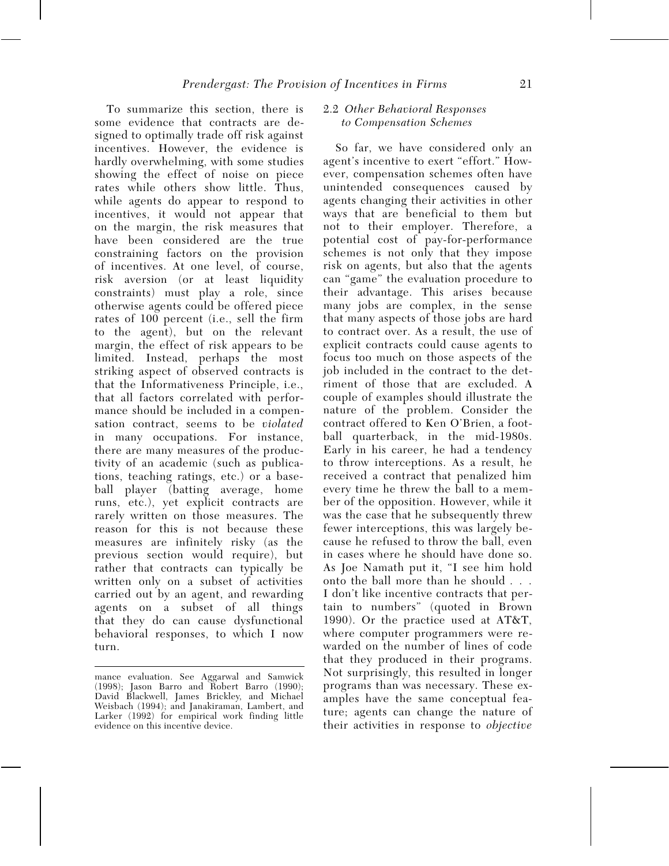To summarize this section, there is some evidence that contracts are designed to optimally trade off risk against incentives. However, the evidence is hardly overwhelming, with some studies showing the effect of noise on piece rates while others show little. Thus, while agents do appear to respond to incentives, it would not appear that on the margin, the risk measures that have been considered are the true constraining factors on the provision of incentives. At one level, of course, risk aversion (or at least liquidity constraints) must play a role, since otherwise agents could be offered piece rates of 100 percent (i.e., sell the firm to the agent), but on the relevant margin, the effect of risk appears to be limited. Instead, perhaps the most striking aspect of observed contracts is that the Informativeness Principle, i.e., that all factors correlated with performance should be included in a compensation contract, seems to be *violated* in many occupations. For instance, there are many measures of the productivity of an academic (such as publications, teaching ratings, etc.) or a baseball player (batting average, home runs, etc.), yet explicit contracts are rarely written on those measures. The reason for this is not because these measures are infinitely risky (as the previous section would require), but rather that contracts can typically be written only on a subset of activities carried out by an agent, and rewarding agents on a subset of all things that they do can cause dysfunctional behavioral responses, to which I now turn.

#### 2.2 *Other Behavioral Responses to Compensation Schemes*

So far, we have considered only an agent's incentive to exert "effort." However, compensation schemes often have unintended consequences caused by agents changing their activities in other ways that are beneficial to them but not to their employer. Therefore, a potential cost of pay-for-performance schemes is not only that they impose risk on agents, but also that the agents can "game" the evaluation procedure to their advantage. This arises because many jobs are complex, in the sense that many aspects of those jobs are hard to contract over. As a result, the use of explicit contracts could cause agents to focus too much on those aspects of the job included in the contract to the detriment of those that are excluded. A couple of examples should illustrate the nature of the problem. Consider the contract offered to Ken O'Brien, a football quarterback, in the mid-1980s. Early in his career, he had a tendency to throw interceptions. As a result, he received a contract that penalized him every time he threw the ball to a member of the opposition. However, while it was the case that he subsequently threw fewer interceptions, this was largely because he refused to throw the ball, even in cases where he should have done so. As Joe Namath put it, "I see him hold onto the ball more than he should . . . I don't like incentive contracts that pertain to numbers" (quoted in Brown 1990). Or the practice used at AT&T, where computer programmers were rewarded on the number of lines of code that they produced in their programs. Not surprisingly, this resulted in longer programs than was necessary. These examples have the same conceptual feature; agents can change the nature of their activities in response to *objective*

mance evaluation. See Aggarwal and Samwick (1998); Jason Barro and Robert Barro (1990); David Blackwell, James Brickley, and Michael Weisbach (1994); and Janakiraman, Lambert, and Larker (1992) for empirical work finding little evidence on this incentive device.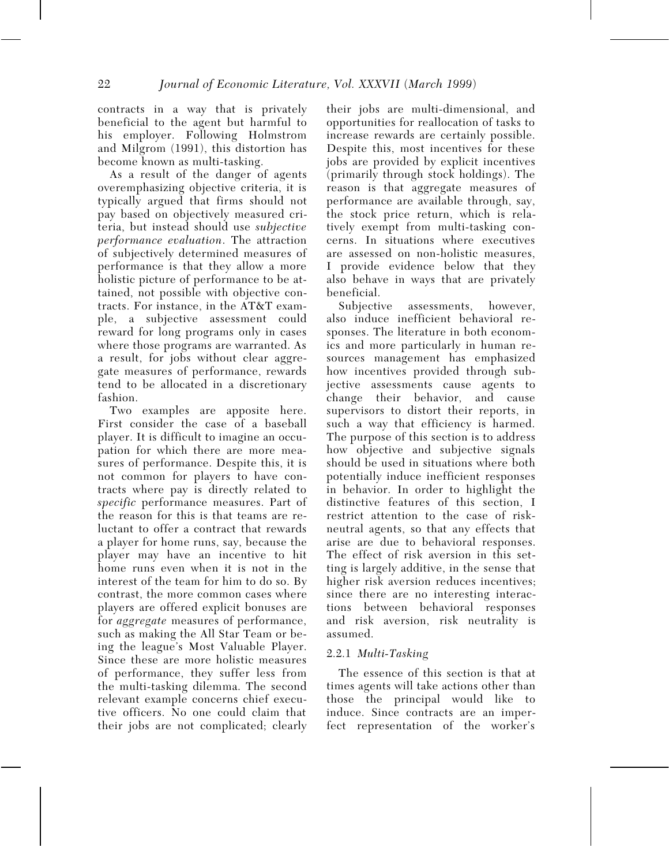contracts in a way that is privately beneficial to the agent but harmful to his employer. Following Holmstrom and Milgrom (1991), this distortion has become known as multi-tasking.

As a result of the danger of agents overemphasizing objective criteria, it is typically argued that firms should not pay based on objectively measured criteria, but instead should use *subjective performance evaluation*. The attraction of subjectively determined measures of performance is that they allow a more holistic picture of performance to be attained, not possible with objective contracts. For instance, in the AT&T example, a subjective assessment could reward for long programs only in cases where those programs are warranted. As a result, for jobs without clear aggregate measures of performance, rewards tend to be allocated in a discretionary fashion.

Two examples are apposite here. First consider the case of a baseball player. It is difficult to imagine an occupation for which there are more measures of performance. Despite this, it is not common for players to have contracts where pay is directly related to *specific* performance measures. Part of the reason for this is that teams are reluctant to offer a contract that rewards a player for home runs, say, because the player may have an incentive to hit home runs even when it is not in the interest of the team for him to do so. By contrast, the more common cases where players are offered explicit bonuses are for *aggregate* measures of performance, such as making the All Star Team or being the league's Most Valuable Player. Since these are more holistic measures of performance, they suffer less from the multi-tasking dilemma. The second relevant example concerns chief executive officers. No one could claim that their jobs are not complicated; clearly

their jobs are multi-dimensional, and opportunities for reallocation of tasks to increase rewards are certainly possible. Despite this, most incentives for these jobs are provided by explicit incentives (primarily through stock holdings). The reason is that aggregate measures of performance are available through, say, the stock price return, which is relatively exempt from multi-tasking concerns. In situations where executives are assessed on non-holistic measures, I provide evidence below that they also behave in ways that are privately beneficial.

Subjective assessments, however, also induce inefficient behavioral responses. The literature in both economics and more particularly in human resources management has emphasized how incentives provided through subjective assessments cause agents to change their behavior, and cause supervisors to distort their reports, in such a way that efficiency is harmed. The purpose of this section is to address how objective and subjective signals should be used in situations where both potentially induce inefficient responses in behavior. In order to highlight the distinctive features of this section, I restrict attention to the case of riskneutral agents, so that any effects that arise are due to behavioral responses. The effect of risk aversion in this setting is largely additive, in the sense that higher risk aversion reduces incentives; since there are no interesting interactions between behavioral responses and risk aversion, risk neutrality is assumed.

## 2.2.1 *Multi-Tasking*

The essence of this section is that at times agents will take actions other than those the principal would like to induce. Since contracts are an imperfect representation of the worker's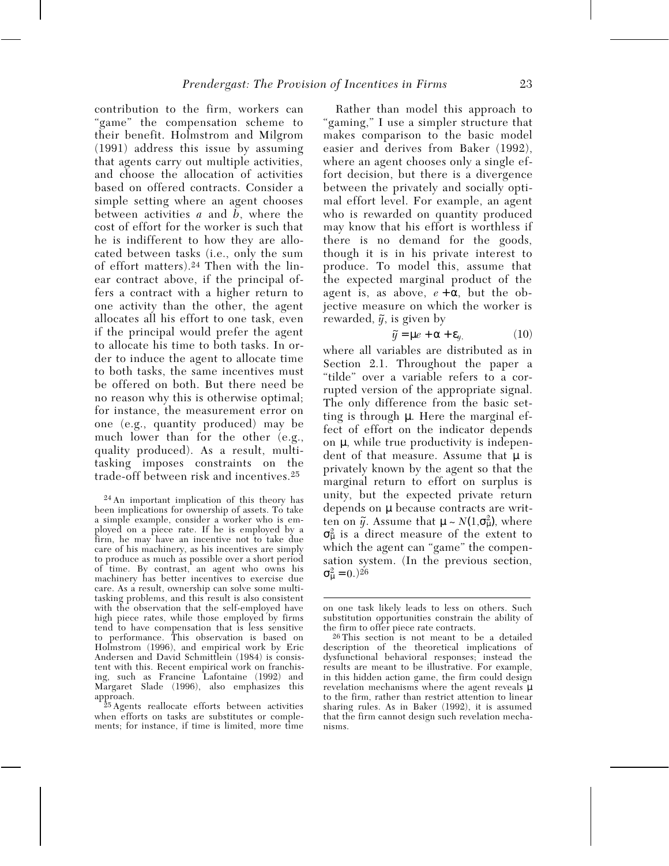contribution to the firm, workers can "game" the compensation scheme to their benefit. Holmstrom and Milgrom (1991) address this issue by assuming that agents carry out multiple activities, and choose the allocation of activities based on offered contracts. Consider a simple setting where an agent chooses between activities *a* and *b*, where the cost of effort for the worker is such that he is indifferent to how they are allocated between tasks (i.e., only the sum of effort matters).24 Then with the linear contract above, if the principal offers a contract with a higher return to one activity than the other, the agent allocates all his effort to one task, even if the principal would prefer the agent to allocate his time to both tasks. In order to induce the agent to allocate time to both tasks, the same incentives must be offered on both. But there need be no reason why this is otherwise optimal; for instance, the measurement error on one (e.g., quantity produced) may be much lower than for the other (e.g., quality produced). As a result, multitasking imposes constraints on the trade-off between risk and incentives.25

Rather than model this approach to "gaming," I use a simpler structure that makes comparison to the basic model easier and derives from Baker (1992), where an agent chooses only a single effort decision, but there is a divergence between the privately and socially optimal effort level. For example, an agent who is rewarded on quantity produced may know that his effort is worthless if there is no demand for the goods, though it is in his private interest to produce. To model this, assume that the expected marginal product of the agent is, as above,  $e + \alpha$ , but the objective measure on which the worker is rewarded,  $\tilde{y}$ , is given by

$$
\tilde{y} = \mu e + \alpha + \varepsilon_y, \qquad (10)
$$

where all variables are distributed as in Section 2.1. Throughout the paper a "tilde" over a variable refers to a corrupted version of the appropriate signal. The only difference from the basic setting is through µ. Here the marginal effect of effort on the indicator depends on µ, while true productivity is independent of that measure. Assume that  $\mu$  is privately known by the agent so that the marginal return to effort on surplus is unity, but the expected private return depends on µ because contracts are written on  $\tilde{y}$ . Assume that  $\mu \sim N(1,\sigma_{\mu}^2)$ , where  $\sigma_{\mu}^{2}$  is a direct measure of the extent to which the agent can "game" the compensation system. (In the previous section,  $\sigma_{\mu}^2 = 0.26$ 

<sup>24</sup> An important implication of this theory has been implications for ownership of assets. To take a simple example, consider a worker who is employed on a piece rate. If he is employed by a firm, he may have an incentive not to take due care of his machinery, as his incentives are simply to produce as much as possible over a short period of time. By contrast, an agent who owns his machinery has better incentives to exercise due care. As a result, ownership can solve some multitasking problems, and this result is also consistent with the observation that the self-employed have high piece rates, while those employed by firms tend to have compensation that is less sensitive to performance. This observation is based on Holmstrom (1996), and empirical work by Eric Andersen and David Schmittlein (1984) is consistent with this. Recent empirical work on franchising, such as Francine Lafontaine (1992) and Margaret Slade (1996), also emphasizes this approach.

 $25$  Agents reallocate efforts between activities when efforts on tasks are substitutes or complements; for instance, if time is limited, more time

on one task likely leads to less on others. Such substitution opportunities constrain the ability of the firm to offer piece rate contracts.

<sup>26</sup> This section is not meant to be a detailed description of the theoretical implications of dysfunctional behavioral responses; instead the results are meant to be illustrative. For example, in this hidden action game, the firm could design revelation mechanisms where the agent reveals µ to the firm, rather than restrict attention to linear sharing rules. As in Baker (1992), it is assumed that the firm cannot design such revelation mechanisms.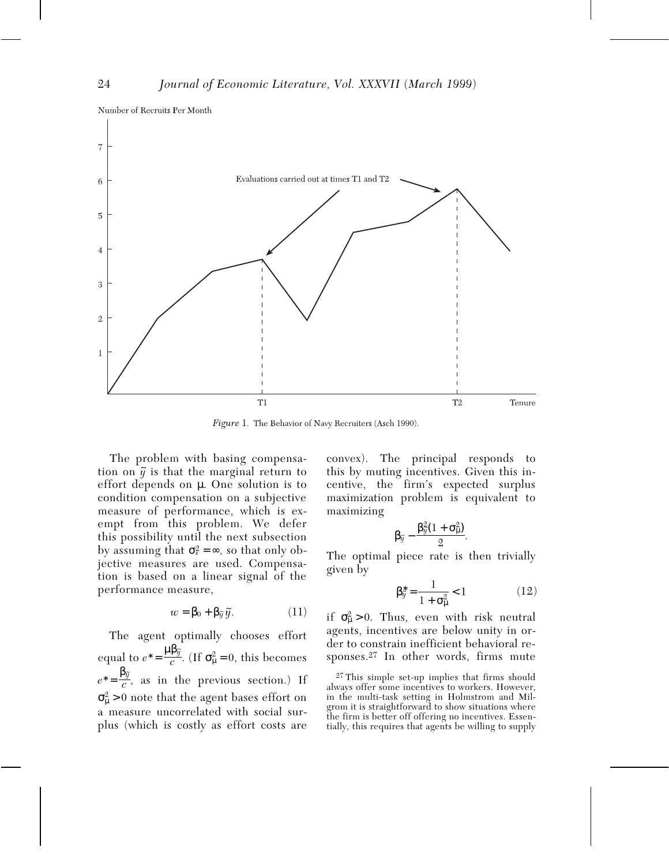

Figure 1. The Behavior of Navy Recruiters (Asch 1990).

The problem with basing compensation on  $\tilde{y}$  is that the marginal return to effort depends on µ. One solution is to condition compensation on a subjective measure of performance, which is exempt from this problem. We defer this possibility until the next subsection by assuming that  $\sigma_s^2 = \infty$ , so that only objective measures are used. Compensation is based on a linear signal of the performance measure,

$$
w = \beta_0 + \beta_{\tilde{y}} \tilde{y}.
$$
 (11)

The agent optimally chooses effort equal to  $e^* = \frac{\mu \beta_{\tilde{y}}}{c}$ . (If  $\sigma_{\mu}^2 = 0$ , this becomes  $e^* = \frac{\beta_{\tilde{y}}}{c}$ , as in the previous section.) If  $\sigma_{\mu}^2 > 0$  note that the agent bases effort on a measure uncorrelated with social surplus (which is costly as effort costs are convex). The principal responds to this by muting incentives. Given this incentive, the firm's expected surplus maximization problem is equivalent to maximizing

$$
\beta_{\widetilde{y}}-\frac{\beta_{\widetilde{y}}^2(1+\sigma_{\mu}^2)}{2}.
$$

The optimal piece rate is then trivially given by

$$
\beta_{\bar{y}}^* = \frac{1}{1 + \sigma_{\mu}^2} < 1 \tag{12}
$$

if  $\sigma_{\mu}^2 > 0$ . Thus, even with risk neutral agents, incentives are below unity in order to constrain inefficient behavioral responses.27 In other words, firms mute

27 This simple set-up implies that firms should always offer some incentives to workers. However, in the multi-task setting in Holmstrom and Milgrom it is straightforward to show situations where the firm is better off offering no incentives. Essentially, this requires that agents be willing to supply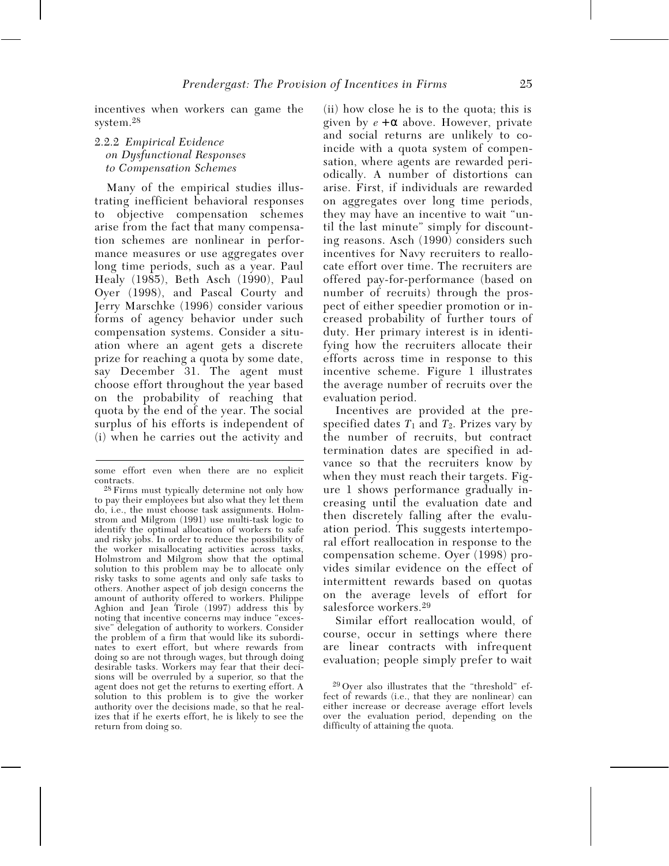incentives when workers can game the system.28

### 2.2.2 *Empirical Evidence on Dysfunctional Responses to Compensation Schemes*

Many of the empirical studies illustrating inefficient behavioral responses to objective compensation schemes arise from the fact that many compensation schemes are nonlinear in performance measures or use aggregates over long time periods, such as a year. Paul Healy (1985), Beth Asch (1990), Paul Oyer (1998), and Pascal Courty and Jerry Marschke (1996) consider various forms of agency behavior under such compensation systems. Consider a situation where an agent gets a discrete prize for reaching a quota by some date, say December 31. The agent must choose effort throughout the year based on the probability of reaching that quota by the end of the year. The social surplus of his efforts is independent of (i) when he carries out the activity and

(ii) how close he is to the quota; this is given by  $e + \alpha$  above. However, private and social returns are unlikely to coincide with a quota system of compensation, where agents are rewarded periodically. A number of distortions can arise. First, if individuals are rewarded on aggregates over long time periods, they may have an incentive to wait "until the last minute" simply for discounting reasons. Asch (1990) considers such incentives for Navy recruiters to reallocate effort over time. The recruiters are offered pay-for-performance (based on number of recruits) through the prospect of either speedier promotion or increased probability of further tours of duty. Her primary interest is in identifying how the recruiters allocate their efforts across time in response to this incentive scheme. Figure 1 illustrates the average number of recruits over the evaluation period.

Incentives are provided at the prespecified dates *T*1 and *T*2. Prizes vary by the number of recruits, but contract termination dates are specified in advance so that the recruiters know by when they must reach their targets. Figure 1 shows performance gradually increasing until the evaluation date and then discretely falling after the evaluation period. This suggests intertemporal effort reallocation in response to the compensation scheme. Oyer (1998) provides similar evidence on the effect of intermittent rewards based on quotas on the average levels of effort for salesforce workers.29

Similar effort reallocation would, of course, occur in settings where there are linear contracts with infrequent evaluation; people simply prefer to wait

some effort even when there are no explicit contracts.

<sup>28</sup> Firms must typically determine not only how to pay their employees but also what they let them do, i.e., the must choose task assignments. Holmstrom and Milgrom (1991) use multi-task logic to identify the optimal allocation of workers to safe and risky jobs. In order to reduce the possibility of the worker misallocating activities across tasks, Holmstrom and Milgrom show that the optimal solution to this problem may be to allocate only risky tasks to some agents and only safe tasks to others. Another aspect of job design concerns the amount of authority offered to workers. Philippe Aghion and Jean Tirole (1997) address this by noting that incentive concerns may induce "excessive" delegation of authority to workers. Consider the problem of a firm that would like its subordinates to exert effort, but where rewards from doing so are not through wages, but through doing desirable tasks. Workers may fear that their decisions will be overruled by a superior, so that the agent does not get the returns to exerting effort. A solution to this problem is to give the worker authority over the decisions made, so that he realizes that if he exerts effort, he is likely to see the return from doing so.

<sup>29</sup> Oyer also illustrates that the "threshold" effect of rewards (i.e., that they are nonlinear) can either increase or decrease average effort levels over the evaluation period, depending on the difficulty of attaining the quota.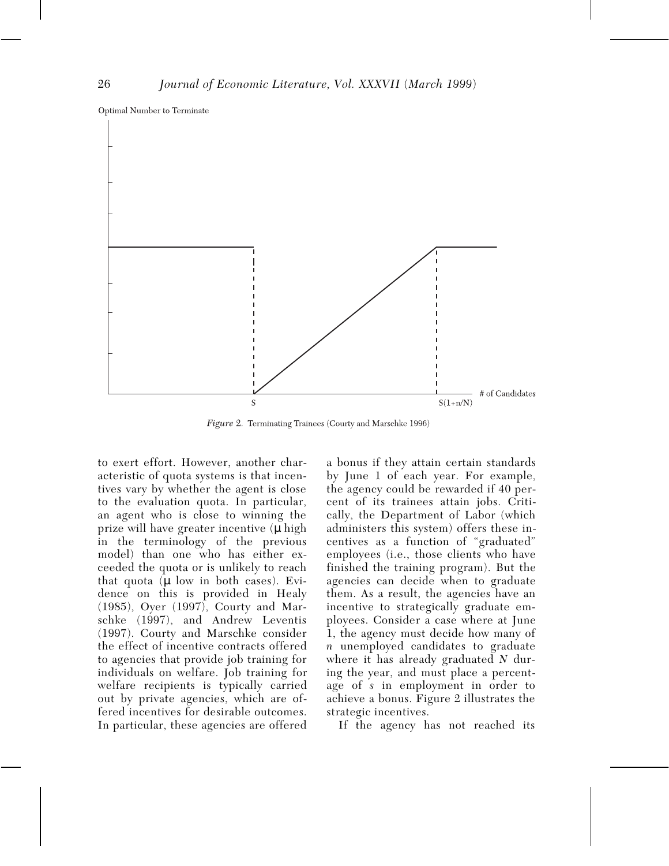

Figure 2. Terminating Trainees (Courty and Marschke 1996)

to exert effort. However, another characteristic of quota systems is that incentives vary by whether the agent is close to the evaluation quota. In particular, an agent who is close to winning the prize will have greater incentive (µ high in the terminology of the previous model) than one who has either exceeded the quota or is unlikely to reach that quota  $(\mu$  low in both cases). Evidence on this is provided in Healy (1985), Oyer (1997), Courty and Marschke (1997), and Andrew Leventis (1997). Courty and Marschke consider the effect of incentive contracts offered to agencies that provide job training for individuals on welfare. Job training for welfare recipients is typically carried out by private agencies, which are offered incentives for desirable outcomes. In particular, these agencies are offered

a bonus if they attain certain standards by June 1 of each year. For example, the agency could be rewarded if 40 percent of its trainees attain jobs. Critically, the Department of Labor (which administers this system) offers these incentives as a function of "graduated" employees (i.e., those clients who have finished the training program). But the agencies can decide when to graduate them. As a result, the agencies have an incentive to strategically graduate employees. Consider a case where at June 1, the agency must decide how many of *n* unemployed candidates to graduate where it has already graduated *N* during the year, and must place a percentage of *s* in employment in order to achieve a bonus. Figure 2 illustrates the strategic incentives.

If the agency has not reached its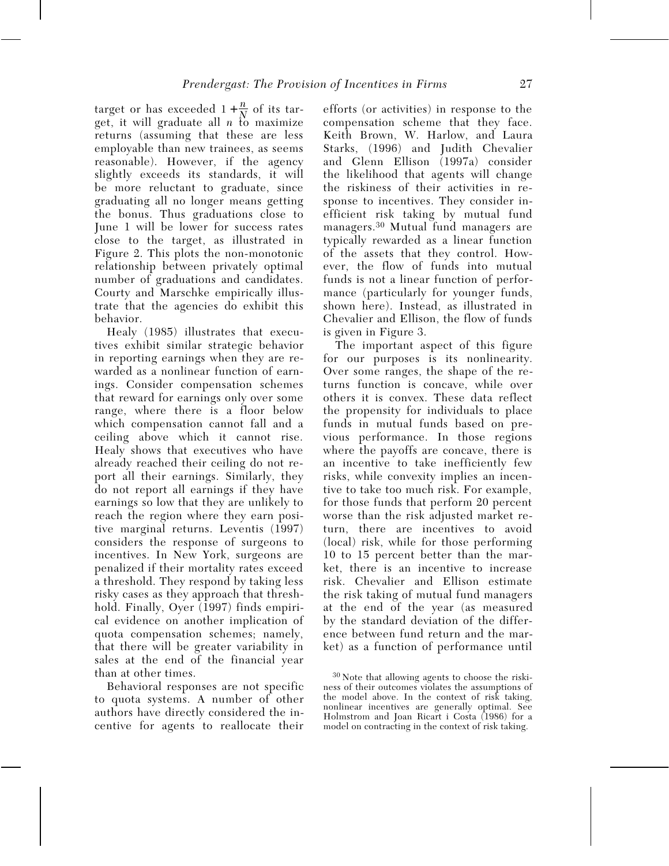target or has exceeded  $1 + \frac{n}{N}$  of its target, it will graduate all *n* to maximize returns (assuming that these are less employable than new trainees, as seems reasonable). However, if the agency slightly exceeds its standards, it will be more reluctant to graduate, since graduating all no longer means getting the bonus. Thus graduations close to June 1 will be lower for success rates close to the target, as illustrated in Figure 2. This plots the non-monotonic relationship between privately optimal number of graduations and candidates. Courty and Marschke empirically illustrate that the agencies do exhibit this behavior.

Healy (1985) illustrates that executives exhibit similar strategic behavior in reporting earnings when they are rewarded as a nonlinear function of earnings. Consider compensation schemes that reward for earnings only over some range, where there is a floor below which compensation cannot fall and a ceiling above which it cannot rise. Healy shows that executives who have already reached their ceiling do not report all their earnings. Similarly, they do not report all earnings if they have earnings so low that they are unlikely to reach the region where they earn positive marginal returns. Leventis (1997) considers the response of surgeons to incentives. In New York, surgeons are penalized if their mortality rates exceed a threshold. They respond by taking less risky cases as they approach that threshhold. Finally, Oyer (1997) finds empirical evidence on another implication of quota compensation schemes; namely, that there will be greater variability in sales at the end of the financial year than at other times.

Behavioral responses are not specific to quota systems. A number of other authors have directly considered the incentive for agents to reallocate their

efforts (or activities) in response to the compensation scheme that they face. Keith Brown, W. Harlow, and Laura Starks, (1996) and Judith Chevalier and Glenn Ellison (1997a) consider the likelihood that agents will change the riskiness of their activities in response to incentives. They consider inefficient risk taking by mutual fund managers.30 Mutual fund managers are typically rewarded as a linear function of the assets that they control. However, the flow of funds into mutual funds is not a linear function of performance (particularly for younger funds, shown here). Instead, as illustrated in Chevalier and Ellison, the flow of funds is given in Figure 3.

The important aspect of this figure for our purposes is its nonlinearity. Over some ranges, the shape of the returns function is concave, while over others it is convex. These data reflect the propensity for individuals to place funds in mutual funds based on previous performance. In those regions where the payoffs are concave, there is an incentive to take inefficiently few risks, while convexity implies an incentive to take too much risk. For example, for those funds that perform 20 percent worse than the risk adjusted market return, there are incentives to avoid (local) risk, while for those performing 10 to 15 percent better than the market, there is an incentive to increase risk. Chevalier and Ellison estimate the risk taking of mutual fund managers at the end of the year (as measured by the standard deviation of the difference between fund return and the market) as a function of performance until

<sup>30</sup> Note that allowing agents to choose the riskiness of their outcomes violates the assumptions of the model above. In the context of risk taking, nonlinear incentives are generally optimal. See Holmstrom and Joan Ricart i Costa (1986) for a model on contracting in the context of risk taking.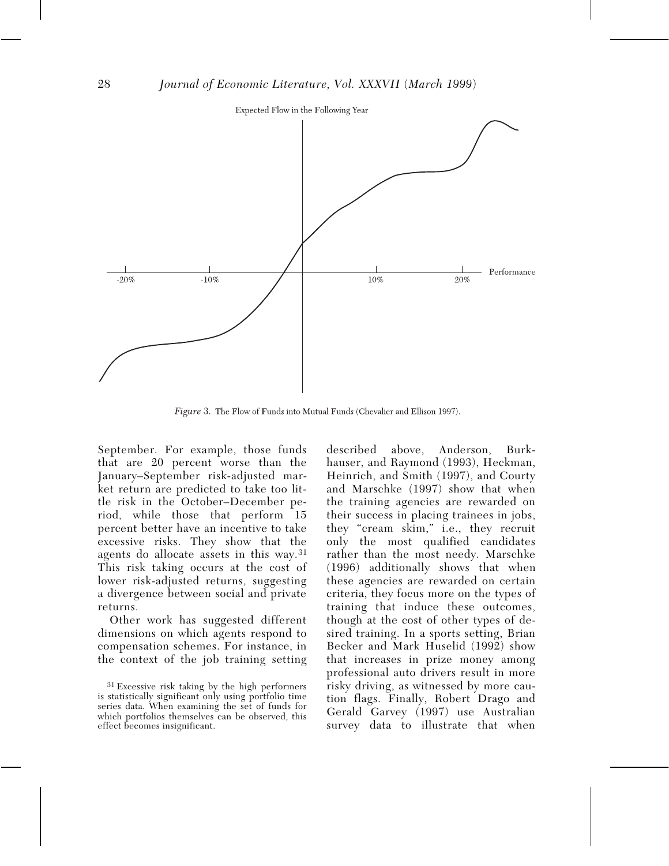Expected Flow in the Following Year



Figure 3. The Flow of Funds into Mutual Funds (Chevalier and Ellison 1997).

September. For example, those funds that are 20 percent worse than the January–September risk-adjusted market return are predicted to take too little risk in the October–December period, while those that perform 15 percent better have an incentive to take excessive risks. They show that the agents do allocate assets in this way.31 This risk taking occurs at the cost of lower risk-adjusted returns, suggesting a divergence between social and private returns.

Other work has suggested different dimensions on which agents respond to compensation schemes. For instance, in the context of the job training setting

described above, Anderson, Burkhauser, and Raymond (1993), Heckman, Heinrich, and Smith (1997), and Courty and Marschke (1997) show that when the training agencies are rewarded on their success in placing trainees in jobs, they "cream skim," i.e., they recruit only the most qualified candidates rather than the most needy. Marschke (1996) additionally shows that when these agencies are rewarded on certain criteria, they focus more on the types of training that induce these outcomes, though at the cost of other types of desired training. In a sports setting, Brian Becker and Mark Huselid (1992) show that increases in prize money among professional auto drivers result in more risky driving, as witnessed by more caution flags. Finally, Robert Drago and Gerald Garvey (1997) use Australian survey data to illustrate that when

<sup>31</sup> Excessive risk taking by the high performers is statistically significant only using portfolio time series data. When examining the set of funds for which portfolios themselves can be observed, this effect becomes insignificant.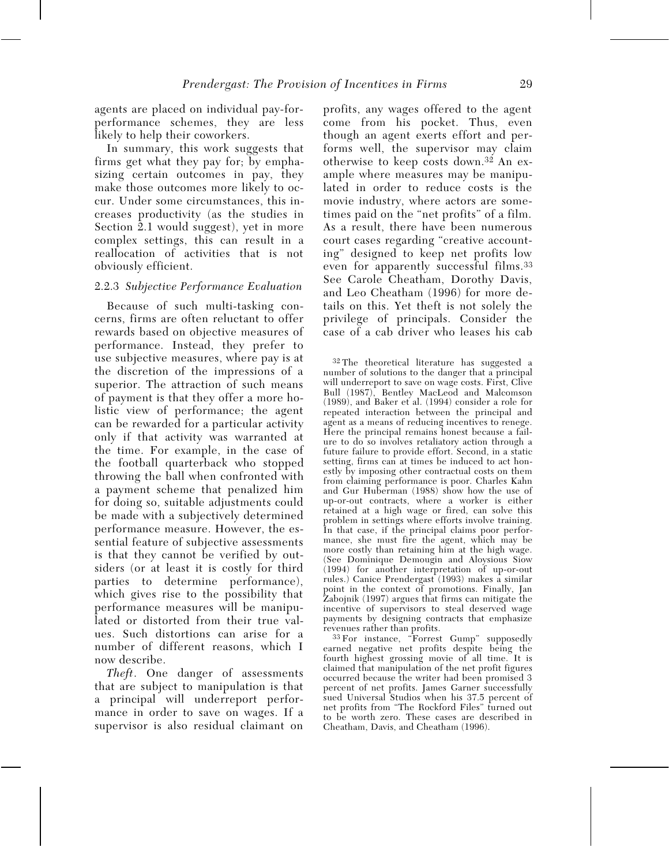agents are placed on individual pay-forperformance schemes, they are less likely to help their coworkers.

In summary, this work suggests that firms get what they pay for; by emphasizing certain outcomes in pay, they make those outcomes more likely to occur. Under some circumstances, this increases productivity (as the studies in Section 2.1 would suggest), yet in more complex settings, this can result in a reallocation of activities that is not obviously efficient.

#### 2.2.3 *Subjective Performance Evaluation*

Because of such multi-tasking concerns, firms are often reluctant to offer rewards based on objective measures of performance. Instead, they prefer to use subjective measures, where pay is at the discretion of the impressions of a superior. The attraction of such means of payment is that they offer a more holistic view of performance; the agent can be rewarded for a particular activity only if that activity was warranted at the time. For example, in the case of the football quarterback who stopped throwing the ball when confronted with a payment scheme that penalized him for doing so, suitable adjustments could be made with a subjectively determined performance measure. However, the essential feature of subjective assessments is that they cannot be verified by outsiders (or at least it is costly for third parties to determine performance), which gives rise to the possibility that performance measures will be manipulated or distorted from their true values. Such distortions can arise for a number of different reasons, which I now describe.

*Theft*. One danger of assessments that are subject to manipulation is that a principal will underreport performance in order to save on wages. If a supervisor is also residual claimant on

profits, any wages offered to the agent come from his pocket. Thus, even though an agent exerts effort and performs well, the supervisor may claim otherwise to keep costs down.<sup>32</sup> An example where measures may be manipulated in order to reduce costs is the movie industry, where actors are sometimes paid on the "net profits" of a film. As a result, there have been numerous court cases regarding "creative accounting" designed to keep net profits low even for apparently successful films.33 See Carole Cheatham, Dorothy Davis, and Leo Cheatham (1996) for more details on this. Yet theft is not solely the privilege of principals. Consider the case of a cab driver who leases his cab

32 The theoretical literature has suggested a number of solutions to the danger that a principal will underreport to save on wage costs. First, Clive Bull (1987), Bentley MacLeod and Malcomson (1989), and Baker et al. (1994) consider a role for repeated interaction between the principal and agent as a means of reducing incentives to renege. Here the principal remains honest because a failure to do so involves retaliatory action through a future failure to provide effort. Second, in a static setting, firms can at times be induced to act honestly by imposing other contractual costs on them from claiming performance is poor. Charles Kahn and Gur Huberman (1988) show how the use of up-or-out contracts, where a worker is either retained at a high wage or fired, can solve this problem in settings where efforts involve training. In that case, if the principal claims poor performance, she must fire the agent, which may be more costly than retaining him at the high wage. (See Dominique Demougin and Aloysious Siow (1994) for another interpretation of up-or-out rules.) Canice Prendergast (1993) makes a similar point in the context of promotions. Finally, Jan Zabojnik (1997) argues that firms can mitigate the incentive of supervisors to steal deserved wage payments by designing contracts that emphasize revenues rather than profits.

33 For instance, "Forrest Gump" supposedly earned negative net profits despite being the fourth highest grossing movie of all time. It is claimed that manipulation of the net profit figures occurred because the writer had been promised 3 percent of net profits. James Garner successfully sued Universal Studios when his 37.5 percent of net profits from "The Rockford Files" turned out to be worth zero. These cases are described in Cheatham, Davis, and Cheatham (1996).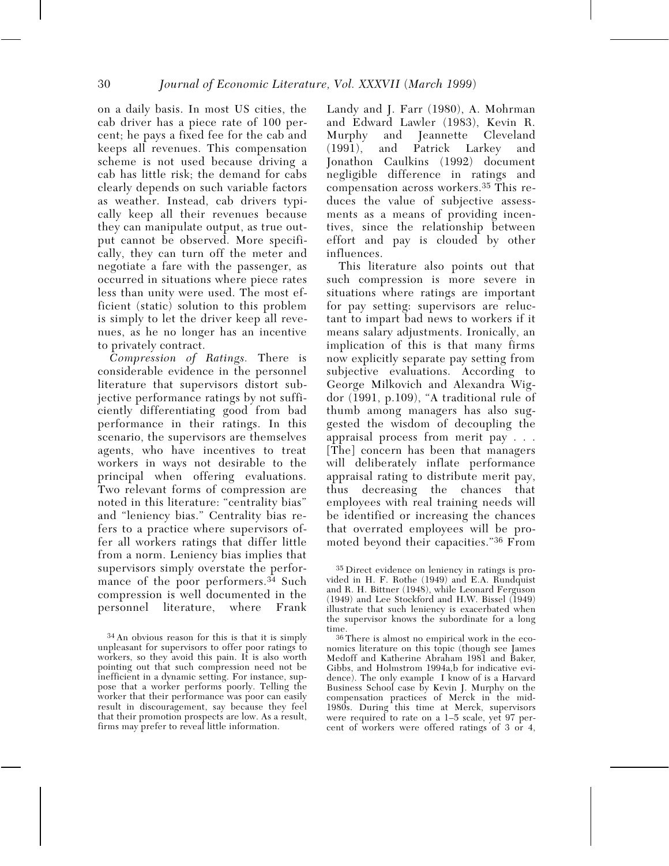on a daily basis. In most US cities, the cab driver has a piece rate of 100 percent; he pays a fixed fee for the cab and keeps all revenues. This compensation scheme is not used because driving a cab has little risk; the demand for cabs clearly depends on such variable factors as weather. Instead, cab drivers typically keep all their revenues because they can manipulate output, as true output cannot be observed. More specifically, they can turn off the meter and negotiate a fare with the passenger, as occurred in situations where piece rates less than unity were used. The most efficient (static) solution to this problem is simply to let the driver keep all revenues, as he no longer has an incentive to privately contract.

*Compression of Ratings.* There is considerable evidence in the personnel literature that supervisors distort subjective performance ratings by not sufficiently differentiating good from bad performance in their ratings. In this scenario, the supervisors are themselves agents, who have incentives to treat workers in ways not desirable to the principal when offering evaluations. Two relevant forms of compression are noted in this literature: "centrality bias" and "leniency bias." Centrality bias refers to a practice where supervisors offer all workers ratings that differ little from a norm. Leniency bias implies that supervisors simply overstate the performance of the poor performers.34 Such compression is well documented in the personnel literature, where Frank

Landy and J. Farr (1980), A. Mohrman and Edward Lawler (1983), Kevin R. Murphy and Jeannette Cleveland (1991), and Patrick Larkey and Jonathon Caulkins (1992) document negligible difference in ratings and compensation across workers.35 This reduces the value of subjective assessments as a means of providing incentives, since the relationship between effort and pay is clouded by other influences.

This literature also points out that such compression is more severe in situations where ratings are important for pay setting: supervisors are reluctant to impart bad news to workers if it means salary adjustments. Ironically, an implication of this is that many firms now explicitly separate pay setting from subjective evaluations. According to George Milkovich and Alexandra Wigdor (1991, p.109), "A traditional rule of thumb among managers has also suggested the wisdom of decoupling the appraisal process from merit pay . . . [The] concern has been that managers will deliberately inflate performance appraisal rating to distribute merit pay, thus decreasing the chances that employees with real training needs will be identified or increasing the chances that overrated employees will be promoted beyond their capacities."36 From

<sup>34</sup> An obvious reason for this is that it is simply unpleasant for supervisors to offer poor ratings to workers, so they avoid this pain. It is also worth pointing out that such compression need not be inefficient in a dynamic setting. For instance, suppose that a worker performs poorly. Telling the worker that their performance was poor can easily result in discouragement, say because they feel that their promotion prospects are low. As a result, firms may prefer to reveal little information.

<sup>35</sup> Direct evidence on leniency in ratings is provided in H. F. Rothe (1949) and E.A. Rundquist and R. H. Bittner (1948), while Leonard Ferguson (1949) and Lee Stockford and H.W. Bissel (1949) illustrate that such leniency is exacerbated when the supervisor knows the subordinate for a long time.

<sup>36</sup> There is almost no empirical work in the economics literature on this topic (though see James Medoff and Katherine Abraham 1981 and Baker, Gibbs, and Holmstrom 1994a,b for indicative evidence). The only example I know of is a Harvard Business School case by Kevin J. Murphy on the compensation practices of Merck in the mid-1980s. During this time at Merck, supervisors were required to rate on a 1–5 scale, yet 97 percent of workers were offered ratings of 3 or 4,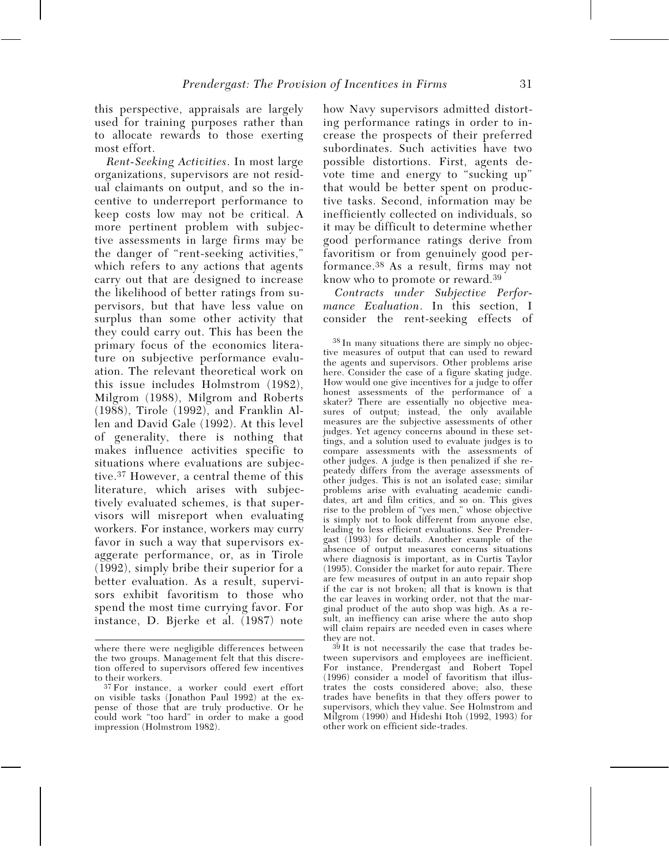this perspective, appraisals are largely used for training purposes rather than to allocate rewards to those exerting most effort.

*Rent-Seeking Activities*. In most large organizations, supervisors are not residual claimants on output, and so the incentive to underreport performance to keep costs low may not be critical. A more pertinent problem with subjective assessments in large firms may be the danger of "rent-seeking activities," which refers to any actions that agents carry out that are designed to increase the likelihood of better ratings from supervisors, but that have less value on surplus than some other activity that they could carry out. This has been the primary focus of the economics literature on subjective performance evaluation. The relevant theoretical work on this issue includes Holmstrom (1982), Milgrom (1988), Milgrom and Roberts (1988), Tirole (1992), and Franklin Allen and David Gale (1992). At this level of generality, there is nothing that makes influence activities specific to situations where evaluations are subjective.37 However, a central theme of this literature, which arises with subjectively evaluated schemes, is that supervisors will misreport when evaluating workers. For instance, workers may curry favor in such a way that supervisors exaggerate performance, or, as in Tirole (1992), simply bribe their superior for a better evaluation. As a result, supervisors exhibit favoritism to those who spend the most time currying favor. For instance, D. Bjerke et al. (1987) note

how Navy supervisors admitted distorting performance ratings in order to increase the prospects of their preferred subordinates. Such activities have two possible distortions. First, agents devote time and energy to "sucking up" that would be better spent on productive tasks. Second, information may be inefficiently collected on individuals, so it may be difficult to determine whether good performance ratings derive from favoritism or from genuinely good performance.38 As a result, firms may not know who to promote or reward.39

*Contracts under Subjective Performance Evaluation*. In this section, I consider the rent-seeking effects of

38 In many situations there are simply no objective measures of output that can used to reward the agents and supervisors. Other problems arise here. Consider the case of a figure skating judge. How would one give incentives for a judge to offer honest assessments of the performance of a skater? There are essentially no objective measures of output; instead, the only available measures are the subjective assessments of other judges. Yet agency concerns abound in these settings, and a solution used to evaluate judges is to compare assessments with the assessments of other judges. A judge is then penalized if she repeatedy differs from the average assessments of other judges. This is not an isolated case; similar problems arise with evaluating academic candidates, art and film critics, and so on. This gives rise to the problem of "yes men," whose objective is simply not to look different from anyone else, leading to less efficient evaluations. See Prendergast (1993) for details. Another example of the absence of output measures concerns situations where diagnosis is important, as in Curtis Taylor (1995). Consider the market for auto repair. There are few measures of output in an auto repair shop if the car is not broken; all that is known is that the car leaves in working order, not that the marginal product of the auto shop was high. As a result, an ineffiency can arise where the auto shop will claim repairs are needed even in cases where they are not.

39 It is not necessarily the case that trades between supervisors and employees are inefficient. For instance, Prendergast and Robert Topel (1996) consider a model of favoritism that illustrates the costs considered above; also, these trades have benefits in that they offers power to supervisors, which they value. See Holmstrom and Milgrom (1990) and Hideshi Itoh (1992, 1993) for other work on efficient side-trades.

where there were negligible differences between the two groups. Management felt that this discretion offered to supervisors offered few incentives to their workers.

<sup>37</sup> For instance, a worker could exert effort on visible tasks (Jonathon Paul 1992) at the expense of those that are truly productive. Or he could work "too hard" in order to make a good impression (Holmstrom 1982).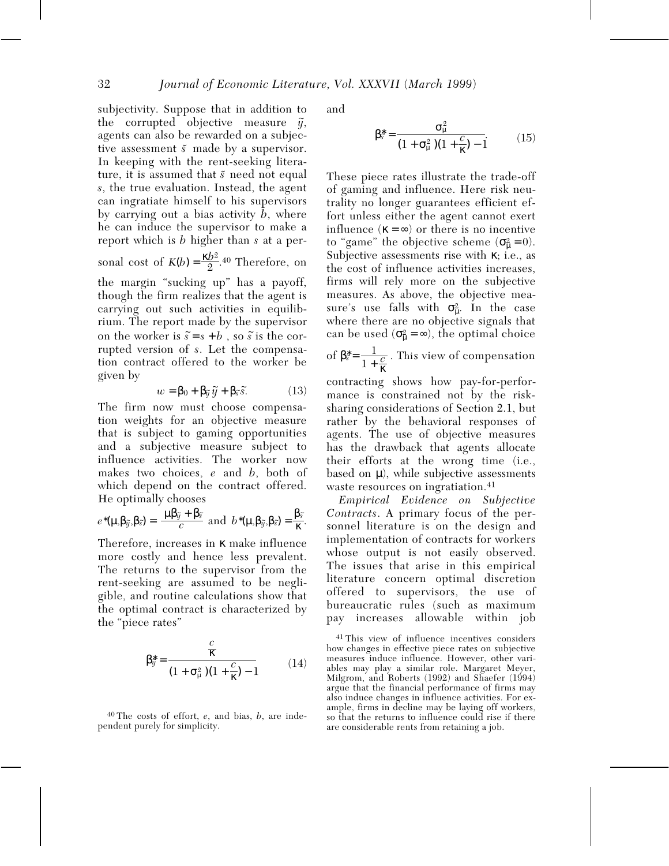given by

subjectivity. Suppose that in addition to the corrupted objective measure  $\tilde{y}$ , agents can also be rewarded on a subjective assessment  $\tilde{s}$  made by a supervisor. In keeping with the rent-seeking literature, it is assumed that  $\tilde{s}$  need not equal *s*, the true evaluation. Instead, the agent can ingratiate himself to his supervisors by carrying out a bias activity *b*, where he can induce the supervisor to make a report which is *b* higher than *s* at a personal cost of  $K(b) = \frac{\kappa b^2}{2}$ .<sup>40</sup> Therefore, on the margin "sucking up" has a payoff, though the firm realizes that the agent is carrying out such activities in equilibrium. The report made by the supervisor on the worker is  $\tilde{s} = s + b$ , so  $\tilde{s}$  is the corrupted version of *s*. Let the compensation contract offered to the worker be

$$
w = \beta_0 + \beta_{\tilde{y}} \tilde{y} + \beta_{\tilde{s}} \tilde{s}.
$$
 (13)

The firm now must choose compensation weights for an objective measure that is subject to gaming opportunities and a subjective measure subject to influence activities. The worker now makes two choices, *e* and *b*, both of which depend on the contract offered. He optimally chooses

$$
e^*(\mu, \beta_{\widetilde{y}}, \beta_{\widetilde{s}}) = \frac{\mu \beta_{\widetilde{y}} + \beta_{\widetilde{s}}}{c} \text{ and } b^*(\mu, \beta_{\widetilde{y}}, \beta_{\widetilde{s}}) = \frac{\beta_{\widetilde{s}}}{\kappa}.
$$

Therefore, increases in κ make influence more costly and hence less prevalent. The returns to the supervisor from the rent-seeking are assumed to be negligible, and routine calculations show that the optimal contract is characterized by the "piece rates"

$$
\beta_{ij}^{*} = \frac{\frac{c}{\kappa}}{(1 + \sigma_{\mu}^{2})(1 + \frac{c}{\kappa}) - 1}
$$
 (14)

40 The costs of effort, *e*, and bias, *b*, are independent purely for simplicity.

and

$$
\beta_{s}^{*} = \frac{\sigma_{\mu}^{2}}{(1 + \sigma_{\mu}^{2})(1 + \frac{c}{\kappa}) - 1}
$$
 (15)

These piece rates illustrate the trade-off of gaming and influence. Here risk neutrality no longer guarantees efficient effort unless either the agent cannot exert influence  $(\kappa = \infty)$  or there is no incentive to "game" the objective scheme  $(\sigma_{\mu}^2 = 0)$ . Subjective assessments rise with  $\kappa$ ; i.e., as the cost of influence activities increases, firms will rely more on the subjective measures. As above, the objective measure's use falls with  $\sigma_{\mu}^2$ . In the case where there are no objective signals that can be used ( $\sigma_{\mu}^2 = \infty$ ), the optimal choice

of  $\beta_{\tilde{s}}^* = \frac{1}{1 + \frac{c}{\kappa}}$ . This view of compensation

contracting shows how pay-for-performance is constrained not by the risksharing considerations of Section 2.1, but rather by the behavioral responses of agents. The use of objective measures has the drawback that agents allocate their efforts at the wrong time (i.e., based on  $\mu$ ), while subjective assessments waste resources on ingratiation.<sup>41</sup>

*Empirical Evidence on Subjective Contracts*. A primary focus of the personnel literature is on the design and implementation of contracts for workers whose output is not easily observed. The issues that arise in this empirical literature concern optimal discretion offered to supervisors, the use of bureaucratic rules (such as maximum pay increases allowable within job

41 This view of influence incentives considers how changes in effective piece rates on subjective measures induce influence. However, other variables may play a similar role. Margaret Meyer, Milgrom, and Roberts (1992) and Shaefer (1994) argue that the financial performance of firms may also induce changes in influence activities. For example, firms in decline may be laying off workers, so that the returns to influence could rise if there are considerable rents from retaining a job.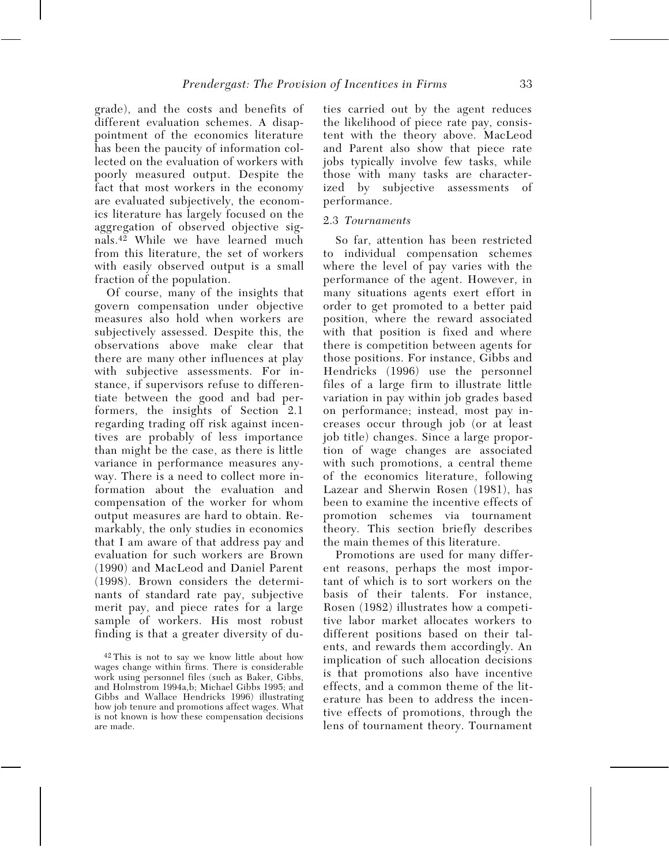grade), and the costs and benefits of different evaluation schemes. A disappointment of the economics literature has been the paucity of information collected on the evaluation of workers with poorly measured output. Despite the fact that most workers in the economy are evaluated subjectively, the economics literature has largely focused on the aggregation of observed objective signals.42 While we have learned much from this literature, the set of workers with easily observed output is a small fraction of the population.

Of course, many of the insights that govern compensation under objective measures also hold when workers are subjectively assessed. Despite this, the observations above make clear that there are many other influences at play with subjective assessments. For instance, if supervisors refuse to differentiate between the good and bad performers, the insights of Section 2.1 regarding trading off risk against incentives are probably of less importance than might be the case, as there is little variance in performance measures anyway. There is a need to collect more information about the evaluation and compensation of the worker for whom output measures are hard to obtain. Remarkably, the only studies in economics that I am aware of that address pay and evaluation for such workers are Brown (1990) and MacLeod and Daniel Parent (1998). Brown considers the determinants of standard rate pay, subjective merit pay, and piece rates for a large sample of workers. His most robust finding is that a greater diversity of du-

42 This is not to say we know little about how wages change within firms. There is considerable work using personnel files (such as Baker, Gibbs, and Holmstrom 1994a,b; Michael Gibbs 1995; and Gibbs and Wallace Hendricks 1996) illustrating how job tenure and promotions affect wages. What is not known is how these compensation decisions are made.

ties carried out by the agent reduces the likelihood of piece rate pay, consistent with the theory above. MacLeod and Parent also show that piece rate jobs typically involve few tasks, while those with many tasks are characterized by subjective assessments of performance.

#### 2.3 *Tournaments*

So far, attention has been restricted to individual compensation schemes where the level of pay varies with the performance of the agent. However, in many situations agents exert effort in order to get promoted to a better paid position, where the reward associated with that position is fixed and where there is competition between agents for those positions. For instance, Gibbs and Hendricks (1996) use the personnel files of a large firm to illustrate little variation in pay within job grades based on performance; instead, most pay increases occur through job (or at least job title) changes. Since a large proportion of wage changes are associated with such promotions, a central theme of the economics literature, following Lazear and Sherwin Rosen (1981), has been to examine the incentive effects of promotion schemes via tournament theory. This section briefly describes the main themes of this literature.

Promotions are used for many different reasons, perhaps the most important of which is to sort workers on the basis of their talents. For instance, Rosen (1982) illustrates how a competitive labor market allocates workers to different positions based on their talents, and rewards them accordingly. An implication of such allocation decisions is that promotions also have incentive effects, and a common theme of the literature has been to address the incentive effects of promotions, through the lens of tournament theory. Tournament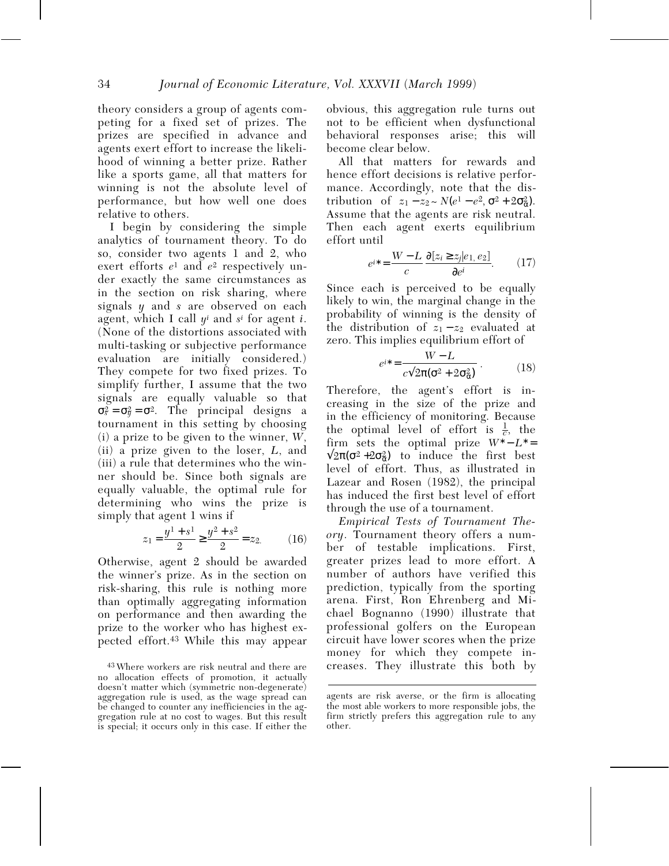theory considers a group of agents competing for a fixed set of prizes. The prizes are specified in advance and agents exert effort to increase the likelihood of winning a better prize. Rather like a sports game, all that matters for winning is not the absolute level of performance, but how well one does relative to others.

I begin by considering the simple analytics of tournament theory. To do so, consider two agents 1 and 2, who exert efforts *e*1 and *e*2 respectively under exactly the same circumstances as in the section on risk sharing, where signals *y* and *s* are observed on each agent, which I call *yi* and *si* for agent *i*. (None of the distortions associated with multi-tasking or subjective performance evaluation are initially considered.) They compete for two fixed prizes. To simplify further, I assume that the two signals are equally valuable so that  $\sigma_s^2 = \sigma_y^2 = \sigma^2$ . The principal designs a tournament in this setting by choosing (i) a prize to be given to the winner, *W*, (ii) a prize given to the loser, *L*, and (iii) a rule that determines who the winner should be. Since both signals are equally valuable, the optimal rule for determining who wins the prize is simply that agent 1 wins if

$$
z_1 = \frac{y^1 + s^1}{2} \ge \frac{y^2 + s^2}{2} = z_2. \tag{16}
$$

Otherwise, agent 2 should be awarded the winner's prize. As in the section on risk-sharing, this rule is nothing more than optimally aggregating information on performance and then awarding the prize to the worker who has highest expected effort.43 While this may appear obvious, this aggregation rule turns out not to be efficient when dysfunctional behavioral responses arise; this will become clear below.

All that matters for rewards and hence effort decisions is relative performance. Accordingly, note that the distribution of  $z_1 - z_2 \sim N(e^1 - e^2, \sigma^2 + 2\sigma^2_{\alpha}).$ Assume that the agents are risk neutral. Then each agent exerts equilibrium effort until

$$
e^{i*} = \frac{W - L}{c} \frac{\partial [z_i \ge z_j | e_1, e_2]}{\partial e^i}.
$$
 (17)

Since each is perceived to be equally likely to win, the marginal change in the probability of winning is the density of the distribution of  $z_1 - z_2$  evaluated at zero. This implies equilibrium effort of

$$
e^{i*} = \frac{W - L}{c\sqrt{2\pi(\sigma^2 + 2\sigma^2_{\alpha})}}.
$$
 (18)

Therefore, the agent's effort is increasing in the size of the prize and in the efficiency of monitoring. Because the optimal level of effort is  $\frac{1}{c}$ , the firm sets the optimal prize  $W^* - L^* =$  $\sqrt{2\pi}$ ( $\sigma^2$ +2 $\sigma^2$ ) to induce the first best level of effort. Thus, as illustrated in Lazear and Rosen (1982), the principal has induced the first best level of effort through the use of a tournament.

*Empirical Tests of Tournament Theory*. Tournament theory offers a number of testable implications. First, greater prizes lead to more effort. A number of authors have verified this prediction, typically from the sporting arena. First, Ron Ehrenberg and Michael Bognanno (1990) illustrate that professional golfers on the European circuit have lower scores when the prize money for which they compete in-43 Where workers are risk neutral and there are creases. They illustrate this both by

no allocation effects of promotion, it actually doesn't matter which (symmetric non-degenerate) aggregation rule is used, as the wage spread can be changed to counter any inefficiencies in the aggregation rule at no cost to wages. But this result is special; it occurs only in this case. If either the

agents are risk averse, or the firm is allocating the most able workers to more responsible jobs, the firm strictly prefers this aggregation rule to any other.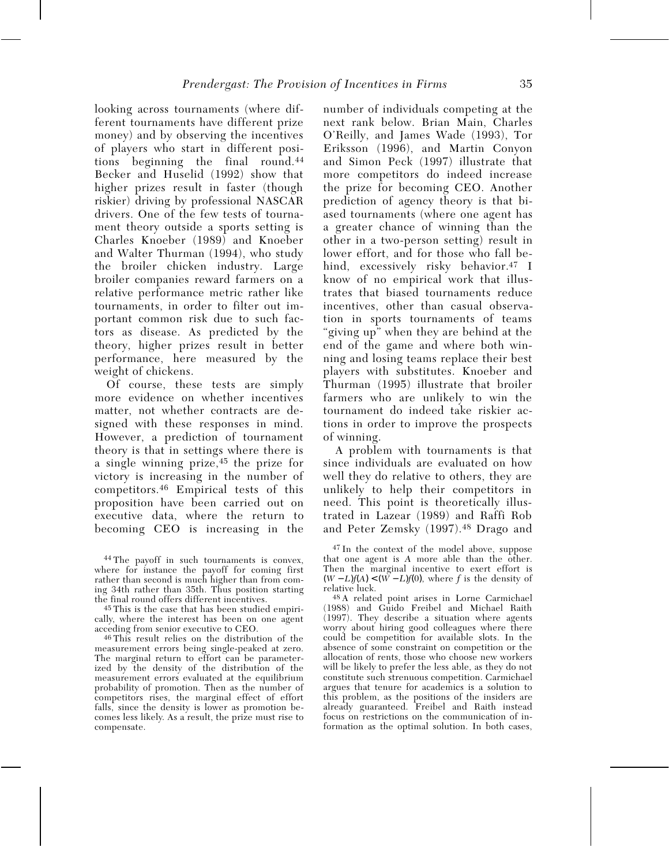looking across tournaments (where different tournaments have different prize money) and by observing the incentives of players who start in different positions beginning the final round.44 Becker and Huselid (1992) show that higher prizes result in faster (though riskier) driving by professional NASCAR drivers. One of the few tests of tournament theory outside a sports setting is Charles Knoeber (1989) and Knoeber and Walter Thurman (1994), who study the broiler chicken industry. Large broiler companies reward farmers on a relative performance metric rather like tournaments, in order to filter out important common risk due to such factors as disease. As predicted by the theory, higher prizes result in better performance, here measured by the weight of chickens.

Of course, these tests are simply more evidence on whether incentives matter, not whether contracts are designed with these responses in mind. However, a prediction of tournament theory is that in settings where there is a single winning prize,45 the prize for victory is increasing in the number of competitors.46 Empirical tests of this proposition have been carried out on executive data, where the return to becoming CEO is increasing in the

number of individuals competing at the next rank below. Brian Main, Charles O'Reilly, and James Wade (1993), Tor Eriksson (1996), and Martin Conyon and Simon Peck (1997) illustrate that more competitors do indeed increase the prize for becoming CEO. Another prediction of agency theory is that biased tournaments (where one agent has a greater chance of winning than the other in a two-person setting) result in lower effort, and for those who fall behind, excessively risky behavior.47 I know of no empirical work that illustrates that biased tournaments reduce incentives, other than casual observation in sports tournaments of teams "giving up" when they are behind at the end of the game and where both winning and losing teams replace their best players with substitutes. Knoeber and Thurman (1995) illustrate that broiler farmers who are unlikely to win the tournament do indeed take riskier actions in order to improve the prospects of winning.

A problem with tournaments is that since individuals are evaluated on how well they do relative to others, they are unlikely to help their competitors in need. This point is theoretically illustrated in Lazear (1989) and Raffi Rob and Peter Zemsky (1997).<sup>48</sup> Drago and

48 A related point arises in Lorne Carmichael (1988) and Guido Freibel and Michael Raith (1997). They describe a situation where agents worry about hiring good colleagues where there could be competition for available slots. In the absence of some constraint on competition or the allocation of rents, those who choose new workers will be likely to prefer the less able, as they do not constitute such strenuous competition. Carmichael argues that tenure for academics is a solution to this problem, as the positions of the insiders are already guaranteed. Freibel and Raith instead focus on restrictions on the communication of information as the optimal solution. In both cases,

<sup>44</sup> The payoff in such tournaments is convex, where for instance the payoff for coming first rather than second is much higher than from coming 34th rather than 35th. Thus position starting the final round offers different incentives.

<sup>45</sup> This is the case that has been studied empirically, where the interest has been on one agent acceding from senior executive to CEO.

<sup>46</sup> This result relies on the distribution of the measurement errors being single-peaked at zero. The marginal return to effort can be parameterized by the density of the distribution of the measurement errors evaluated at the equilibrium probability of promotion. Then as the number of competitors rises, the marginal effect of effort falls, since the density is lower as promotion becomes less likely. As a result, the prize must rise to compensate.

<sup>47</sup> In the context of the model above, suppose that one agent is *A* more able than the other. Then the marginal incentive to exert effort is (*W* − *L*) $f(A)$  < ( $W$  − *L*) $f(0)$ , where  $f$  is the density of relative luck.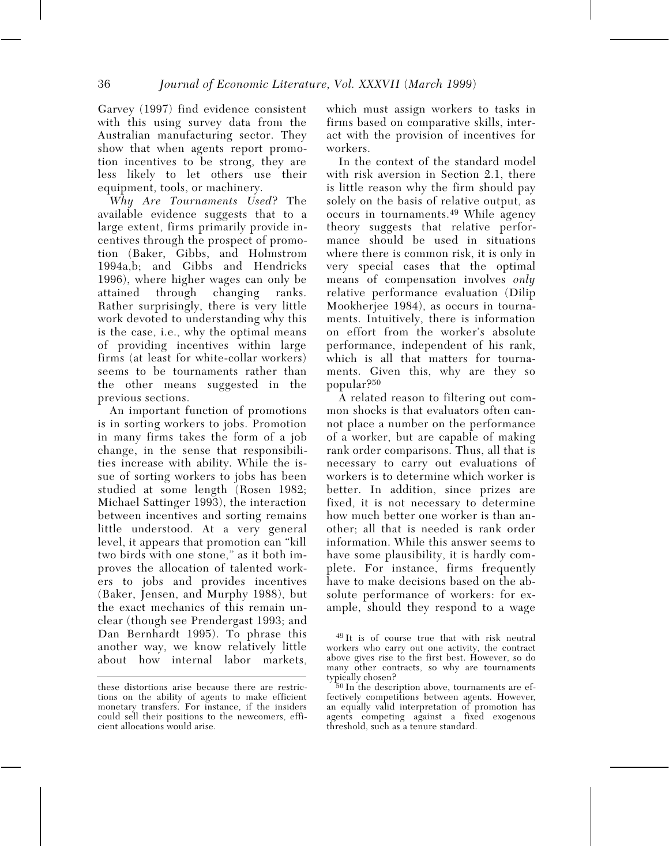Garvey (1997) find evidence consistent with this using survey data from the Australian manufacturing sector. They show that when agents report promotion incentives to be strong, they are less likely to let others use their equipment, tools, or machinery.

*Why Are Tournaments Used*? The available evidence suggests that to a large extent, firms primarily provide incentives through the prospect of promotion (Baker, Gibbs, and Holmstrom 1994a,b; and Gibbs and Hendricks 1996), where higher wages can only be attained through changing ranks. Rather surprisingly, there is very little work devoted to understanding why this is the case, i.e., why the optimal means of providing incentives within large firms (at least for white-collar workers) seems to be tournaments rather than the other means suggested in the previous sections.

An important function of promotions is in sorting workers to jobs. Promotion in many firms takes the form of a job change, in the sense that responsibilities increase with ability. While the issue of sorting workers to jobs has been studied at some length (Rosen 1982; Michael Sattinger 1993), the interaction between incentives and sorting remains little understood. At a very general level, it appears that promotion can "kill two birds with one stone," as it both improves the allocation of talented workers to jobs and provides incentives (Baker, Jensen, and Murphy 1988), but the exact mechanics of this remain unclear (though see Prendergast 1993; and Dan Bernhardt 1995). To phrase this another way, we know relatively little about how internal labor markets, which must assign workers to tasks in firms based on comparative skills, interact with the provision of incentives for workers.

In the context of the standard model with risk aversion in Section 2.1, there is little reason why the firm should pay solely on the basis of relative output, as occurs in tournaments.49 While agency theory suggests that relative performance should be used in situations where there is common risk, it is only in very special cases that the optimal means of compensation involves *only* relative performance evaluation (Dilip Mookherjee 1984), as occurs in tournaments. Intuitively, there is information on effort from the worker's absolute performance, independent of his rank, which is all that matters for tournaments. Given this, why are they so popular?50

A related reason to filtering out common shocks is that evaluators often cannot place a number on the performance of a worker, but are capable of making rank order comparisons. Thus, all that is necessary to carry out evaluations of workers is to determine which worker is better. In addition, since prizes are fixed, it is not necessary to determine how much better one worker is than another; all that is needed is rank order information. While this answer seems to have some plausibility, it is hardly complete. For instance, firms frequently have to make decisions based on the absolute performance of workers: for example, should they respond to a wage

these distortions arise because there are restrictions on the ability of agents to make efficient monetary transfers. For instance, if the insiders could sell their positions to the newcomers, efficient allocations would arise.

<sup>49</sup> It is of course true that with risk neutral workers who carry out one activity, the contract above gives rise to the first best. However, so do many other contracts, so why are tournaments typically chosen?

<sup>50</sup> In the description above, tournaments are effectively competitions between agents. However, an equally valid interpretation of promotion has agents competing against a fixed exogenous threshold, such as a tenure standard.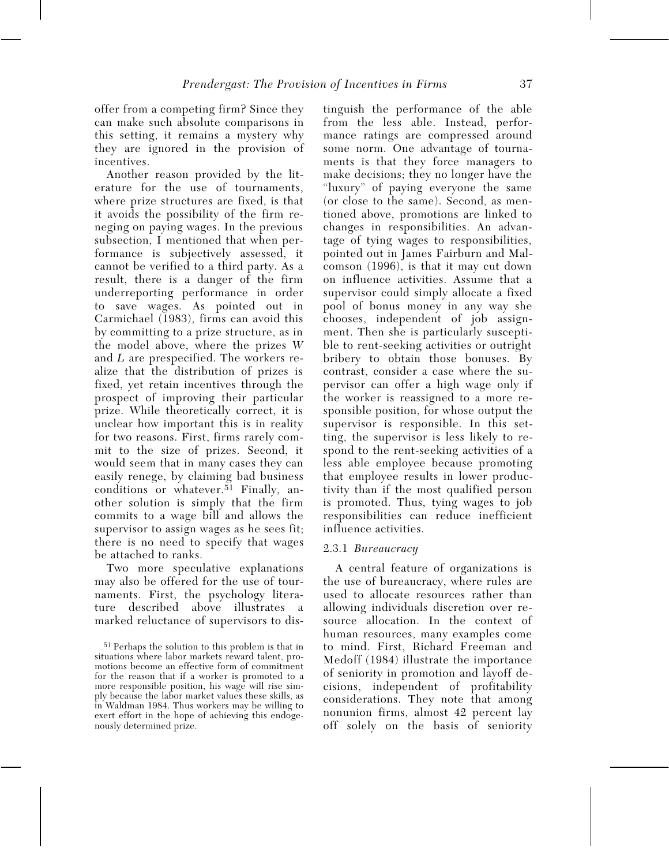offer from a competing firm? Since they can make such absolute comparisons in this setting, it remains a mystery why they are ignored in the provision of incentives.

Another reason provided by the literature for the use of tournaments, where prize structures are fixed, is that it avoids the possibility of the firm reneging on paying wages. In the previous subsection, I mentioned that when performance is subjectively assessed, it cannot be verified to a third party. As a result, there is a danger of the firm underreporting performance in order to save wages. As pointed out in Carmichael (1983), firms can avoid this by committing to a prize structure, as in the model above, where the prizes *W* and *L* are prespecified. The workers realize that the distribution of prizes is fixed, yet retain incentives through the prospect of improving their particular prize. While theoretically correct, it is unclear how important this is in reality for two reasons. First, firms rarely commit to the size of prizes. Second, it would seem that in many cases they can easily renege, by claiming bad business conditions or whatever.<sup>51</sup> Finally, another solution is simply that the firm commits to a wage bill and allows the supervisor to assign wages as he sees fit; there is no need to specify that wages be attached to ranks.

Two more speculative explanations may also be offered for the use of tournaments. First, the psychology literature described above illustrates a marked reluctance of supervisors to distinguish the performance of the able from the less able. Instead, performance ratings are compressed around some norm. One advantage of tournaments is that they force managers to make decisions; they no longer have the "luxury" of paying everyone the same (or close to the same). Second, as mentioned above, promotions are linked to changes in responsibilities. An advantage of tying wages to responsibilities, pointed out in James Fairburn and Malcomson (1996), is that it may cut down on influence activities. Assume that a supervisor could simply allocate a fixed pool of bonus money in any way she chooses, independent of job assignment. Then she is particularly susceptible to rent-seeking activities or outright bribery to obtain those bonuses. By contrast, consider a case where the supervisor can offer a high wage only if the worker is reassigned to a more responsible position, for whose output the supervisor is responsible. In this setting, the supervisor is less likely to respond to the rent-seeking activities of a less able employee because promoting that employee results in lower productivity than if the most qualified person is promoted. Thus, tying wages to job responsibilities can reduce inefficient influence activities.

#### 2.3.1 *Bureaucracy*

A central feature of organizations is the use of bureaucracy, where rules are used to allocate resources rather than allowing individuals discretion over resource allocation. In the context of human resources, many examples come to mind. First, Richard Freeman and Medoff (1984) illustrate the importance of seniority in promotion and layoff decisions, independent of profitability considerations. They note that among nonunion firms, almost 42 percent lay off solely on the basis of seniority

<sup>51</sup> Perhaps the solution to this problem is that in situations where labor markets reward talent, promotions become an effective form of commitment for the reason that if a worker is promoted to a more responsible position, his wage will rise simply because the labor market values these skills, as in Waldman 1984. Thus workers may be willing to exert effort in the hope of achieving this endogenously determined prize.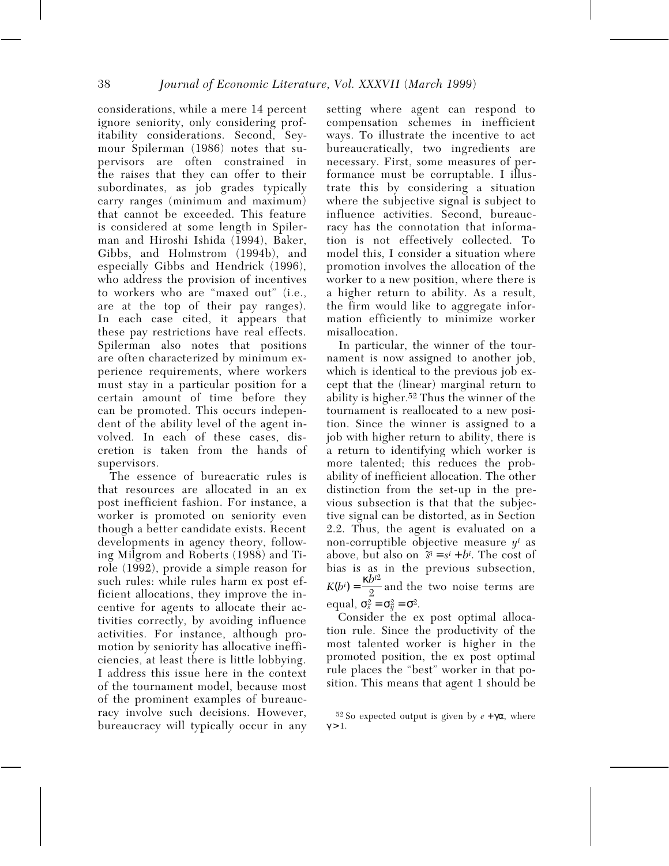considerations, while a mere 14 percent ignore seniority, only considering profitability considerations. Second, Seymour Spilerman (1986) notes that supervisors are often constrained in the raises that they can offer to their subordinates, as job grades typically carry ranges (minimum and maximum) that cannot be exceeded. This feature is considered at some length in Spilerman and Hiroshi Ishida (1994), Baker, Gibbs, and Holmstrom (1994b), and especially Gibbs and Hendrick (1996), who address the provision of incentives to workers who are "maxed out" (i.e., are at the top of their pay ranges). In each case cited, it appears that these pay restrictions have real effects. Spilerman also notes that positions are often characterized by minimum experience requirements, where workers must stay in a particular position for a certain amount of time before they can be promoted. This occurs independent of the ability level of the agent involved. In each of these cases, discretion is taken from the hands of supervisors.

The essence of bureacratic rules is that resources are allocated in an ex post inefficient fashion. For instance, a worker is promoted on seniority even though a better candidate exists. Recent developments in agency theory, following Milgrom and Roberts (1988) and Tirole (1992), provide a simple reason for such rules: while rules harm ex post efficient allocations, they improve the incentive for agents to allocate their activities correctly, by avoiding influence activities. For instance, although promotion by seniority has allocative inefficiencies, at least there is little lobbying. I address this issue here in the context of the tournament model, because most of the prominent examples of bureaucracy involve such decisions. However, bureaucracy will typically occur in any

setting where agent can respond to compensation schemes in inefficient ways. To illustrate the incentive to act bureaucratically, two ingredients are necessary. First, some measures of performance must be corruptable. I illustrate this by considering a situation where the subjective signal is subject to influence activities. Second, bureaucracy has the connotation that information is not effectively collected. To model this, I consider a situation where promotion involves the allocation of the worker to a new position, where there is a higher return to ability. As a result, the firm would like to aggregate information efficiently to minimize worker misallocation.

In particular, the winner of the tournament is now assigned to another job, which is identical to the previous job except that the (linear) marginal return to ability is higher.52 Thus the winner of the tournament is reallocated to a new position. Since the winner is assigned to a job with higher return to ability, there is a return to identifying which worker is more talented; this reduces the probability of inefficient allocation. The other distinction from the set-up in the previous subsection is that that the subjective signal can be distorted, as in Section 2.2. Thus, the agent is evaluated on a non-corruptible objective measure *yi* as above, but also on  $\overline{\tilde{s}}^i = s^i + b^i$ . The cost of bias is as in the previous subsection,  $K(b^i) = \frac{\kappa b^{i2}}{2}$  and the two noise terms are equal,  $\sigma_s^2 = \sigma_y^2 = \sigma_z^2$ .

Consider the ex post optimal allocation rule. Since the productivity of the most talented worker is higher in the promoted position, the ex post optimal rule places the "best" worker in that position. This means that agent 1 should be

<sup>&</sup>lt;sup>52</sup> So expected output is given by  $e + \gamma \alpha$ , where  $\gamma > 1$ .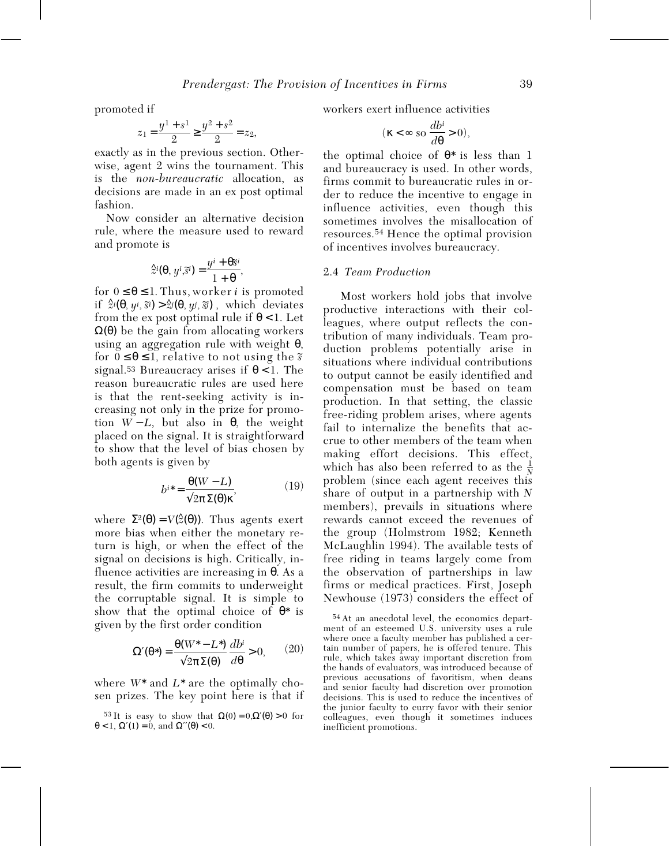promoted if

$$
z_1 = \frac{y^1 + s^1}{2} \ge \frac{y^2 + s^2}{2} = z_2,
$$

exactly as in the previous section. Otherwise, agent 2 wins the tournament. This is the *non-bureaucratic* allocation, as decisions are made in an ex post optimal fashion.

Now consider an alternative decision rule, where the measure used to reward and promote is

$$
\hat{z}^i(\theta, y^i, \tilde{s}^i) = \frac{y^i + \theta \tilde{s}^i}{1 + \theta},
$$

for  $0 \le \theta \le 1$ . Thus, worker *i* is promoted if  $\hat{\mathcal{Z}}^i(\theta, y^i, \tilde{s}^i) > \hat{\mathcal{Z}}^j(\theta, y^j, \tilde{s}^j)$ , which deviates from the expost optimal rule if  $\theta$  < 1. Let  $Ω(θ)$  be the gain from allocating workers using an aggregation rule with weight θ, for  $0 \le \theta \le 1$ , relative to not using the  $\tilde{s}$ signal.<sup>53</sup> Bureaucracy arises if  $\theta$  < 1. The reason bureaucratic rules are used here is that the rent-seeking activity is increasing not only in the prize for promotion  $W - L$ , but also in  $θ$ , the weight placed on the signal. It is straightforward to show that the level of bias chosen by both agents is given by

$$
b^{i*} = \frac{\Theta(W - L)}{\sqrt{2\pi}\Sigma(\Theta)\kappa},\tag{19}
$$

where  $\Sigma^2(\theta) = V(\hat{\chi}(\theta))$ . Thus agents exert more bias when either the monetary return is high, or when the effect of the signal on decisions is high. Critically, influence activities are increasing in θ. As a result, the firm commits to underweight the corruptable signal. It is simple to show that the optimal choice of  $\theta^*$  is given by the first order condition

$$
\Omega'(\theta^*) = \frac{\theta(W^* - L^*)}{\sqrt{2\pi}\Sigma(\theta)} \frac{db^i}{d\theta} > 0, \qquad (20)
$$

where *W*∗ and *L*∗ are the optimally chosen prizes. The key point here is that if

<sup>53</sup> It is easy to show that  $\Omega(0) = 0, \Omega'(0) > 0$  for  $\theta$  < 1,  $\Omega'(1) = 0$ , and  $\Omega''(\theta) < 0$ .

workers exert influence activities

$$
(\kappa < \infty \text{ so } \frac{db^i}{d\theta} > 0),
$$

the optimal choice of  $\theta^*$  is less than 1 and bureaucracy is used. In other words, firms commit to bureaucratic rules in order to reduce the incentive to engage in influence activities, even though this sometimes involves the misallocation of resources.54 Hence the optimal provision of incentives involves bureaucracy.

#### 2.4 *Team Production*

 Most workers hold jobs that involve productive interactions with their colleagues, where output reflects the contribution of many individuals. Team production problems potentially arise in situations where individual contributions to output cannot be easily identified and compensation must be based on team production. In that setting, the classic free-riding problem arises, where agents fail to internalize the benefits that accrue to other members of the team when making effort decisions. This effect, which has also been referred to as the  $\frac{1}{N}$ problem (since each agent receives this share of output in a partnership with *N* members), prevails in situations where rewards cannot exceed the revenues of the group (Holmstrom 1982; Kenneth McLaughlin 1994). The available tests of free riding in teams largely come from the observation of partnerships in law firms or medical practices. First, Joseph Newhouse (1973) considers the effect of

54 At an anecdotal level, the economics department of an esteemed U.S. university uses a rule where once a faculty member has published a certain number of papers, he is offered tenure. This rule, which takes away important discretion from the hands of evaluators, was introduced because of previous accusations of favoritism, when deans and senior faculty had discretion over promotion decisions. This is used to reduce the incentives of the junior faculty to curry favor with their senior colleagues, even though it sometimes induces inefficient promotions.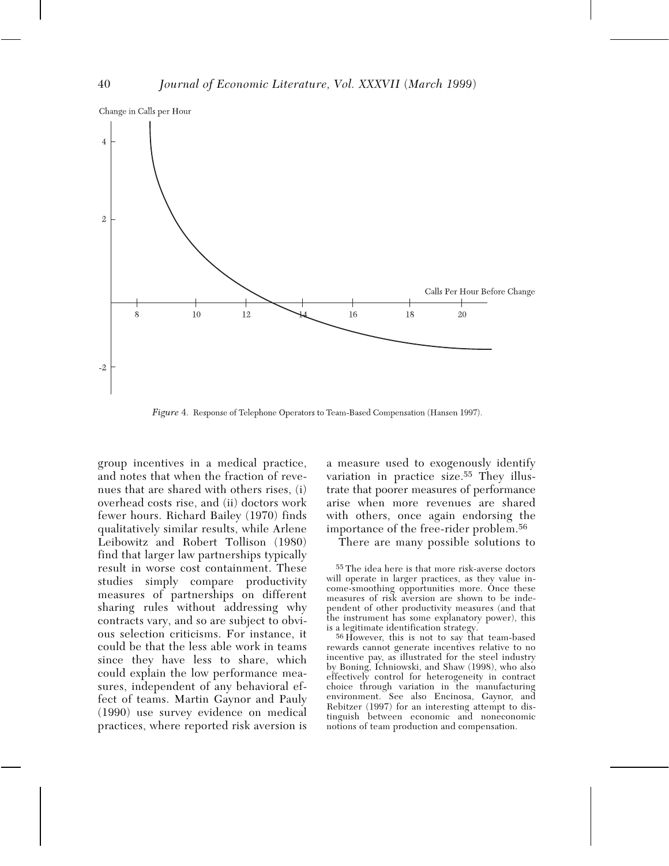

Figure 4. Response of Telephone Operators to Team-Based Compensation (Hansen 1997).

group incentives in a medical practice, and notes that when the fraction of revenues that are shared with others rises, (i) overhead costs rise, and (ii) doctors work fewer hours. Richard Bailey (1970) finds qualitatively similar results, while Arlene Leibowitz and Robert Tollison (1980) find that larger law partnerships typically result in worse cost containment. These studies simply compare productivity measures of partnerships on different sharing rules without addressing why contracts vary, and so are subject to obvious selection criticisms. For instance, it could be that the less able work in teams since they have less to share, which could explain the low performance measures, independent of any behavioral effect of teams. Martin Gaynor and Pauly (1990) use survey evidence on medical practices, where reported risk aversion is

a measure used to exogenously identify variation in practice size.55 They illustrate that poorer measures of performance arise when more revenues are shared with others, once again endorsing the importance of the free-rider problem.56

There are many possible solutions to

55 The idea here is that more risk-averse doctors will operate in larger practices, as they value income-smoothing opportunities more. Once these measures of risk aversion are shown to be independent of other productivity measures (and that the instrument has some explanatory power), this is a legitimate identification strategy.

56 However, this is not to say that team-based rewards cannot generate incentives relative to no incentive pay, as illustrated for the steel industry by Boning, Ichniowski, and Shaw (1998), who also effectively control for heterogeneity in contract choice through variation in the manufacturing environment. See also Encinosa, Gaynor, and Rebitzer (1997) for an interesting attempt to distinguish between economic and noneconomic notions of team production and compensation.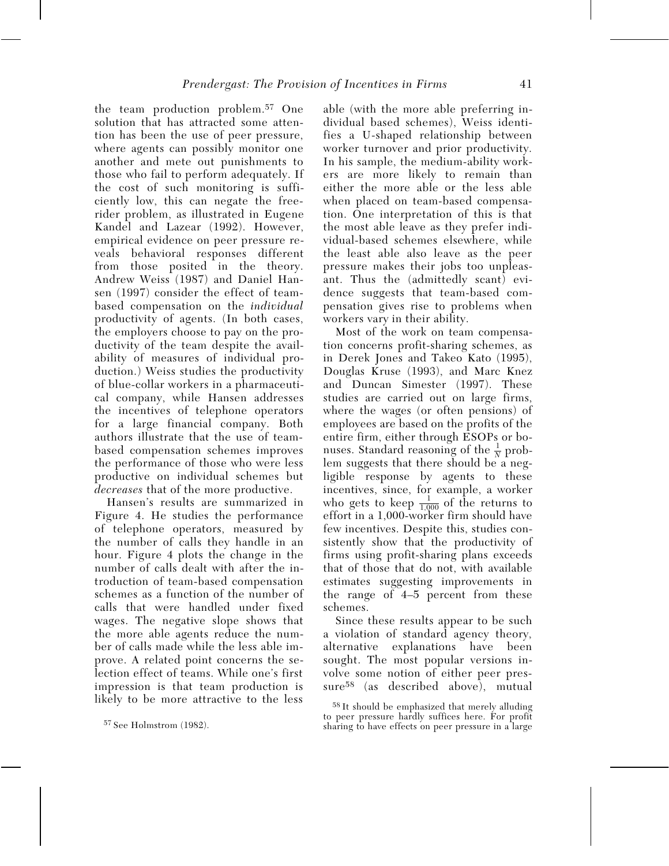the team production problem.57 One solution that has attracted some attention has been the use of peer pressure, where agents can possibly monitor one another and mete out punishments to those who fail to perform adequately. If the cost of such monitoring is sufficiently low, this can negate the freerider problem, as illustrated in Eugene Kandel and Lazear (1992). However, empirical evidence on peer pressure reveals behavioral responses different from those posited in the theory. Andrew Weiss (1987) and Daniel Hansen (1997) consider the effect of teambased compensation on the *individual* productivity of agents. (In both cases, the employers choose to pay on the productivity of the team despite the availability of measures of individual production.) Weiss studies the productivity of blue-collar workers in a pharmaceutical company, while Hansen addresses the incentives of telephone operators for a large financial company. Both authors illustrate that the use of teambased compensation schemes improves the performance of those who were less productive on individual schemes but *decreases* that of the more productive.

Hansen's results are summarized in Figure 4. He studies the performance of telephone operators, measured by the number of calls they handle in an hour. Figure 4 plots the change in the number of calls dealt with after the introduction of team-based compensation schemes as a function of the number of calls that were handled under fixed wages. The negative slope shows that the more able agents reduce the number of calls made while the less able improve. A related point concerns the selection effect of teams. While one's first impression is that team production is likely to be more attractive to the less

able (with the more able preferring individual based schemes), Weiss identifies a U-shaped relationship between worker turnover and prior productivity. In his sample, the medium-ability workers are more likely to remain than either the more able or the less able when placed on team-based compensation. One interpretation of this is that the most able leave as they prefer individual-based schemes elsewhere, while the least able also leave as the peer pressure makes their jobs too unpleasant. Thus the (admittedly scant) evidence suggests that team-based compensation gives rise to problems when workers vary in their ability.

Most of the work on team compensation concerns profit-sharing schemes, as in Derek Jones and Takeo Kato (1995), Douglas Kruse (1993), and Marc Knez and Duncan Simester (1997). These studies are carried out on large firms, where the wages (or often pensions) of employees are based on the profits of the entire firm, either through ESOPs or bonuses. Standard reasoning of the  $\frac{1}{N}$  problem suggests that there should be a negligible response by agents to these incentives, since, for example, a worker who gets to keep  $\frac{1}{1,000}$  of the returns to effort in a 1,000-worker firm should have few incentives. Despite this, studies consistently show that the productivity of firms using profit-sharing plans exceeds that of those that do not, with available estimates suggesting improvements in the range of 4–5 percent from these schemes.

Since these results appear to be such a violation of standard agency theory, alternative explanations have been sought. The most popular versions involve some notion of either peer pressure58 (as described above), mutual

58 It should be emphasized that merely alluding to peer pressure hardly suffices here. For profit sharing to have effects on peer pressure in a large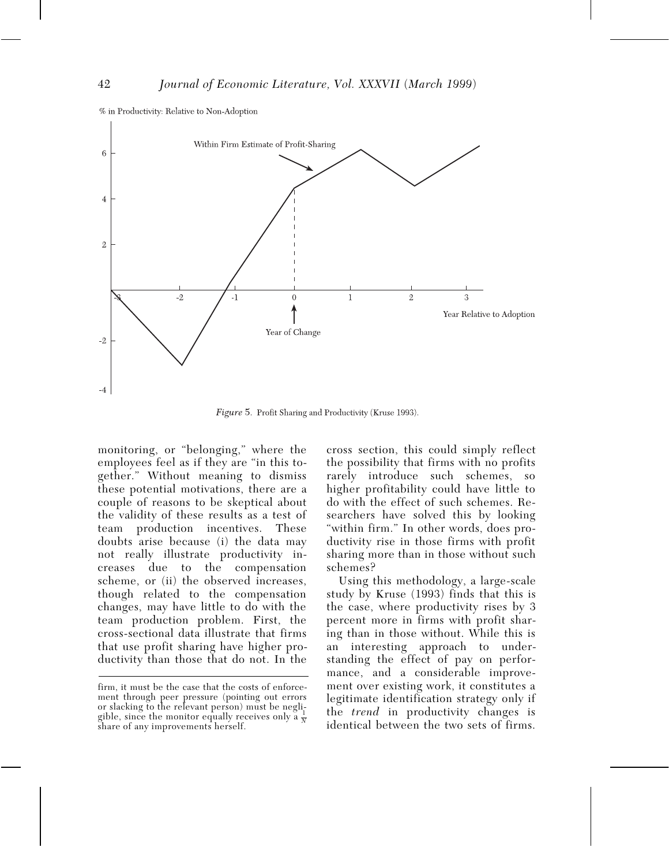

% in Productivity: Relative to Non-Adoption

*Figure* 5. Profit Sharing and Productivity (Kruse 1993).

monitoring, or "belonging," where the employees feel as if they are "in this together." Without meaning to dismiss these potential motivations, there are a couple of reasons to be skeptical about the validity of these results as a test of team production incentives. These doubts arise because (i) the data may not really illustrate productivity increases due to the compensation scheme, or (ii) the observed increases, though related to the compensation changes, may have little to do with the team production problem. First, the cross-sectional data illustrate that firms that use profit sharing have higher productivity than those that do not. In the

cross section, this could simply reflect the possibility that firms with no profits rarely introduce such schemes, so higher profitability could have little to do with the effect of such schemes. Researchers have solved this by looking "within firm." In other words, does productivity rise in those firms with profit sharing more than in those without such schemes?

Using this methodology, a large-scale study by Kruse (1993) finds that this is the case, where productivity rises by 3 percent more in firms with profit sharing than in those without. While this is an interesting approach to understanding the effect of pay on performance, and a considerable improvement over existing work, it constitutes a legitimate identification strategy only if the *trend* in productivity changes is identical between the two sets of firms.

firm, it must be the case that the costs of enforcement through peer pressure (pointing out errors or slacking to the relevant person) must be negligible, since the monitor equally receives only a  $\frac{1}{N}$ share of any improvements herself.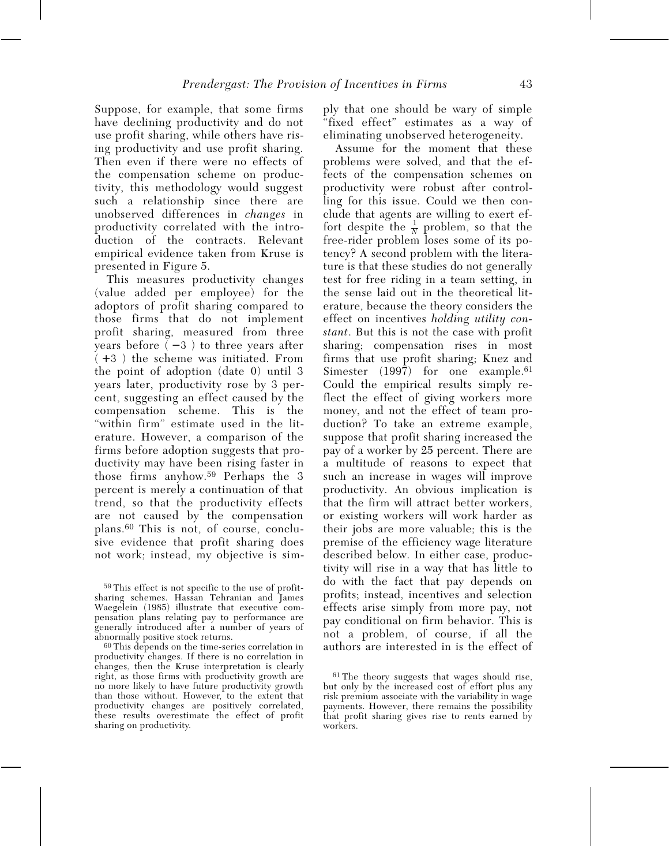Suppose, for example, that some firms have declining productivity and do not use profit sharing, while others have rising productivity and use profit sharing. Then even if there were no effects of the compensation scheme on productivity, this methodology would suggest such a relationship since there are unobserved differences in *changes* in productivity correlated with the introduction of the contracts. Relevant empirical evidence taken from Kruse is presented in Figure 5.

This measures productivity changes (value added per employee) for the adoptors of profit sharing compared to those firms that do not implement profit sharing, measured from three years before  $(-3)$  to three years after  $(+3)$  the scheme was initiated. From the point of adoption (date 0) until 3 years later, productivity rose by 3 percent, suggesting an effect caused by the compensation scheme. This is the "within firm" estimate used in the literature. However, a comparison of the firms before adoption suggests that productivity may have been rising faster in those firms anyhow.59 Perhaps the 3 percent is merely a continuation of that trend, so that the productivity effects are not caused by the compensation plans.60 This is not, of course, conclusive evidence that profit sharing does not work; instead, my objective is sim-

60 This depends on the time-series correlation in productivity changes. If there is no correlation in changes, then the Kruse interpretation is clearly right, as those firms with productivity growth are no more likely to have future productivity growth than those without. However, to the extent that productivity changes are positively correlated, these results overestimate the effect of profit sharing on productivity.

ply that one should be wary of simple "fixed effect" estimates as a way of eliminating unobserved heterogeneity.

Assume for the moment that these problems were solved, and that the effects of the compensation schemes on productivity were robust after controlling for this issue. Could we then conclude that agents are willing to exert effort despite the  $\frac{1}{N}$  problem, so that the free-rider problem loses some of its potency? A second problem with the literature is that these studies do not generally test for free riding in a team setting, in the sense laid out in the theoretical literature, because the theory considers the effect on incentives *holding utility constant*. But this is not the case with profit sharing; compensation rises in most firms that use profit sharing; Knez and Simester (1997) for one example.<sup>61</sup> Could the empirical results simply reflect the effect of giving workers more money, and not the effect of team production? To take an extreme example, suppose that profit sharing increased the pay of a worker by 25 percent. There are a multitude of reasons to expect that such an increase in wages will improve productivity. An obvious implication is that the firm will attract better workers, or existing workers will work harder as their jobs are more valuable; this is the premise of the efficiency wage literature described below. In either case, productivity will rise in a way that has little to do with the fact that pay depends on profits; instead, incentives and selection effects arise simply from more pay, not pay conditional on firm behavior. This is not a problem, of course, if all the authors are interested in is the effect of

<sup>59</sup> This effect is not specific to the use of profitsharing schemes. Hassan Tehranian and James Waegelein (1985) illustrate that executive compensation plans relating pay to performance are generally introduced after a number of years of abnormally positive stock returns.

<sup>61</sup> The theory suggests that wages should rise, but only by the increased cost of effort plus any risk premium associate with the variability in wage payments. However, there remains the possibility that profit sharing gives rise to rents earned by workers.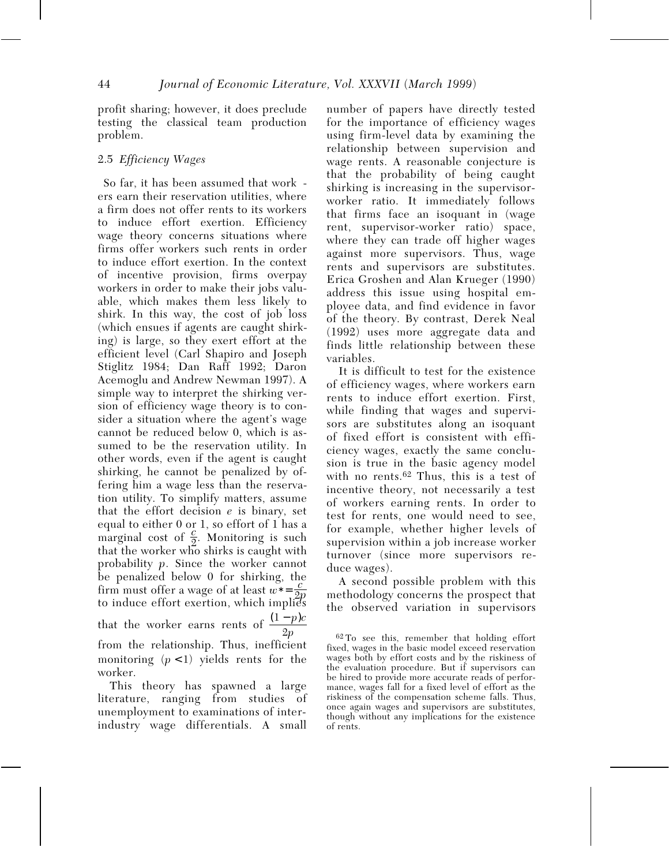profit sharing; however, it does preclude testing the classical team production problem.

## 2.5 *Efficiency Wages*

 So far, it has been assumed that work ers earn their reservation utilities, where a firm does not offer rents to its workers to induce effort exertion. Efficiency wage theory concerns situations where firms offer workers such rents in order to induce effort exertion. In the context of incentive provision, firms overpay workers in order to make their jobs valuable, which makes them less likely to shirk. In this way, the cost of job loss (which ensues if agents are caught shirking) is large, so they exert effort at the efficient level (Carl Shapiro and Joseph Stiglitz 1984; Dan Raff 1992; Daron Acemoglu and Andrew Newman 1997). A simple way to interpret the shirking version of efficiency wage theory is to consider a situation where the agent's wage cannot be reduced below 0, which is assumed to be the reservation utility. In other words, even if the agent is caught shirking, he cannot be penalized by offering him a wage less than the reservation utility. To simplify matters, assume that the effort decision *e* is binary, set equal to either 0 or 1, so effort of 1 has a  $\frac{c}{2}$  Monitoring is such<br>that the distribution of  $\frac{c}{2}$ . Monitoring is such that the worker who shirks is caught with probability *p*. Since the worker cannot be penalized below 0 for shirking, the firm must offer a wage of at least  $w^* = \frac{c}{2n}$ to induce effort exertion, which implies that the worker earns rents of  $\frac{(1-p)c}{2p}$ from the relationship. Thus, inefficient monitoring  $(p < 1)$  yields rents for the worker.

This theory has spawned a large literature, ranging from studies of unemployment to examinations of interindustry wage differentials. A small

number of papers have directly tested for the importance of efficiency wages using firm-level data by examining the relationship between supervision and wage rents. A reasonable conjecture is that the probability of being caught shirking is increasing in the supervisorworker ratio. It immediately follows that firms face an isoquant in (wage rent, supervisor-worker ratio) space, where they can trade off higher wages against more supervisors. Thus, wage rents and supervisors are substitutes. Erica Groshen and Alan Krueger (1990) address this issue using hospital employee data, and find evidence in favor of the theory. By contrast, Derek Neal (1992) uses more aggregate data and finds little relationship between these variables.

It is difficult to test for the existence of efficiency wages, where workers earn rents to induce effort exertion. First, while finding that wages and supervisors are substitutes along an isoquant of fixed effort is consistent with efficiency wages, exactly the same conclusion is true in the basic agency model with no rents.62 Thus, this is a test of incentive theory, not necessarily a test of workers earning rents. In order to test for rents, one would need to see, for example, whether higher levels of supervision within a job increase worker turnover (since more supervisors reduce wages).

A second possible problem with this methodology concerns the prospect that the observed variation in supervisors

<sup>62</sup> To see this, remember that holding effort fixed, wages in the basic model exceed reservation wages both by effort costs and by the riskiness of the evaluation procedure. But if supervisors can be hired to provide more accurate reads of performance, wages fall for a fixed level of effort as the riskiness of the compensation scheme falls. Thus, once again wages and supervisors are substitutes, though without any implications for the existence of rents.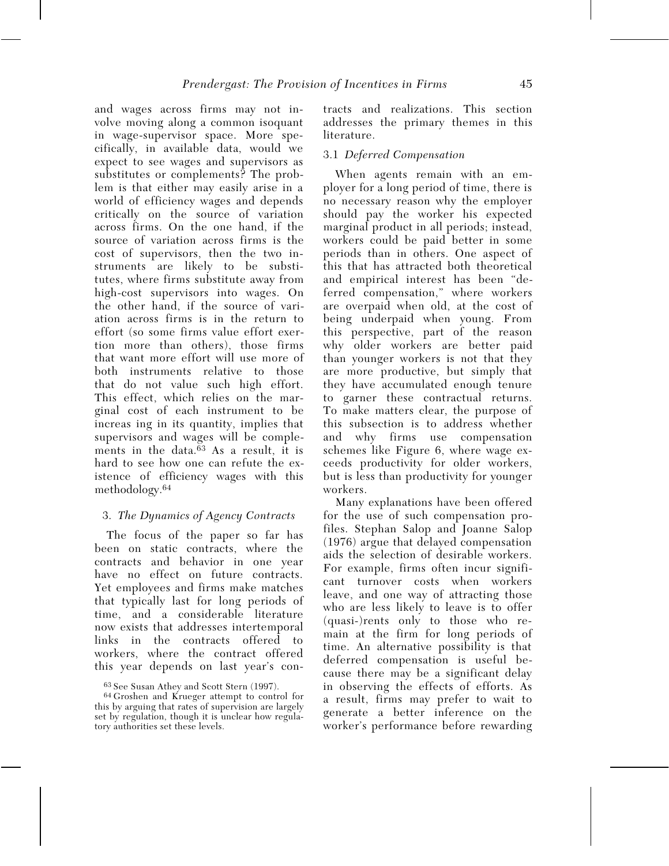and wages across firms may not involve moving along a common isoquant in wage-supervisor space. More specifically, in available data, would we expect to see wages and supervisors as substitutes or complements? The problem is that either may easily arise in a world of efficiency wages and depends critically on the source of variation across firms. On the one hand, if the source of variation across firms is the cost of supervisors, then the two instruments are likely to be substitutes, where firms substitute away from high-cost supervisors into wages. On the other hand, if the source of variation across firms is in the return to effort (so some firms value effort exertion more than others), those firms that want more effort will use more of both instruments relative to those that do not value such high effort. This effect, which relies on the marginal cost of each instrument to be increas ing in its quantity, implies that supervisors and wages will be complements in the data.63 As a result, it is hard to see how one can refute the existence of efficiency wages with this methodology.64

## 3. *The Dynamics of Agency Contracts*

The focus of the paper so far has been on static contracts, where the contracts and behavior in one year have no effect on future contracts. Yet employees and firms make matches that typically last for long periods of time, and a considerable literature now exists that addresses intertemporal links in the contracts offered to workers, where the contract offered this year depends on last year's contracts and realizations. This section addresses the primary themes in this literature.

## 3.1 *Deferred Compensation*

When agents remain with an employer for a long period of time, there is no necessary reason why the employer should pay the worker his expected marginal product in all periods; instead, workers could be paid better in some periods than in others. One aspect of this that has attracted both theoretical and empirical interest has been "deferred compensation," where workers are overpaid when old, at the cost of being underpaid when young. From this perspective, part of the reason why older workers are better paid than younger workers is not that they are more productive, but simply that they have accumulated enough tenure to garner these contractual returns. To make matters clear, the purpose of this subsection is to address whether and why firms use compensation schemes like Figure 6, where wage exceeds productivity for older workers, but is less than productivity for younger workers.

Many explanations have been offered for the use of such compensation profiles. Stephan Salop and Joanne Salop (1976) argue that delayed compensation aids the selection of desirable workers. For example, firms often incur significant turnover costs when workers leave, and one way of attracting those who are less likely to leave is to offer (quasi-)rents only to those who remain at the firm for long periods of time. An alternative possibility is that deferred compensation is useful because there may be a significant delay in observing the effects of efforts. As a result, firms may prefer to wait to generate a better inference on the worker's performance before rewarding

<sup>63</sup> See Susan Athey and Scott Stern (1997).

<sup>64</sup> Groshen and Krueger attempt to control for this by arguing that rates of supervision are largely set by regulation, though it is unclear how regulatory authorities set these levels.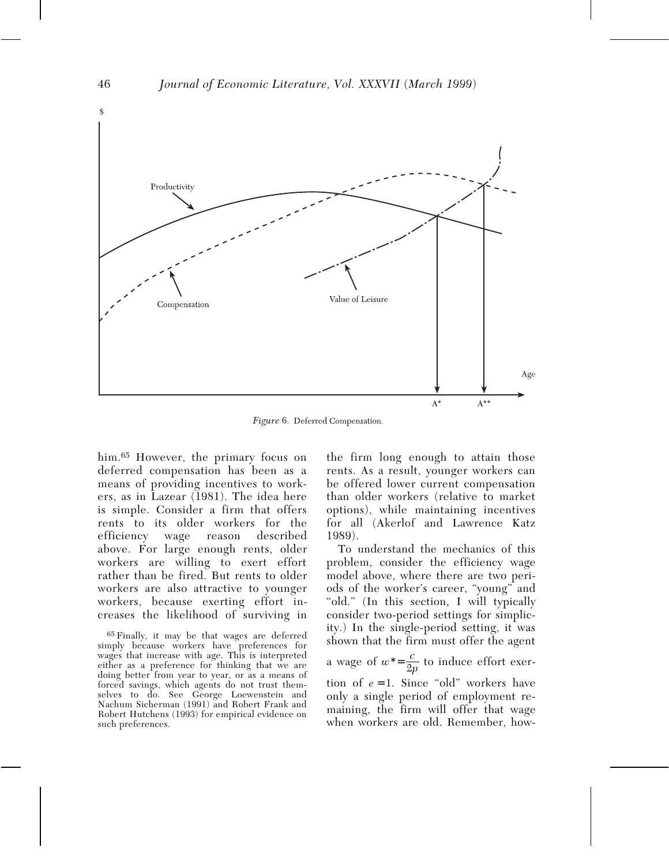

Figure 6. Deferred Compensation.

him.<sup>65</sup> However, the primary focus on deferred compensation has been as a means of providing incentives to workers, as in Lazear (1981). The idea here is simple. Consider a firm that offers rents to its older workers for the efficiency wage reason described above. For large enough rents, older workers are willing to exert effort rather than be fired. But rents to older workers are also attractive to younger workers, because exerting effort increases the likelihood of surviving in

65 Finally, it may be that wages are deferred simply because workers have preferences for wages that increase with age. This is interpreted either as a preference for thinking that we are doing better from year to year, or as a means of forced savings, which agents do not trust themselves to do. See George Loewenstein and Nachum Sicherman (1991) and Robert Frank and Robert Hutchens (1993) for empirical evidence on such preferences.

the firm long enough to attain those rents. As a result, younger workers can be offered lower current compensation than older workers (relative to market options), while maintaining incentives for all (Akerlof and Lawrence Katz 1989).

To understand the mechanics of this problem, consider the efficiency wage model above, where there are two periods of the worker's career, "young" and "old." (In this section, I will typically consider two-period settings for simplicity.) In the single-period setting, it was shown that the firm must offer the agent a wage of  $w^* = \frac{c}{2p}$  to induce effort exertion of *e* = 1. Since "old" workers have only a single period of employment remaining, the firm will offer that wage when workers are old. Remember, how-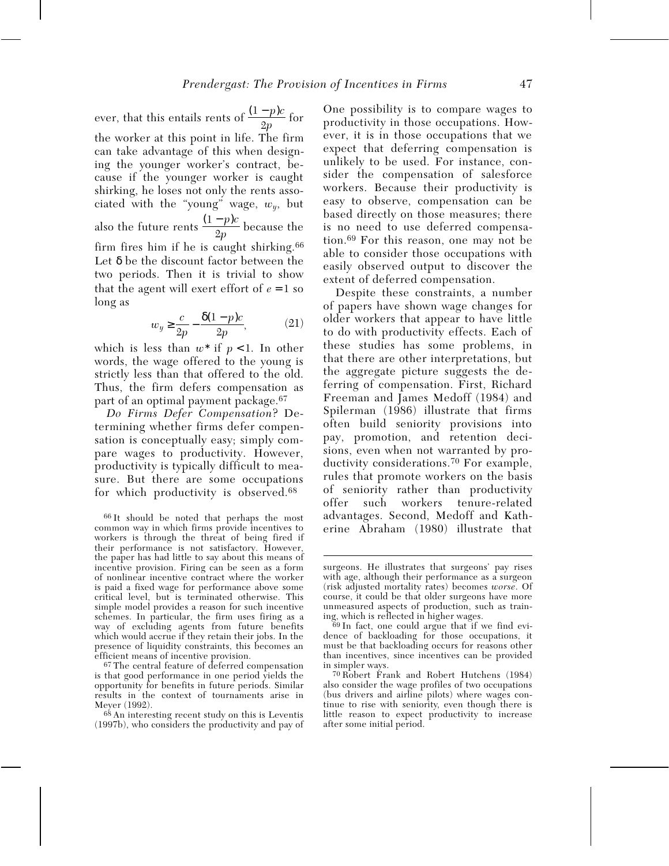ever, that this entails rents of  $\frac{(1-p)c}{2p}$  for the worker at this point in life. The firm can take advantage of this when designing the younger worker's contract, because if the younger worker is caught shirking, he loses not only the rents associated with the "young" wage, *wy*, but also the future rents  $\frac{(1-p)c}{2p}$  because the firm fires him if he is caught shirking.66 Let δ be the discount factor between the two periods. Then it is trivial to show that the agent will exert effort of  $e = 1$  so long as

$$
w_y \ge \frac{c}{2p} - \frac{\delta(1-p)c}{2p},\tag{21}
$$

which is less than *w*<sup>∗</sup> if *p* < 1. In other words, the wage offered to the young is strictly less than that offered to the old. Thus, the firm defers compensation as part of an optimal payment package.67

*Do Firms Defer Compensation*? Determining whether firms defer compensation is conceptually easy; simply compare wages to productivity. However, productivity is typically difficult to measure. But there are some occupations for which productivity is observed.68

66 It should be noted that perhaps the most common way in which firms provide incentives to workers is through the threat of being fired if their performance is not satisfactory. However, the paper has had little to say about this means of incentive provision. Firing can be seen as a form of nonlinear incentive contract where the worker is paid a fixed wage for performance above some critical level, but is terminated otherwise. This simple model provides a reason for such incentive schemes. In particular, the firm uses firing as a way of excluding agents from future benefits which would accrue if they retain their jobs. In the presence of liquidity constraints, this becomes an efficient means of incentive provision.

67 The central feature of deferred compensation is that good performance in one period yields the opportunity for benefits in future periods. Similar results in the context of tournaments arise in Meyer (1992).

68 An interesting recent study on this is Leventis (1997b), who considers the productivity and pay of

One possibility is to compare wages to productivity in those occupations. However, it is in those occupations that we expect that deferring compensation is unlikely to be used. For instance, consider the compensation of salesforce workers. Because their productivity is easy to observe, compensation can be based directly on those measures; there is no need to use deferred compensation.69 For this reason, one may not be able to consider those occupations with easily observed output to discover the extent of deferred compensation.

Despite these constraints, a number of papers have shown wage changes for older workers that appear to have little to do with productivity effects. Each of these studies has some problems, in that there are other interpretations, but the aggregate picture suggests the deferring of compensation. First, Richard Freeman and James Medoff (1984) and Spilerman (1986) illustrate that firms often build seniority provisions into pay, promotion, and retention decisions, even when not warranted by productivity considerations.70 For example, rules that promote workers on the basis of seniority rather than productivity offer such workers tenure-related advantages. Second, Medoff and Katherine Abraham (1980) illustrate that

surgeons. He illustrates that surgeons' pay rises with age, although their performance as a surgeon (risk adjusted mortality rates) becomes *worse*. Of course, it could be that older surgeons have more unmeasured aspects of production, such as training, which is reflected in higher wages.

<sup>69</sup> In fact, one could argue that if we find evidence of backloading for those occupations, it must be that backloading occurs for reasons other than incentives, since incentives can be provided in simpler ways.

<sup>70</sup> Robert Frank and Robert Hutchens (1984) also consider the wage profiles of two occupations (bus drivers and airline pilots) where wages continue to rise with seniority, even though there is little reason to expect productivity to increase after some initial period.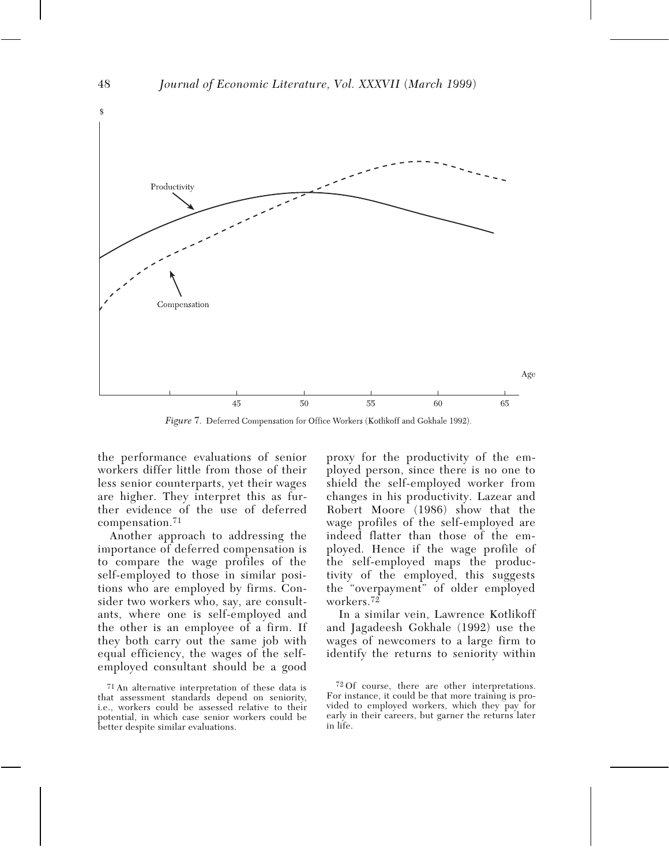

Figure 7. Deferred Compensation for Office Workers (Kotlikoff and Gokhale 1992).

the performance evaluations of senior workers differ little from those of their less senior counterparts, yet their wages are higher. They interpret this as further evidence of the use of deferred compensation.71

Another approach to addressing the importance of deferred compensation is to compare the wage profiles of the self-employed to those in similar positions who are employed by firms. Consider two workers who, say, are consultants, where one is self-employed and the other is an employee of a firm. If they both carry out the same job with equal efficiency, the wages of the selfemployed consultant should be a good proxy for the productivity of the employed person, since there is no one to shield the self-employed worker from changes in his productivity. Lazear and Robert Moore (1986) show that the wage profiles of the self-employed are indeed flatter than those of the employed. Hence if the wage profile of the self-employed maps the productivity of the employed, this suggests the "overpayment" of older employed workers.72

In a similar vein, Lawrence Kotlikoff and Jagadeesh Gokhale (1992) use the wages of newcomers to a large firm to identify the returns to seniority within

<sup>71</sup> An alternative interpretation of these data is that assessment standards depend on seniority, i.e., workers could be assessed relative to their potential, in which case senior workers could be better despite similar evaluations.

<sup>72</sup> Of course, there are other interpretations. For instance, it could be that more training is provided to employed workers, which they pay for early in their careers, but garner the returns later in life.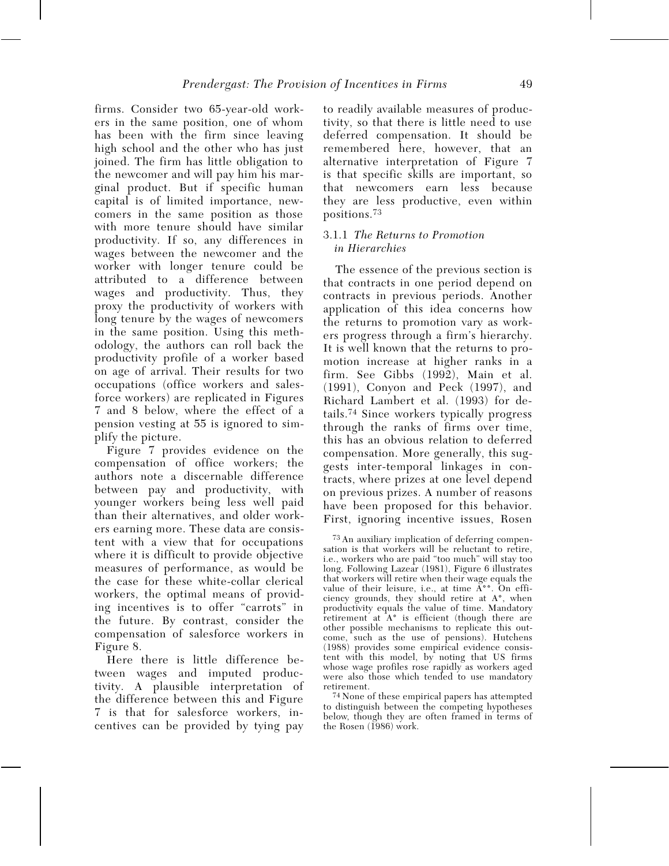firms. Consider two 65-year-old workers in the same position, one of whom has been with the firm since leaving high school and the other who has just joined. The firm has little obligation to the newcomer and will pay him his marginal product. But if specific human capital is of limited importance, newcomers in the same position as those with more tenure should have similar productivity. If so, any differences in wages between the newcomer and the worker with longer tenure could be attributed to a difference between wages and productivity. Thus, they proxy the productivity of workers with long tenure by the wages of newcomers in the same position. Using this methodology, the authors can roll back the productivity profile of a worker based on age of arrival. Their results for two occupations (office workers and salesforce workers) are replicated in Figures 7 and 8 below, where the effect of a pension vesting at 55 is ignored to simplify the picture.

Figure 7 provides evidence on the compensation of office workers; the authors note a discernable difference between pay and productivity, with younger workers being less well paid than their alternatives, and older workers earning more. These data are consistent with a view that for occupations where it is difficult to provide objective measures of performance, as would be the case for these white-collar clerical workers, the optimal means of providing incentives is to offer "carrots" in the future. By contrast, consider the compensation of salesforce workers in Figure 8.

Here there is little difference between wages and imputed productivity. A plausible interpretation of the difference between this and Figure 7 is that for salesforce workers, incentives can be provided by tying pay to readily available measures of productivity, so that there is little need to use deferred compensation. It should be remembered here, however, that an alternative interpretation of Figure 7 is that specific skills are important, so that newcomers earn less because they are less productive, even within positions.73

### 3.1.1 *The Returns to Promotion in Hierarchies*

The essence of the previous section is that contracts in one period depend on contracts in previous periods. Another application of this idea concerns how the returns to promotion vary as workers progress through a firm's hierarchy. It is well known that the returns to promotion increase at higher ranks in a firm. See Gibbs (1992), Main et al. (1991), Conyon and Peck (1997), and Richard Lambert et al. (1993) for details.74 Since workers typically progress through the ranks of firms over time, this has an obvious relation to deferred compensation. More generally, this suggests inter-temporal linkages in contracts, where prizes at one level depend on previous prizes. A number of reasons have been proposed for this behavior. First, ignoring incentive issues, Rosen

73 An auxiliary implication of deferring compensation is that workers will be reluctant to retire, i.e., workers who are paid "too much" will stay too long. Following Lazear (1981), Figure 6 illustrates that workers will retire when their wage equals the value of their leisure, i.e., at time  $\tilde{A}^{\ast\ast}$ . On efficiency grounds, they should retire at A\*, when productivity equals the value of time. Mandatory retirement at A\* is efficient (though there are other possible mechanisms to replicate this outcome, such as the use of pensions). Hutchens (1988) provides some empirical evidence consistent with this model, by noting that US firms whose wage profiles rose rapidly as workers aged were also those which tended to use mandatory retirement.

74 None of these empirical papers has attempted to distinguish between the competing hypotheses below, though they are often framed in terms of the Rosen (1986) work.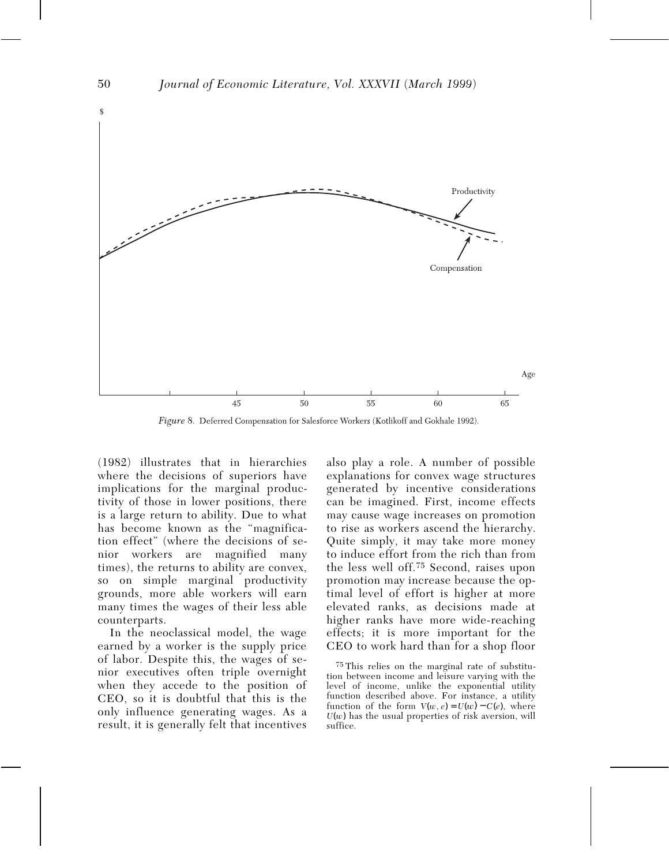

Figure 8. Deferred Compensation for Salesforce Workers (Kotlikoff and Gokhale 1992).

(1982) illustrates that in hierarchies where the decisions of superiors have implications for the marginal productivity of those in lower positions, there is a large return to ability. Due to what has become known as the "magnification effect" (where the decisions of senior workers are magnified many times), the returns to ability are convex, so on simple marginal productivity grounds, more able workers will earn many times the wages of their less able counterparts.

In the neoclassical model, the wage earned by a worker is the supply price of labor. Despite this, the wages of senior executives often triple overnight when they accede to the position of CEO, so it is doubtful that this is the only influence generating wages. As a result, it is generally felt that incentives

also play a role. A number of possible explanations for convex wage structures generated by incentive considerations can be imagined. First, income effects may cause wage increases on promotion to rise as workers ascend the hierarchy. Quite simply, it may take more money to induce effort from the rich than from the less well off.75 Second, raises upon promotion may increase because the optimal level of effort is higher at more elevated ranks, as decisions made at higher ranks have more wide-reaching effects; it is more important for the CEO to work hard than for a shop floor

75 This relies on the marginal rate of substitution between income and leisure varying with the level of income, unlike the exponential utility function described above. For instance, a utility function of the form  $V(w, e) = U(w) - C(e)$ , where  $U(w)$  has the usual properties of risk aversion, will suffice.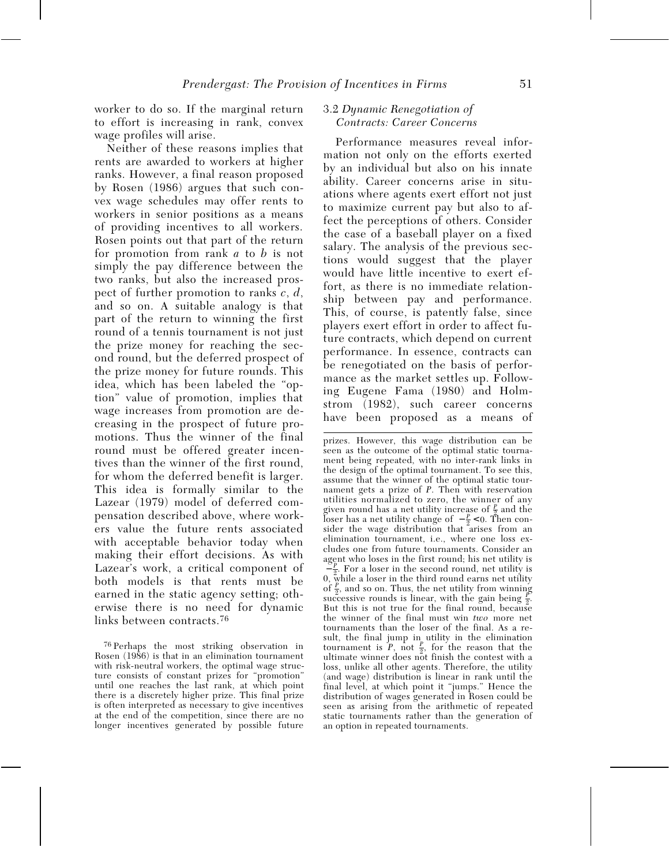worker to do so. If the marginal return to effort is increasing in rank, convex wage profiles will arise.

Neither of these reasons implies that rents are awarded to workers at higher ranks. However, a final reason proposed by Rosen (1986) argues that such convex wage schedules may offer rents to workers in senior positions as a means of providing incentives to all workers. Rosen points out that part of the return for promotion from rank *a* to *b* is not simply the pay difference between the two ranks, but also the increased prospect of further promotion to ranks *c*, *d*, and so on. A suitable analogy is that part of the return to winning the first round of a tennis tournament is not just the prize money for reaching the second round, but the deferred prospect of the prize money for future rounds. This idea, which has been labeled the "option" value of promotion, implies that wage increases from promotion are decreasing in the prospect of future promotions. Thus the winner of the final round must be offered greater incentives than the winner of the first round, for whom the deferred benefit is larger. This idea is formally similar to the Lazear (1979) model of deferred compensation described above, where workers value the future rents associated with acceptable behavior today when making their effort decisions. As with Lazear's work, a critical component of both models is that rents must be earned in the static agency setting; otherwise there is no need for dynamic links between contracts.76

76 Perhaps the most striking observation in Rosen (1986) is that in an elimination tournament with risk-neutral workers, the optimal wage structure consists of constant prizes for "promotion" until one reaches the last rank, at which point there is a discretely higher prize. This final prize is often interpreted as necessary to give incentives at the end of the competition, since there are no longer incentives generated by possible future

#### 3.2 *Dynamic Renegotiation of Contracts: Career Concerns*

Performance measures reveal information not only on the efforts exerted by an individual but also on his innate ability. Career concerns arise in situations where agents exert effort not just to maximize current pay but also to affect the perceptions of others. Consider the case of a baseball player on a fixed salary. The analysis of the previous sections would suggest that the player would have little incentive to exert effort, as there is no immediate relationship between pay and performance. This, of course, is patently false, since players exert effort in order to affect future contracts, which depend on current performance. In essence, contracts can be renegotiated on the basis of performance as the market settles up. Following Eugene Fama (1980) and Holmstrom (1982), such career concerns have been proposed as a means of

prizes. However, this wage distribution can be seen as the outcome of the optimal static tournament being repeated, with no inter-rank links in the design of the optimal tournament. To see this, assume that the winner of the optimal static tournament gets a prize of *P*. Then with reservation utilities normalized to zero, the winner of any given round has a net utility increase of *<sup>P</sup>* 2 and the loser has a net utility change of  $-\frac{P}{2}$  < 0. Then consider the wage distribution that arises from an elimination tournament, i.e., where one loss excludes one from future tournaments. Consider an agent who loses in the first round; his net utility is  $-\frac{p}{2}$ . For a loser in the second round, net utility is  $0, \hat{w}$  while a loser in the third round earns net utility of  $\frac{p}{2}$ , and so on. Thus, the net utility from winning successive rounds is linear, with the gain being  $\frac{p}{2}$ . But this is not true for the final round, because the winner of the final must win *two* more net tournaments than the loser of the final. As a result, the final jump in utility in the elimination tournament is  $P$ , not  $\frac{P}{2}$ , for the reason that the ultimate winner does not finish the contest with a loss, unlike all other agents. Therefore, the utility (and wage) distribution is linear in rank until the final level, at which point it "jumps." Hence the distribution of wages generated in Rosen could be seen as arising from the arithmetic of repeated static tournaments rather than the generation of an option in repeated tournaments.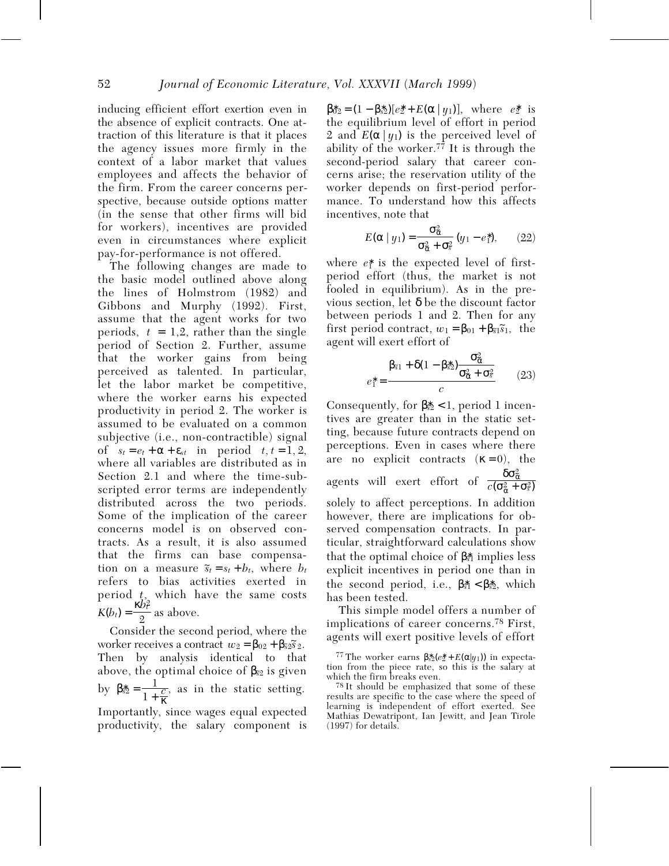inducing efficient effort exertion even in the absence of explicit contracts. One attraction of this literature is that it places the agency issues more firmly in the context of a labor market that values employees and affects the behavior of the firm. From the career concerns perspective, because outside options matter (in the sense that other firms will bid for workers), incentives are provided even in circumstances where explicit pay-for-performance is not offered.

The following changes are made to the basic model outlined above along the lines of Holmstrom (1982) and Gibbons and Murphy (1992). First, assume that the agent works for two periods,  $t = 1,2$ , rather than the single period of Section 2. Further, assume that the worker gains from being perceived as talented. In particular, let the labor market be competitive, where the worker earns his expected productivity in period 2. The worker is assumed to be evaluated on a common subjective (i.e., non-contractible) signal of  $s_t = e_t + \alpha + \varepsilon_{st}$  in period  $t, t = 1, 2,$ where all variables are distributed as in Section 2.1 and where the time-subscripted error terms are independently distributed across the two periods. Some of the implication of the career concerns model is on observed contracts. As a result, it is also assumed that the firms can base compensation on a measure  $\tilde{s}_t = s_t + b_t$ , where  $b_t$ refers to bias activities exerted in period *t*, which have the same costs  $K(b_t) = \frac{\kappa b_t^2}{2}$  as above.

Consider the second period, where the worker receives a contract  $w_2 = \beta_{02} + \beta_{\tilde{s}2} \tilde{s}_2$ . Then by analysis identical to that above, the optimal choice of β*<sup>s</sup> <sup>~</sup>*2 is given  $b$ *γ*  $β_{52}^* = \frac{1}{1}$  $\frac{c}{1 + \frac{c}{\kappa}}$ κ , as in the static setting. Importantly, since wages equal expected productivity, the salary component is

 $\beta_{02}^* = (1 - \beta_{s2}^*)[e_2^* + E(\alpha | y_1)], \text{ where } e_2^* \text{ is }$ the equilibrium level of effort in period 2 and  $E(\alpha | y_1)$  is the perceived level of ability of the worker.<sup>77</sup> It is through the second-period salary that career concerns arise; the reservation utility of the worker depends on first-period performance. To understand how this affects incentives, note that

$$
E(\alpha \mid y_1) = \frac{\sigma_{\alpha}^2}{\sigma_{\alpha}^2 + \sigma_{s}^2} (y_1 - e_1^*), \qquad (22)
$$

where  $e_1^*$  is the expected level of firstperiod effort (thus, the market is not fooled in equilibrium). As in the previous section, let δ be the discount factor between periods 1 and 2. Then for any first period contract,  $w_1 = \beta_{01} + \beta_{\tilde{s}_1} \tilde{s}_1$ , the agent will exert effort of

$$
e_1^* = \frac{\beta_{\overline{s}1} + \delta(1 - \beta_{\overline{s}2}^*) \frac{\sigma_{\alpha}^2}{\sigma_{\alpha}^2 + \sigma_{\overline{s}}^2}}{c}
$$
 (23)

Consequently, for  $\beta_{\sqrt{2}}^* < 1$ , period 1 incentives are greater than in the static setting, because future contracts depend on perceptions. Even in cases where there are no explicit contracts  $(\kappa = 0)$ , the agents will exert effort of  $\frac{\delta \sigma_{\alpha}^2}{c(\sigma^2 + 1)}$  $c$ (σ<sup>2</sup><sub>α</sub> + σ<sup>2</sup><sub>s</sub>) solely to affect perceptions. In addition however, there are implications for observed compensation contracts. In particular, straightforward calculations show that the optimal choice of β*<sup>s</sup> ~*1 <sup>∗</sup> implies less explicit incentives in period one than in *the second period, i.e., β<sup>\*</sup><sub>3</sub>1 < β<sup>\*</sup><sub>32</sub>, which* has been tested.

This simple model offers a number of implications of career concerns.78 First, agents will exert positive levels of effort

<sup>&</sup>lt;sup>77</sup> The worker earns  $β_{s2}^*(e_2^* + E(α|y_1))$  in expectation from the piece rate, so this is the salary at which the firm breaks even.

<sup>78</sup> It should be emphasized that some of these results are specific to the case where the speed of learning is independent of effort exerted. See Mathias Dewatripont, Ian Jewitt, and Jean Tirole (1997) for details.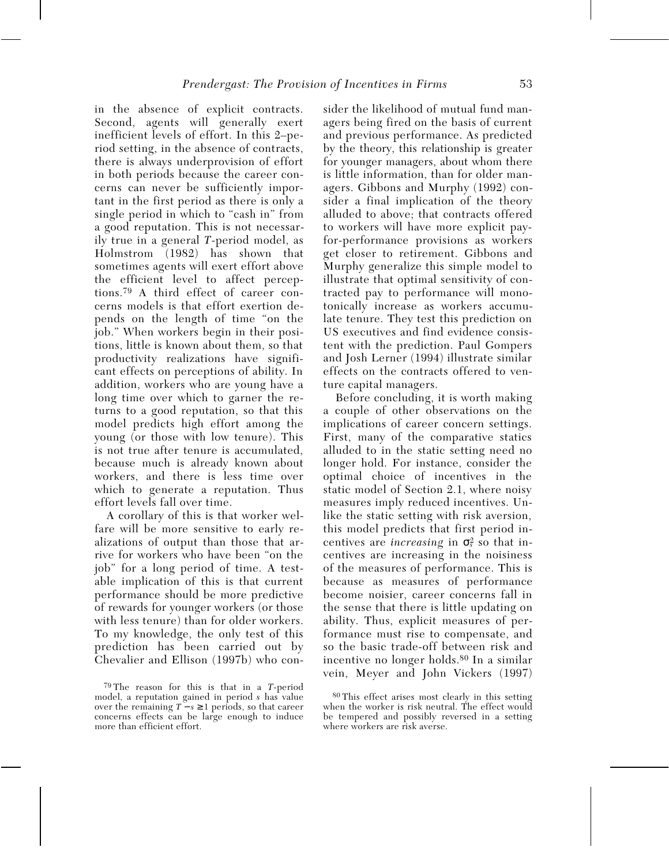in the absence of explicit contracts. Second, agents will generally exert inefficient levels of effort. In this 2–period setting, in the absence of contracts, there is always underprovision of effort in both periods because the career concerns can never be sufficiently important in the first period as there is only a single period in which to "cash in" from a good reputation. This is not necessarily true in a general *T*-period model, as Holmstrom (1982) has shown that sometimes agents will exert effort above the efficient level to affect perceptions.79 A third effect of career concerns models is that effort exertion depends on the length of time "on the job." When workers begin in their positions, little is known about them, so that productivity realizations have significant effects on perceptions of ability. In addition, workers who are young have a long time over which to garner the returns to a good reputation, so that this model predicts high effort among the young (or those with low tenure). This is not true after tenure is accumulated, because much is already known about workers, and there is less time over which to generate a reputation. Thus effort levels fall over time.

A corollary of this is that worker welfare will be more sensitive to early realizations of output than those that arrive for workers who have been "on the job" for a long period of time. A testable implication of this is that current performance should be more predictive of rewards for younger workers (or those with less tenure) than for older workers. To my knowledge, the only test of this prediction has been carried out by Chevalier and Ellison (1997b) who con-

sider the likelihood of mutual fund managers being fired on the basis of current and previous performance. As predicted by the theory, this relationship is greater for younger managers, about whom there is little information, than for older managers. Gibbons and Murphy (1992) consider a final implication of the theory alluded to above; that contracts offered to workers will have more explicit payfor-performance provisions as workers get closer to retirement. Gibbons and Murphy generalize this simple model to illustrate that optimal sensitivity of contracted pay to performance will monotonically increase as workers accumulate tenure. They test this prediction on US executives and find evidence consistent with the prediction. Paul Gompers and Josh Lerner (1994) illustrate similar effects on the contracts offered to venture capital managers.

Before concluding, it is worth making a couple of other observations on the implications of career concern settings. First, many of the comparative statics alluded to in the static setting need no longer hold. For instance, consider the optimal choice of incentives in the static model of Section 2.1, where noisy measures imply reduced incentives. Unlike the static setting with risk aversion, this model predicts that first period incentives are *increasing* in σ*<sup>s</sup>* 2 so that incentives are increasing in the noisiness of the measures of performance. This is because as measures of performance become noisier, career concerns fall in the sense that there is little updating on ability. Thus, explicit measures of performance must rise to compensate, and so the basic trade-off between risk and incentive no longer holds.80 In a similar vein, Meyer and John Vickers (1997)

<sup>79</sup> The reason for this is that in a *T*-period model, a reputation gained in period *s* has value over the remaining *T* − *s* ≥ 1 periods, so that career concerns effects can be large enough to induce more than efficient effort.

<sup>80</sup> This effect arises most clearly in this setting when the worker is risk neutral. The effect would be tempered and possibly reversed in a setting where workers are risk averse.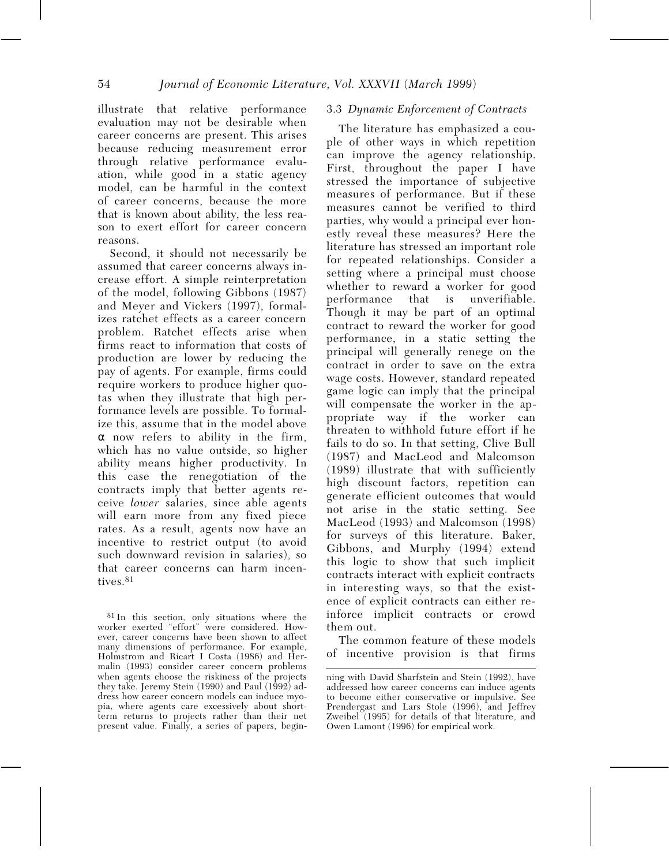illustrate that relative performance evaluation may not be desirable when career concerns are present. This arises because reducing measurement error through relative performance evaluation, while good in a static agency model, can be harmful in the context of career concerns, because the more that is known about ability, the less reason to exert effort for career concern reasons.

Second, it should not necessarily be assumed that career concerns always increase effort. A simple reinterpretation of the model, following Gibbons (1987) and Meyer and Vickers (1997), formalizes ratchet effects as a career concern problem. Ratchet effects arise when firms react to information that costs of production are lower by reducing the pay of agents. For example, firms could require workers to produce higher quotas when they illustrate that high performance levels are possible. To formalize this, assume that in the model above α now refers to ability in the firm, which has no value outside, so higher ability means higher productivity. In this case the renegotiation of the contracts imply that better agents receive *lower* salaries, since able agents will earn more from any fixed piece rates. As a result, agents now have an incentive to restrict output (to avoid such downward revision in salaries), so that career concerns can harm incentives.81

81 In this section, only situations where the worker exerted "effort" were considered. However, career concerns have been shown to affect many dimensions of performance. For example, Holmstrom and Ricart I Costa (1986) and Hermalin (1993) consider career concern problems when agents choose the riskiness of the projects they take. Jeremy Stein (1990) and Paul (1992) address how career concern models can induce myopia, where agents care excessively about shortterm returns to projects rather than their net present value. Finally, a series of papers, begin-

#### 3.3 *Dynamic Enforcement of Contracts*

The literature has emphasized a couple of other ways in which repetition can improve the agency relationship. First, throughout the paper I have stressed the importance of subjective measures of performance. But if these measures cannot be verified to third parties, why would a principal ever honestly reveal these measures? Here the literature has stressed an important role for repeated relationships. Consider a setting where a principal must choose whether to reward a worker for good performance that is unverifiable. Though it may be part of an optimal contract to reward the worker for good performance, in a static setting the principal will generally renege on the contract in order to save on the extra wage costs. However, standard repeated game logic can imply that the principal will compensate the worker in the appropriate way if the worker can threaten to withhold future effort if he fails to do so. In that setting, Clive Bull (1987) and MacLeod and Malcomson (1989) illustrate that with sufficiently high discount factors, repetition can generate efficient outcomes that would not arise in the static setting. See MacLeod (1993) and Malcomson (1998) for surveys of this literature. Baker, Gibbons, and Murphy (1994) extend this logic to show that such implicit contracts interact with explicit contracts in interesting ways, so that the existence of explicit contracts can either reinforce implicit contracts or crowd them out.

The common feature of these models of incentive provision is that firms

ning with David Sharfstein and Stein (1992), have addressed how career concerns can induce agents to become either conservative or impulsive. See Prendergast and Lars Stole (1996), and Jeffrey Zweibel (1995) for details of that literature, and Owen Lamont (1996) for empirical work.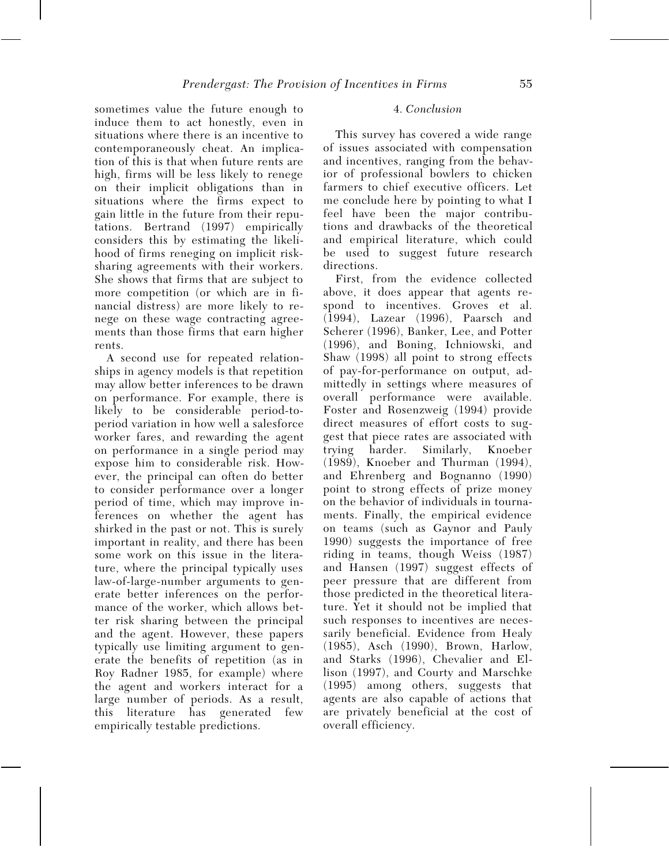sometimes value the future enough to induce them to act honestly, even in situations where there is an incentive to contemporaneously cheat. An implication of this is that when future rents are high, firms will be less likely to renege on their implicit obligations than in situations where the firms expect to gain little in the future from their reputations. Bertrand (1997) empirically considers this by estimating the likelihood of firms reneging on implicit risksharing agreements with their workers. She shows that firms that are subject to more competition (or which are in financial distress) are more likely to renege on these wage contracting agreements than those firms that earn higher rents.

A second use for repeated relationships in agency models is that repetition may allow better inferences to be drawn on performance. For example, there is likely to be considerable period-toperiod variation in how well a salesforce worker fares, and rewarding the agent on performance in a single period may expose him to considerable risk. However, the principal can often do better to consider performance over a longer period of time, which may improve inferences on whether the agent has shirked in the past or not. This is surely important in reality, and there has been some work on this issue in the literature, where the principal typically uses law-of-large-number arguments to generate better inferences on the performance of the worker, which allows better risk sharing between the principal and the agent. However, these papers typically use limiting argument to generate the benefits of repetition (as in Roy Radner 1985, for example) where the agent and workers interact for a large number of periods. As a result, this literature has generated few empirically testable predictions.

#### 4. *Conclusion*

This survey has covered a wide range of issues associated with compensation and incentives, ranging from the behavior of professional bowlers to chicken farmers to chief executive officers. Let me conclude here by pointing to what I feel have been the major contributions and drawbacks of the theoretical and empirical literature, which could be used to suggest future research directions.

First, from the evidence collected above, it does appear that agents respond to incentives. Groves et al. (1994), Lazear (1996), Paarsch and Scherer (1996), Banker, Lee, and Potter (1996), and Boning, Ichniowski, and Shaw (1998) all point to strong effects of pay-for-performance on output, admittedly in settings where measures of overall performance were available. Foster and Rosenzweig (1994) provide direct measures of effort costs to suggest that piece rates are associated with trying harder. Similarly, Knoeber (1989), Knoeber and Thurman (1994), and Ehrenberg and Bognanno (1990) point to strong effects of prize money on the behavior of individuals in tournaments. Finally, the empirical evidence on teams (such as Gaynor and Pauly 1990) suggests the importance of free riding in teams, though Weiss (1987) and Hansen (1997) suggest effects of peer pressure that are different from those predicted in the theoretical literature. Yet it should not be implied that such responses to incentives are necessarily beneficial. Evidence from Healy (1985), Asch (1990), Brown, Harlow, and Starks (1996), Chevalier and Ellison (1997), and Courty and Marschke (1995) among others, suggests that agents are also capable of actions that are privately beneficial at the cost of overall efficiency.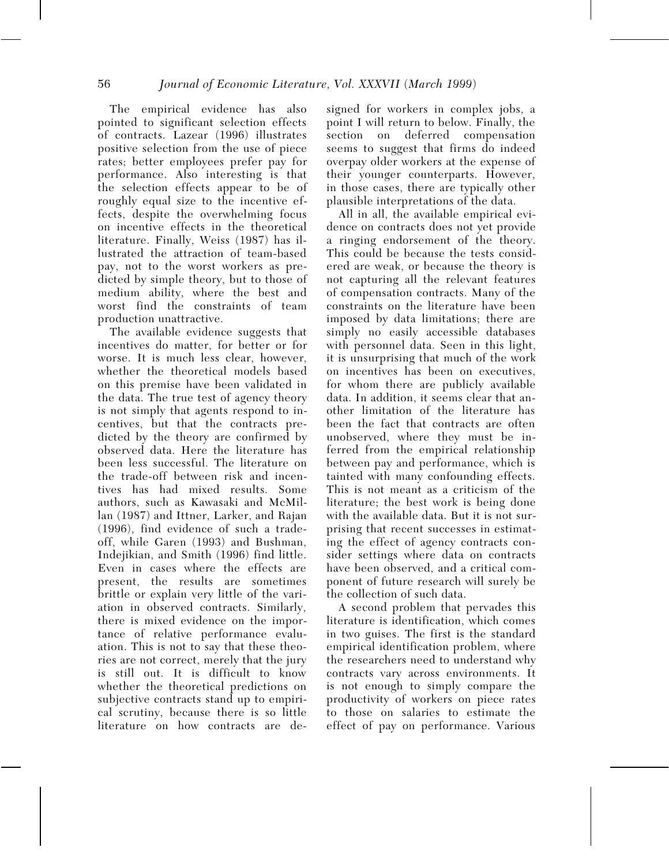The empirical evidence has also pointed to significant selection effects of contracts. Lazear (1996) illustrates positive selection from the use of piece rates; better employees prefer pay for performance. Also interesting is that the selection effects appear to be of roughly equal size to the incentive effects, despite the overwhelming focus on incentive effects in the theoretical literature. Finally, Weiss (1987) has illustrated the attraction of team-based pay, not to the worst workers as predicted by simple theory, but to those of medium ability, where the best and worst find the constraints of team production unattractive.

The available evidence suggests that incentives do matter, for better or for worse. It is much less clear, however, whether the theoretical models based on this premise have been validated in the data. The true test of agency theory is not simply that agents respond to incentives, but that the contracts predicted by the theory are confirmed by observed data. Here the literature has been less successful. The literature on the trade-off between risk and incentives has had mixed results. Some authors, such as Kawasaki and McMillan (1987) and Ittner, Larker, and Rajan (1996), find evidence of such a tradeoff, while Garen (1993) and Bushman, Indejikian, and Smith (1996) find little. Even in cases where the effects are present, the results are sometimes brittle or explain very little of the variation in observed contracts. Similarly, there is mixed evidence on the importance of relative performance evaluation. This is not to say that these theories are not correct, merely that the jury is still out. It is difficult to know whether the theoretical predictions on subjective contracts stand up to empirical scrutiny, because there is so little literature on how contracts are designed for workers in complex jobs, a point I will return to below. Finally, the section on deferred compensation seems to suggest that firms do indeed overpay older workers at the expense of their younger counterparts. However, in those cases, there are typically other plausible interpretations of the data.

All in all, the available empirical evidence on contracts does not yet provide a ringing endorsement of the theory. This could be because the tests considered are weak, or because the theory is not capturing all the relevant features of compensation contracts. Many of the constraints on the literature have been imposed by data limitations; there are simply no easily accessible databases with personnel data. Seen in this light, it is unsurprising that much of the work on incentives has been on executives, for whom there are publicly available data. In addition, it seems clear that another limitation of the literature has been the fact that contracts are often unobserved, where they must be inferred from the empirical relationship between pay and performance, which is tainted with many confounding effects. This is not meant as a criticism of the literature; the best work is being done with the available data. But it is not surprising that recent successes in estimating the effect of agency contracts consider settings where data on contracts have been observed, and a critical component of future research will surely be the collection of such data.

A second problem that pervades this literature is identification, which comes in two guises. The first is the standard empirical identification problem, where the researchers need to understand why contracts vary across environments. It is not enough to simply compare the productivity of workers on piece rates to those on salaries to estimate the effect of pay on performance. Various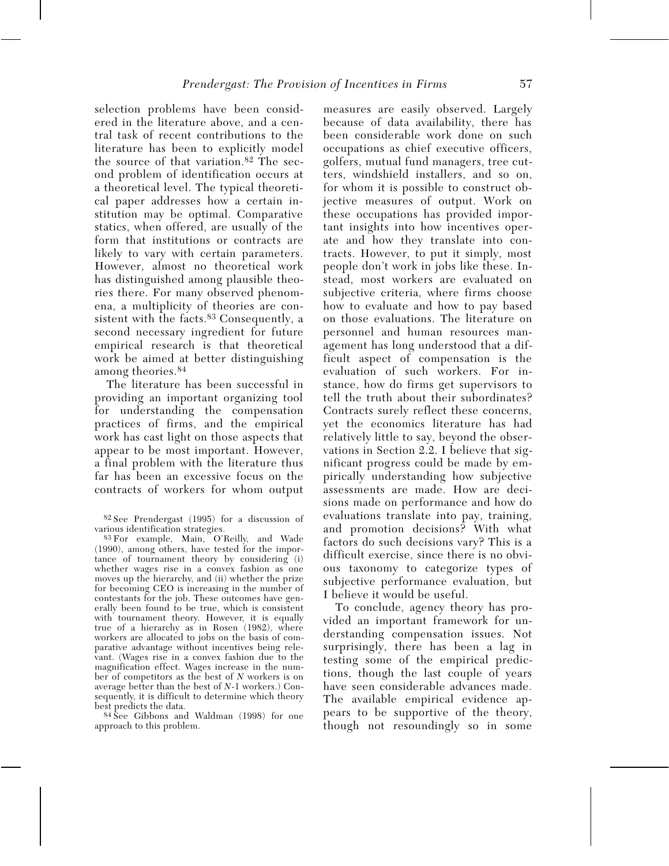selection problems have been considered in the literature above, and a central task of recent contributions to the literature has been to explicitly model the source of that variation.82 The second problem of identification occurs at a theoretical level. The typical theoretical paper addresses how a certain institution may be optimal. Comparative statics, when offered, are usually of the form that institutions or contracts are likely to vary with certain parameters. However, almost no theoretical work has distinguished among plausible theories there. For many observed phenomena, a multiplicity of theories are consistent with the facts.<sup>83</sup> Consequently, a second necessary ingredient for future empirical research is that theoretical work be aimed at better distinguishing among theories.84

The literature has been successful in providing an important organizing tool for understanding the compensation practices of firms, and the empirical work has cast light on those aspects that appear to be most important. However, a final problem with the literature thus far has been an excessive focus on the contracts of workers for whom output

84 See Gibbons and Waldman (1998) for one approach to this problem.

measures are easily observed. Largely because of data availability, there has been considerable work done on such occupations as chief executive officers, golfers, mutual fund managers, tree cutters, windshield installers, and so on, for whom it is possible to construct objective measures of output. Work on these occupations has provided important insights into how incentives operate and how they translate into contracts. However, to put it simply, most people don't work in jobs like these. Instead, most workers are evaluated on subjective criteria, where firms choose how to evaluate and how to pay based on those evaluations. The literature on personnel and human resources management has long understood that a difficult aspect of compensation is the evaluation of such workers. For instance, how do firms get supervisors to tell the truth about their subordinates? Contracts surely reflect these concerns, yet the economics literature has had relatively little to say, beyond the observations in Section 2.2. I believe that significant progress could be made by empirically understanding how subjective assessments are made. How are decisions made on performance and how do evaluations translate into pay, training, and promotion decisions? With what factors do such decisions vary? This is a difficult exercise, since there is no obvious taxonomy to categorize types of subjective performance evaluation, but I believe it would be useful.

To conclude, agency theory has provided an important framework for understanding compensation issues. Not surprisingly, there has been a lag in testing some of the empirical predictions, though the last couple of years have seen considerable advances made. The available empirical evidence appears to be supportive of the theory, though not resoundingly so in some

<sup>82</sup> See Prendergast (1995) for a discussion of various identification strategies.

<sup>83</sup> For example, Main, O'Reilly, and Wade (1990), among others, have tested for the importance of tournament theory by considering (i) whether wages rise in a convex fashion as one moves up the hierarchy, and (ii) whether the prize for becoming CEO is increasing in the number of contestants for the job. These outcomes have generally been found to be true, which is consistent with tournament theory. However, it is equally true of a hierarchy as in Rosen (1982), where workers are allocated to jobs on the basis of comparative advantage without incentives being relevant. (Wages rise in a convex fashion due to the magnification effect. Wages increase in the number of competitors as the best of *N* workers is on average better than the best of *N*-1 workers.) Consequently, it is difficult to determine which theory best predicts the data.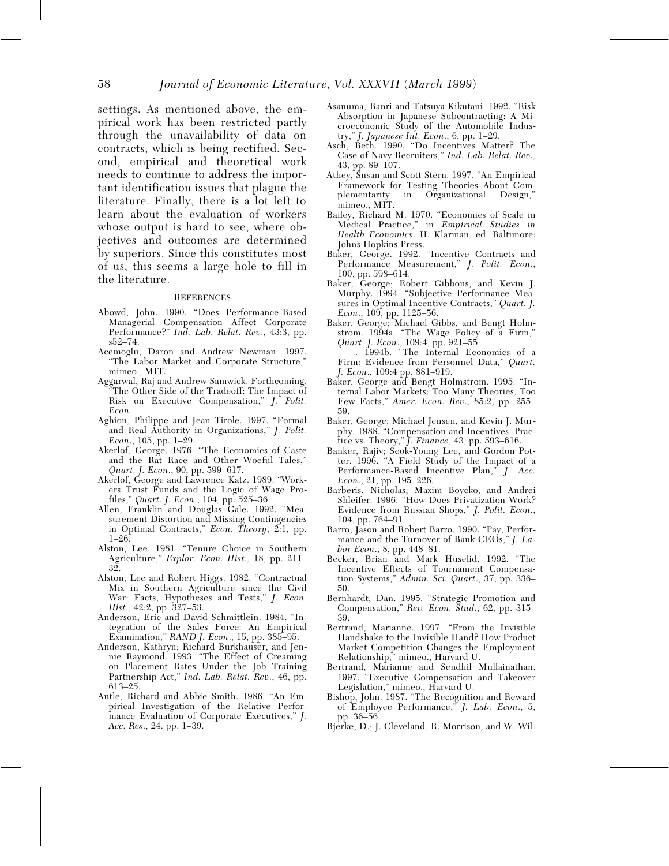settings. As mentioned above, the empirical work has been restricted partly through the unavailability of data on contracts, which is being rectified. Second, empirical and theoretical work needs to continue to address the important identification issues that plague the literature. Finally, there is a lot left to learn about the evaluation of workers whose output is hard to see, where objectives and outcomes are determined by superiors. Since this constitutes most of us, this seems a large hole to fill in the literature.

#### REFERENCES

- Abowd, John. 1990. "Does Performance-Based Managerial Compensation Affect Corporate Performance?" *Ind. Lab. Relat. Rev*., 43:3, pp. s52–74.
- Acemoglu, Daron and Andrew Newman. 1997. "The Labor Market and Corporate Structure," mimeo., MIT.
- Aggarwal, Raj and Andrew Samwick. Forthcoming. "The Other Side of the Tradeoff: The Impact of Risk on Executive Compensation," *J. Polit. Econ.*
- Aghion, Philippe and Jean Tirole. 1997. "Formal and Real Authority in Organizations," *J. Polit. Econ*., 105, pp. 1–29.
- Akerlof, George. 1976. "The Economics of Caste and the Rat Race and Other Woeful Tales," *Quart. J. Econ*., 90, pp. 599–617.
- Akerlof, George and Lawrence Katz. 1989. "Workers Trust Funds and the Logic of Wage Profiles," *Quart. J. Econ*., 104, pp. 525–36.
- Allen, Franklin and Douglas Gale. 1992. "Measurement Distortion and Missing Contingencies in Optimal Contracts," *Econ. Theory*, 2:1, pp. 1–26.
- Alston, Lee. 1981. "Tenure Choice in Southern Agriculture," *Explor. Econ. Hist*., 18, pp. 211– 32.
- Alston, Lee and Robert Higgs. 1982. "Contractual Mix in Southern Agriculture since the Civil War: Facts, Hypotheses and Tests," *J. Econ. Hist*., 42:2, pp. 327–53.
- Anderson, Eric and David Schmittlein. 1984. "Integration of the Sales Force: An Empirical Examination," *RAND J. Econ*., 15, pp. 385–95.
- Anderson, Kathryn; Richard Burkhauser, and Jennie Raymond. 1993. "The Effect of Creaming on Placement Rates Under the Job Training Partnership Act," *Ind. Lab. Relat. Rev*., 46, pp. 613–25.
- Antle, Richard and Abbie Smith. 1986. "An Empirical Investigation of the Relative Performance Evaluation of Corporate Executives," *J. Acc. Res*., 24. pp. 1–39.
- Asanuma, Banri and Tatsuya Kikutani. 1992. "Risk Absorption in Japanese Subcontracting: A Microeconomic Study of the Automobile Industry," *J. Japanese Int. Econ*., 6, pp. 1–29.
- Asch, Beth. 1990. "Do Incentives Matter? The Case of Navy Recruiters," *Ind. Lab. Relat. Rev*., 43, pp. 89–107.
- Athey, Susan and Scott Stern. 1997. "An Empirical Framework for Testing Theories About Com-Organizational Design," mimeo., MIT.
- Bailey, Richard M. 1970. "Economies of Scale in Medical Practice," in *Empirical Studies in Health Economics*. H. Klarman, ed. Baltimore: Johns Hopkins Press.
- Baker, George. 1992. "Incentive Contracts and Performance Measurement," *J. Polit. Econ*., 100, pp. 598–614.
- Baker, George; Robert Gibbons, and Kevin J. Murphy. 1994. "Subjective Performance Measures in Optimal Incentive Contracts," *Quart. J. Econ*., 109, pp. 1125–56.
- Baker, George; Michael Gibbs, and Bengt Holmstrom. 1994a. "The Wage Policy of a Firm," *Quart. J. Econ*., 109:4, pp. 921–55.
- ———. 1994b. "The Internal Economics of a Firm: Evidence from Personnel Data," *Quart. J. Econ*., 109:4 pp. 881–919.
- Baker, George and Bengt Holmstrom. 1995. "Internal Labor Markets: Too Many Theories, Too Few Facts," *Amer. Econ. Rev*., 85:2, pp. 255– 59.
- Baker, George; Michael Jensen, and Kevin J. Murphy. 1988. "Compensation and Incentives: Practice vs. Theory," *J. Finance*, 43, pp. 593–616.
- Banker, Rajiv; Seok-Young Lee, and Gordon Potter. 1996. "A Field Study of the Impact of a Performance-Based Incentive Plan," *J. Acc. Econ*., 21, pp. 195–226.
- Barberis, Nicholas; Maxim Boycko, and Andrei Shleifer. 1996. "How Does Privatization Work? Evidence from Russian Shops," *J. Polit. Econ*., 104, pp. 764–91.
- Barro, Jason and Robert Barro. 1990. "Pay, Performance and the Turnover of Bank CEOs," *J. Labor Econ*., 8, pp. 448–81.
- Becker, Brian and Mark Huselid. 1992. "The Incentive Effects of Tournament Compensation Systems," *Admin. Sci. Quart*., 37, pp. 336– 50.
- Bernhardt, Dan. 1995. "Strategic Promotion and Compensation," *Rev. Econ. Stud*., 62, pp. 315– 39.
- Bertrand, Marianne. 1997. "From the Invisible Handshake to the Invisible Hand? How Product Market Competition Changes the Employment Relationship," mimeo., Harvard U.
- Bertrand, Marianne and Sendhil Mullainathan. 1997. "Executive Compensation and Takeover Legislation," mimeo., Harvard U.
- Bishop, John. 1987. "The Recognition and Reward of Employee Performance," *J. Lab. Econ*., 5, pp. 36–56.
- Bjerke, D.; J. Cleveland, R. Morrison, and W. Wil-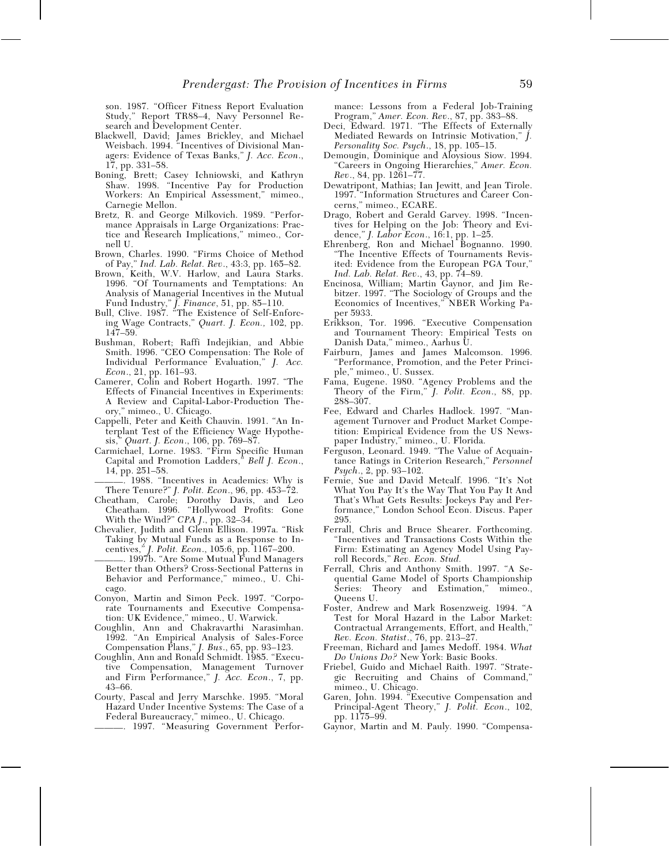son. 1987. "Officer Fitness Report Evaluation Study," Report TR88–4, Navy Personnel Research and Development Center.

- Blackwell, David; James Brickley, and Michael Weisbach. 1994. "Incentives of Divisional Managers: Evidence of Texas Banks," *J. Acc. Econ*., 17, pp. 331–58.
- Boning, Brett; Casey Ichniowski, and Kathryn Shaw. 1998. "Incentive Pay for Production Workers: An Empirical Assessment," mimeo., Carnegie Mellon.
- Bretz, R. and George Milkovich. 1989. "Performance Appraisals in Large Organizations: Practice and Research Implications," mimeo., Cornell U.
- Brown, Charles. 1990. "Firms Choice of Method of Pay," *Ind. Lab. Relat. Rev*., 43:3, pp. 165–82.
- Brown, Keith, W.V. Harlow, and Laura Starks. 1996. "Of Tournaments and Temptations: An Analysis of Managerial Incentives in the Mutual Fund Industry," *J. Finance*, 51, pp. 85–110.
- Bull, Clive. 1987. "The Existence of Self-Enforcing Wage Contracts," *Quart. J. Econ.,* 102, pp. 147–59.
- Bushman, Robert; Raffi Indejikian, and Abbie Smith. 1996. "CEO Compensation: The Role of Individual Performance Evaluation," *J. Acc. Econ*., 21, pp. 161–93.
- Camerer, Colin and Robert Hogarth. 1997. "The Effects of Financial Incentives in Experiments: A Review and Capital-Labor-Production Theory," mimeo., U. Chicago.
- Cappelli, Peter and Keith Chauvin. 1991. "An Interplant Test of the Efficiency Wage Hypothesis," *Quart. J. Econ*., 106, pp. 769–87.
- Carmichael, Lorne. 1983. "Firm Specific Human Capital and Promotion Ladders," *Bell J. Econ*., 14, pp. 251–58.
- ———. 1988. "Incentives in Academics: Why is There Tenure?" *J. Polit. Econ*., 96, pp. 453–72.
- Cheatham, Carole; Dorothy Davis, and Leo Cheatham. 1996. "Hollywood Profits: Gone With the Wind?" *CPA J*., pp. 32–34.
- Chevalier, Judith and Glenn Ellison. 1997a. "Risk Taking by Mutual Funds as a Response to Incentives," *J. Polit. Econ*., 105:6, pp. 1167–200.
- ———. 1997b. "Are Some Mutual Fund Managers Better than Others? Cross-Sectional Patterns in Behavior and Performance," mimeo., U. Chicago.
- Conyon, Martin and Simon Peck. 1997. "Corporate Tournaments and Executive Compensation: UK Evidence," mimeo., U. Warwick.
- Coughlin, Ann and Chakravarthi Narasimhan. 1992. "An Empirical Analysis of Sales-Force Compensation Plans," *J. Bus*., 65, pp. 93–123.
- Coughlin, Ann and Ronald Schmidt. 1985. "Executive Compensation, Management Turnover and Firm Performance," *J. Acc. Econ*., 7, pp. 43–66.
- Courty, Pascal and Jerry Marschke. 1995. "Moral Hazard Under Incentive Systems: The Case of a Federal Bureaucracy," mimeo., U. Chicago.
	- ———. 1997. "Measuring Government Perfor-

mance: Lessons from a Federal Job-Training Program," *Amer. Econ. Rev*., 87, pp. 383–88.

- Deci, Edward. 1971. "The Effects of Externally Mediated Rewards on Intrinsic Motivation," *J. Personality Soc. Psych*., 18, pp. 105–15.
- Demougin, Dominique and Aloysious Siow. 1994. "Careers in Ongoing Hierarchies," *Amer. Econ. Rev*., 84, pp. 1261–77.
- Dewatripont, Mathias; Ian Jewitt, and Jean Tirole. 1997. "Information Structures and Career Concerns," mimeo., ECARE.
- Drago, Robert and Gerald Garvey. 1998. "Incentives for Helping on the Job: Theory and Evidence," *J. Labor Econ*., 16:1, pp. 1–25.
- Ehrenberg, Ron and Michael Bognanno. 1990. "The Incentive Effects of Tournaments Revisited: Evidence from the European PGA Tour," *Ind. Lab. Relat. Rev*., 43, pp. 74–89.
- Encinosa, William; Martin Gaynor, and Jim Rebitzer. 1997. "The Sociology of Groups and the Economics of Incentives," NBER Working Paper 5933.
- Erikkson, Tor. 1996. "Executive Compensation and Tournament Theory: Empirical Tests on Danish Data," mimeo., Aarhus U.
- Fairburn, James and James Malcomson. 1996. "Performance, Promotion, and the Peter Principle," mimeo., U. Sussex.
- Fama, Eugene. 1980. "Agency Problems and the Theory of the Firm," *J. Polit. Econ*., 88, pp. 288–307.
- Fee, Edward and Charles Hadlock. 1997. "Management Turnover and Product Market Competition: Empirical Evidence from the US Newspaper Industry," mimeo., U. Florida.
- Ferguson, Leonard. 1949. "The Value of Acquaintance Ratings in Criterion Research," *Personnel Psych*., 2, pp. 93–102.
- Fernie, Sue and David Metcalf. 1996. "It's Not What You Pay It's the Way That You Pay It And That's What Gets Results: Jockeys Pay and Performance," London School Econ. Discus. Paper 295.
- Ferrall, Chris and Bruce Shearer. Forthcoming. "Incentives and Transactions Costs Within the Firm: Estimating an Agency Model Using Payroll Records," *Rev. Econ. Stud.*
- Ferrall, Chris and Anthony Smith. 1997. "A Sequential Game Model of Sports Championship Series: Theory and Estimation," mimeo., Queens U.
- Foster, Andrew and Mark Rosenzweig. 1994. "A Test for Moral Hazard in the Labor Market: Contractual Arrangements, Effort, and Health," *Rev. Econ. Statist*., 76, pp. 213–27.
- Freeman, Richard and James Medoff. 1984. *What Do Unions Do?* New York: Basic Books.
- Friebel, Guido and Michael Raith. 1997. "Strategic Recruiting and Chains of Command," mimeo., U. Chicago.
- Garen, John. 1994. "Executive Compensation and Principal-Agent Theory," *J. Polit. Econ*., 102, pp. 1175–99.
- Gaynor, Martin and M. Pauly. 1990. "Compensa-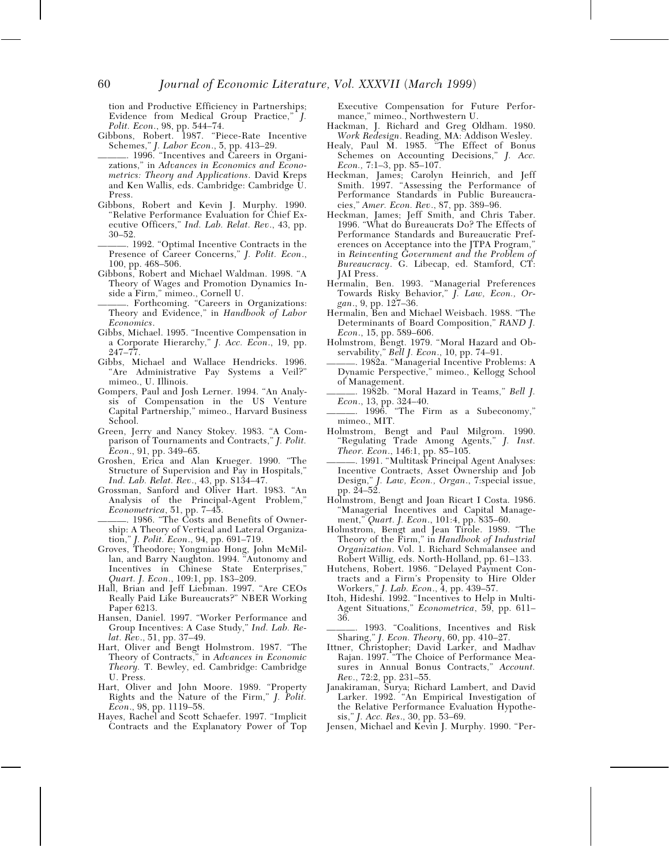tion and Productive Efficiency in Partnerships; Evidence from Medical Group Practice," *J. Polit. Econ*., 98, pp. 544–74.

- Gibbons, Robert. 1987. "Piece-Rate Incentive Schemes," *J. Labor Econ*., 5, pp. 413–29.
- ———. 1996. "Incentives and Careers in Organizations," in *Advances in Economics and Econometrics: Theory and Applications*. David Kreps and Ken Wallis, eds. Cambridge: Cambridge U. Press.
- Gibbons, Robert and Kevin J. Murphy. 1990. "Relative Performance Evaluation for Chief Executive Officers," *Ind. Lab. Relat. Rev*., 43, pp. 30–52.
- ———. 1992. "Optimal Incentive Contracts in the Presence of Career Concerns," *J. Polit. Econ*., 100, pp. 468–506.
- Gibbons, Robert and Michael Waldman. 1998. "A Theory of Wages and Promotion Dynamics Inside a Firm," mimeo., Cornell U.
- ———. Forthcoming. "Careers in Organizations: Theory and Evidence," in *Handbook of Labor Economics*.
- Gibbs, Michael. 1995. "Incentive Compensation in a Corporate Hierarchy," *J. Acc. Econ*., 19, pp. 247–77.
- Gibbs, Michael and Wallace Hendricks. 1996. "Are Administrative Pay Systems a Veil?" mimeo., U. Illinois.
- Gompers, Paul and Josh Lerner. 1994. "An Analysis of Compensation in the US Venture Capital Partnership," mimeo., Harvard Business School.
- Green, Jerry and Nancy Stokey. 1983. "A Comparison of Tournaments and Contracts," *J. Polit. Econ*., 91, pp. 349–65.
- Groshen, Erica and Alan Krueger. 1990. "The Structure of Supervision and Pay in Hospitals," *Ind. Lab. Relat. Rev*., 43, pp. S134–47.
- Grossman, Sanford and Oliver Hart. 1983. "An Analysis of the Principal-Agent Problem," *Econometrica*, 51, pp. 7–45.
	- ———. 1986. "The Costs and Benefits of Ownership: A Theory of Vertical and Lateral Organization," *J. Polit. Econ*., 94, pp. 691–719.
- Groves, Theodore; Yongmiao Hong, John McMillan, and Barry Naughton. 1994. "Autonomy and Incentives in Chinese State Enterprises," *Quart. J. Econ*., 109:1, pp. 183–209.
- Hall, Brian and Jeff Liebman. 1997. "Are CEOs Really Paid Like Bureaucrats?" NBER Working Paper 6213.
- Hansen, Daniel. 1997. "Worker Performance and Group Incentives: A Case Study," *Ind. Lab. Relat. Rev*., 51, pp. 37–49.
- Hart, Oliver and Bengt Holmstrom. 1987. "The Theory of Contracts," in *Advances in Economic Theory.* T. Bewley, ed. Cambridge: Cambridge U. Press.
- Hart, Oliver and John Moore. 1989. "Property Rights and the Nature of the Firm," *J. Polit. Econ*., 98, pp. 1119–58.
- Hayes, Rachel and Scott Schaefer. 1997. "Implicit Contracts and the Explanatory Power of Top

Executive Compensation for Future Performance," mimeo., Northwestern U.

- Hackman, J. Richard and Greg Oldham. 1980. *Work Redesign*. Reading, MA: Addison Wesley.
- Healy, Paul M. 1985. "The Effect of Bonus Schemes on Accounting Decisions," *J. Acc. Econ.,* 7:1–3, pp. 85–107.
- Heckman, James; Carolyn Heinrich, and Jeff Smith. 1997. "Assessing the Performance of Performance Standards in Public Bureaucracies," *Amer. Econ. Rev*., 87, pp. 389–96.
- Heckman, James; Jeff Smith, and Chris Taber. 1996. "What do Bureaucrats Do? The Effects of Performance Standards and Bureaucratic Preferences on Acceptance into the JTPA Program," in *Reinventing Government and the Problem of Bureaucracy*. G. Libecap, ed. Stamford, CT: JAI Press.
- Hermalin, Ben. 1993. "Managerial Preferences Towards Risky Behavior," *J. Law, Econ., Organ*., 9, pp. 127–36.
- Hermalin, Ben and Michael Weisbach. 1988. "The Determinants of Board Composition," *RAND J. Econ*., 15, pp. 589–606.
- Holmstrom, Bengt. 1979. "Moral Hazard and Observability," *Bell J. Econ*., 10, pp. 74–91.
- ———. 1982a. "Managerial Incentive Problems: A Dynamic Perspective," mimeo., Kellogg School of Management.
- ———. 1982b. "Moral Hazard in Teams," *Bell J. Econ*., 13, pp. 324–40.
- ———. 1996. "The Firm as a Subeconomy," mimeo., MIT.
- Holmstrom, Bengt and Paul Milgrom. 1990. "Regulating Trade Among Agents," *J. Inst. Theor. Econ*., 146:1, pp. 85–105.
- ———. 1991. "Multitask Principal Agent Analyses: Incentive Contracts, Asset Ownership and Job Design," *J. Law, Econ., Organ*., 7:special issue, pp. 24–52.
- Holmstrom, Bengt and Joan Ricart I Costa. 1986. "Managerial Incentives and Capital Management," *Quart. J. Econ*., 101:4, pp. 835–60.
- Holmstrom, Bengt and Jean Tirole. 1989. "The Theory of the Firm," in *Handbook of Industrial Organization*. Vol. 1. Richard Schmalansee and Robert Willig, eds. North-Holland, pp. 61–133.
- Hutchens, Robert. 1986. "Delayed Payment Contracts and a Firm's Propensity to Hire Older Workers," *J. Lab. Econ*., 4, pp. 439–57.
- Itoh, Hideshi. 1992. "Incentives to Help in Multi-Agent Situations," *Econometrica*, 59, pp. 611– 36.
- ———. 1993. "Coalitions, Incentives and Risk Sharing," *J. Econ. Theory*, 60, pp. 410–27.
- Ittner, Christopher; David Larker, and Madhav Rajan. 1997. "The Choice of Performance Measures in Annual Bonus Contracts," *Account. Rev*., 72:2, pp. 231–55.
- Janakiraman, Surya; Richard Lambert, and David Larker. 1992. "An Empirical Investigation of the Relative Performance Evaluation Hypothesis," *J. Acc. Res*., 30, pp. 53–69.
- Jensen, Michael and Kevin J. Murphy. 1990. "Per-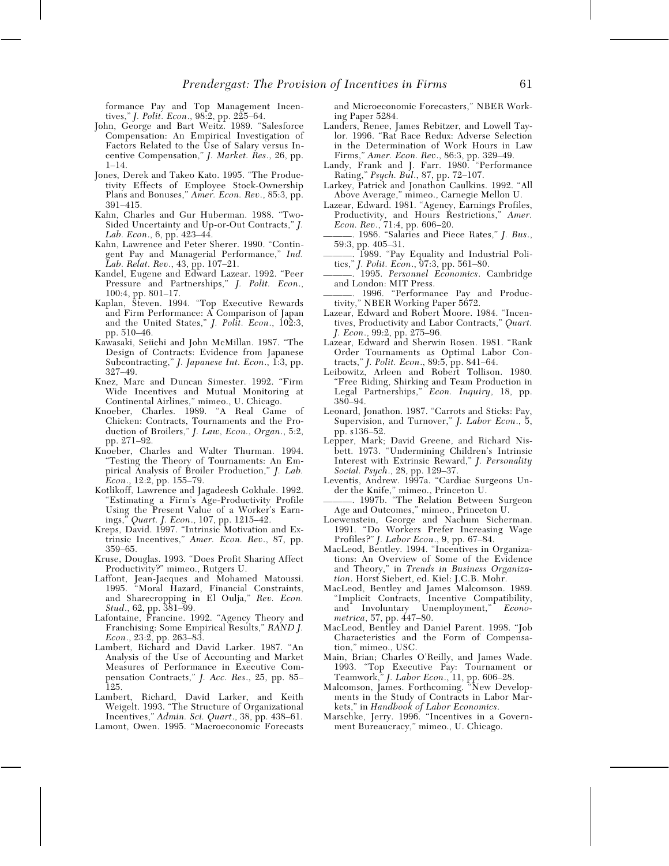formance Pay and Top Management Incentives," *J. Polit. Econ*., 98:2, pp. 225–64.

- John, George and Bart Weitz. 1989. "Salesforce Compensation: An Empirical Investigation of Factors Related to the Use of Salary versus Incentive Compensation," *J. Market. Res*., 26, pp. 1–14.
- Jones, Derek and Takeo Kato. 1995. "The Productivity Effects of Employee Stock-Ownership Plans and Bonuses," *Amer. Econ. Rev*., 85:3, pp. 391–415.
- Kahn, Charles and Gur Huberman. 1988. "Two-Sided Uncertainty and Up-or-Out Contracts," *J. Lab. Econ*., 6, pp. 423–44.
- Kahn, Lawrence and Peter Sherer. 1990. "Contingent Pay and Managerial Performance," *Ind. Lab. Relat. Rev*., 43, pp. 107–21.
- Kandel, Eugene and Edward Lazear. 1992. "Peer Pressure and Partnerships," *J. Polit. Econ*., 100:4, pp. 801–17.
- Kaplan, Steven. 1994. "Top Executive Rewards and Firm Performance: A Comparison of Japan and the United States," *J. Polit. Econ.*, 102:3, pp. 510–46.
- Kawasaki, Seiichi and John McMillan. 1987. "The Design of Contracts: Evidence from Japanese Subcontracting," *J. Japanese Int. Econ*., 1:3, pp. 327–49.
- Knez, Marc and Duncan Simester. 1992. "Firm Wide Incentives and Mutual Monitoring at Continental Airlines," mimeo., U. Chicago.
- Knoeber, Charles. 1989. "A Real Game of Chicken: Contracts, Tournaments and the Production of Broilers," *J. Law, Econ., Organ*., 5:2, pp. 271–92.
- Knoeber, Charles and Walter Thurman. 1994. "Testing the Theory of Tournaments: An Empirical Analysis of Broiler Production," *J. Lab. Econ*., 12:2, pp. 155–79.
- Kotlikoff, Lawrence and Jagadeesh Gokhale. 1992. "Estimating a Firm's Age-Productivity Profile Using the Present Value of a Worker's Earnings," *Quart. J. Econ*., 107, pp. 1215–42.
- Kreps, David. 1997. "Intrinsic Motivation and Extrinsic Incentives," *Amer. Econ. Rev*., 87, pp. 359–65.
- Kruse, Douglas. 1993. "Does Profit Sharing Affect Productivity?" mimeo., Rutgers U.
- Laffont, Jean-Jacques and Mohamed Matoussi. 1995. "Moral Hazard, Financial Constraints, and Sharecropping in El Oulja," *Rev. Econ. Stud*., 62, pp. 381–99.
- Lafontaine, Francine. 1992. "Agency Theory and Franchising: Some Empirical Results," *RAND J. Econ*., 23:2, pp. 263–83.
- Lambert, Richard and David Larker. 1987. "An Analysis of the Use of Accounting and Market Measures of Performance in Executive Compensation Contracts," *J. Acc. Res*., 25, pp. 85– 125.
- Lambert, Richard, David Larker, and Keith Weigelt. 1993. "The Structure of Organizational Incentives," *Admin. Sci. Quart*., 38, pp. 438–61. Lamont, Owen. 1995. "Macroeconomic Forecasts
- 

and Microeconomic Forecasters," NBER Working Paper 5284.

- Landers, Renee, James Rebitzer, and Lowell Taylor. 1996. "Rat Race Redux: Adverse Selection in the Determination of Work Hours in Law Firms," *Amer. Econ. Rev*., 86:3, pp. 329–49.
- Landy, Frank and J. Farr. 1980. "Performance Rating," *Psych. Bul*., 87, pp. 72–107.
- Larkey, Patrick and Jonathon Caulkins. 1992. "All Above Average," mimeo., Carnegie Mellon U.
- Lazear, Edward. 1981. "Agency, Earnings Profiles, Productivity, and Hours Restrictions," *Amer. Econ. Rev*., 71:4, pp. 606–20.
- ———. 1986. "Salaries and Piece Rates," *J. Bus*., 59:3, pp. 405–31.
- ———. 1989. "Pay Equality and Industrial Politics," *J. Polit. Econ*., 97:3, pp. 561–80.
- ———. 1995. *Personnel Economics*. Cambridge and London: MIT Press.
- ———. 1996. "Performance Pay and Productivity," NBER Working Paper 5672.
- Lazear, Edward and Robert Moore. 1984. "Incentives, Productivity and Labor Contracts," *Quart. J. Econ*., 99:2, pp. 275–96.
- Lazear, Edward and Sherwin Rosen. 1981. "Rank Order Tournaments as Optimal Labor Contracts," *J. Polit. Econ*., 89:5, pp. 841–64.
- Leibowitz, Arleen and Robert Tollison. 1980. "Free Riding, Shirking and Team Production in Legal Partnerships," *Econ. Inquiry*, 18, pp. 380–94.
- Leonard, Jonathon. 1987. "Carrots and Sticks: Pay, Supervision, and Turnover," *J. Labor Econ*., 5, pp. s136–52.
- Lepper, Mark; David Greene, and Richard Nisbett. 1973. "Undermining Children's Intrinsic Interest with Extrinsic Reward," *J. Personality Social. Psych*., 28, pp. 129–37.
- Leventis, Andrew. 1997a. "Cardiac Surgeons Under the Knife," mimeo., Princeton U.
- ———. 1997b. "The Relation Between Surgeon Age and Outcomes," mimeo., Princeton U.
- Loewenstein, George and Nachum Sicherman. 1991. "Do Workers Prefer Increasing Wage Profiles?" *J. Labor Econ*., 9, pp. 67–84.
- MacLeod, Bentley. 1994. "Incentives in Organizations: An Overview of Some of the Evidence and Theory," in *Trends in Business Organization*. Horst Siebert, ed. Kiel: J.C.B. Mohr.
- MacLeod, Bentley and James Malcomson. 1989. "Implicit Contracts, Incentive Compatibility, and Involuntary Unemployment," *Econometrica*, 57, pp. 447–80.
- MacLeod, Bentley and Daniel Parent. 1998. "Job Characteristics and the Form of Compensation," mimeo., USC.
- Main, Brian; Charles O'Reilly, and James Wade. 1993. "Top Executive Pay: Tournament or Teamwork," *J. Labor Econ*., 11, pp. 606–28.
- Malcomson, James. Forthcoming. "New Developments in the Study of Contracts in Labor Markets," in *Handbook of Labor Economics*.
- Marschke, Jerry. 1996. "Incentives in a Government Bureaucracy," mimeo., U. Chicago.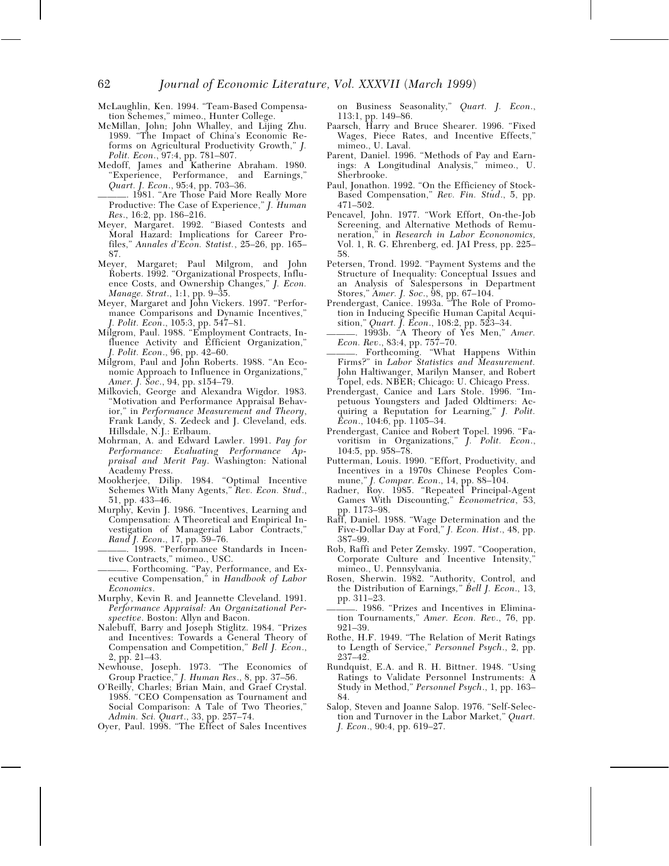- McLaughlin, Ken. 1994. "Team-Based Compensation Schemes," mimeo., Hunter College.
- McMillan, John; John Whalley, and Lijing Zhu. 1989. "The Impact of China's Economic Reforms on Agricultural Productivity Growth," *J. Polit. Econ*., 97:4, pp. 781–807.
- Medoff, James and Katherine Abraham. 1980. "Experience, Performance, and Earnings," *Quart. J. Econ*., 95:4, pp. 703–36.
- ———. 1981. "Are Those Paid More Really More Productive: The Case of Experience," *J. Human Res*., 16:2, pp. 186–216.
- Meyer, Margaret. 1992. "Biased Contests and Moral Hazard: Implications for Career Profiles," *Annales d'Econ. Statist.*, 25–26, pp. 165– 87.
- Meyer, Margaret; Paul Milgrom, and John Roberts. 1992. "Organizational Prospects, Influence Costs, and Ownership Changes," *J. Econ. Manage. Strat*., 1:1, pp. 9–35.
- Meyer, Margaret and John Vickers. 1997. "Performance Comparisons and Dynamic Incentives," *J. Polit. Econ*., 105:3, pp. 547–81.
- Milgrom, Paul. 1988. "Employment Contracts, Influence Activity and Efficient Organization," *J. Polit. Econ*., 96, pp. 42–60.
- Milgrom, Paul and John Roberts. 1988. "An Economic Approach to Influence in Organizations," *Amer. J. Soc*., 94, pp. s154–79.
- Milkovich, George and Alexandra Wigdor. 1983. "Motivation and Performance Appraisal Behavior," in *Performance Measurement and Theory*, Frank Landy, S. Zedeck and J. Cleveland, eds. Hillsdale, N.J.: Erlbaum.
- Mohrman, A. and Edward Lawler. 1991. *Pay for Performance: Evaluating Performance Appraisal and Merit Pay*. Washington: National Academy Press.
- Mookherjee, Dilip. 1984. "Optimal Incentive Schemes With Many Agents," *Rev. Econ. Stud*., 51, pp. 433–46.
- Murphy, Kevin J. 1986. "Incentives, Learning and Compensation: A Theoretical and Empirical Investigation of Managerial Labor Contracts," *Rand J. Econ*., 17, pp. 59–76.
	- 1998. "Performance Standards in Incentive Contracts," mimeo., USC.
- ———. Forthcoming. "Pay, Performance, and Executive Compensation," in *Handbook of Labor Economics*.
- Murphy, Kevin R. and Jeannette Cleveland. 1991. *Performance Appraisal: An Organizational Perspective*. Boston: Allyn and Bacon.
- Nalebuff, Barry and Joseph Stiglitz. 1984. "Prizes and Incentives: Towards a General Theory of Compensation and Competition," *Bell J. Econ*., 2, pp. 21–43.
- Newhouse, Joseph. 1973. "The Economics of Group Practice," *J. Human Res*., 8, pp. 37–56.
- O'Reilly, Charles; Brian Main, and Graef Crystal. 1988. "CEO Compensation as Tournament and Social Comparison: A Tale of Two Theories," *Admin. Sci. Quart*., 33, pp. 257–74.
- Oyer, Paul. 1998. "The Effect of Sales Incentives

on Business Seasonality," *Quart. J. Econ*., 113:1, pp. 149–86.

- Paarsch, Harry and Bruce Shearer. 1996. "Fixed Wages, Piece Rates, and Incentive Effects," mimeo., U. Laval.
- Parent, Daniel. 1996. "Methods of Pay and Earnings: A Longitudinal Analysis," mimeo., U. Sherbrooke.
- Paul, Jonathon. 1992. "On the Efficiency of Stock-Based Compensation," *Rev. Fin. Stud*., 5, pp. 471–502.
- Pencavel, John. 1977. "Work Effort, On-the-Job Screening, and Alternative Methods of Remuneration," in *Research in Labor Econonomics,* Vol. 1, R. G. Ehrenberg, ed. JAI Press, pp. 225– 58.
- Petersen, Trond. 1992. "Payment Systems and the Structure of Inequality: Conceptual Issues and an Analysis of Salespersons in Department Stores," *Amer. J. Soc*., 98, pp. 67–104.
- Prendergast, Canice. 1993a. "The Role of Promotion in Inducing Specific Human Capital Acquisition," *Quart. J. Econ*., 108:2, pp. 523–34.
- ———. 1993b. "A Theory of Yes Men," *Amer. Econ. Rev.*, 83:4, pp. 757-70.
- ———. Forthcoming. "What Happens Within Firms?" in *Labor Statistics and Measurement.* John Haltiwanger, Marilyn Manser, and Robert Topel, eds. NBER; Chicago: U. Chicago Press.
- Prendergast, Canice and Lars Stole. 1996. "Impetuous Youngsters and Jaded Oldtimers: Acquiring a Reputation for Learning," *J. Polit. Econ*., 104:6, pp. 1105–34.
- Prendergast, Canice and Robert Topel. 1996. "Favoritism in Organizations," *J. Polit. Econ*., 104:5, pp. 958–78.
- Putterman, Louis. 1990. "Effort, Productivity, and Incentives in a 1970s Chinese Peoples Commune," *J. Compar. Econ*., 14, pp. 88–104.
- Radner, Roy. 1985. "Repeated Principal-Agent Games With Discounting," *Econometrica*, 53, pp. 1173–98.
- Raff, Daniel. 1988. "Wage Determination and the Five-Dollar Day at Ford," *J. Econ. Hist*., 48, pp. 387–99.
- Rob, Raffi and Peter Zemsky. 1997. "Cooperation, Corporate Culture and Incentive Intensity," mimeo., U. Pennsylvania.
- Rosen, Sherwin. 1982. "Authority, Control, and the Distribution of Earnings*," Bell J. Econ*., 13, pp. 311–23.
- ———. 1986. "Prizes and Incentives in Elimination Tournaments," *Amer. Econ. Rev*., 76, pp. 921–39.
- Rothe, H.F. 1949. "The Relation of Merit Ratings to Length of Service," *Personnel Psych*., 2, pp. 237–42.
- Rundquist, E.A. and R. H. Bittner. 1948. "Using Ratings to Validate Personnel Instruments: A Study in Method," *Personnel Psych*., 1, pp. 163– 84.
- Salop, Steven and Joanne Salop. 1976. "Self-Selection and Turnover in the Labor Market," *Quart. J. Econ*., 90:4, pp. 619–27.